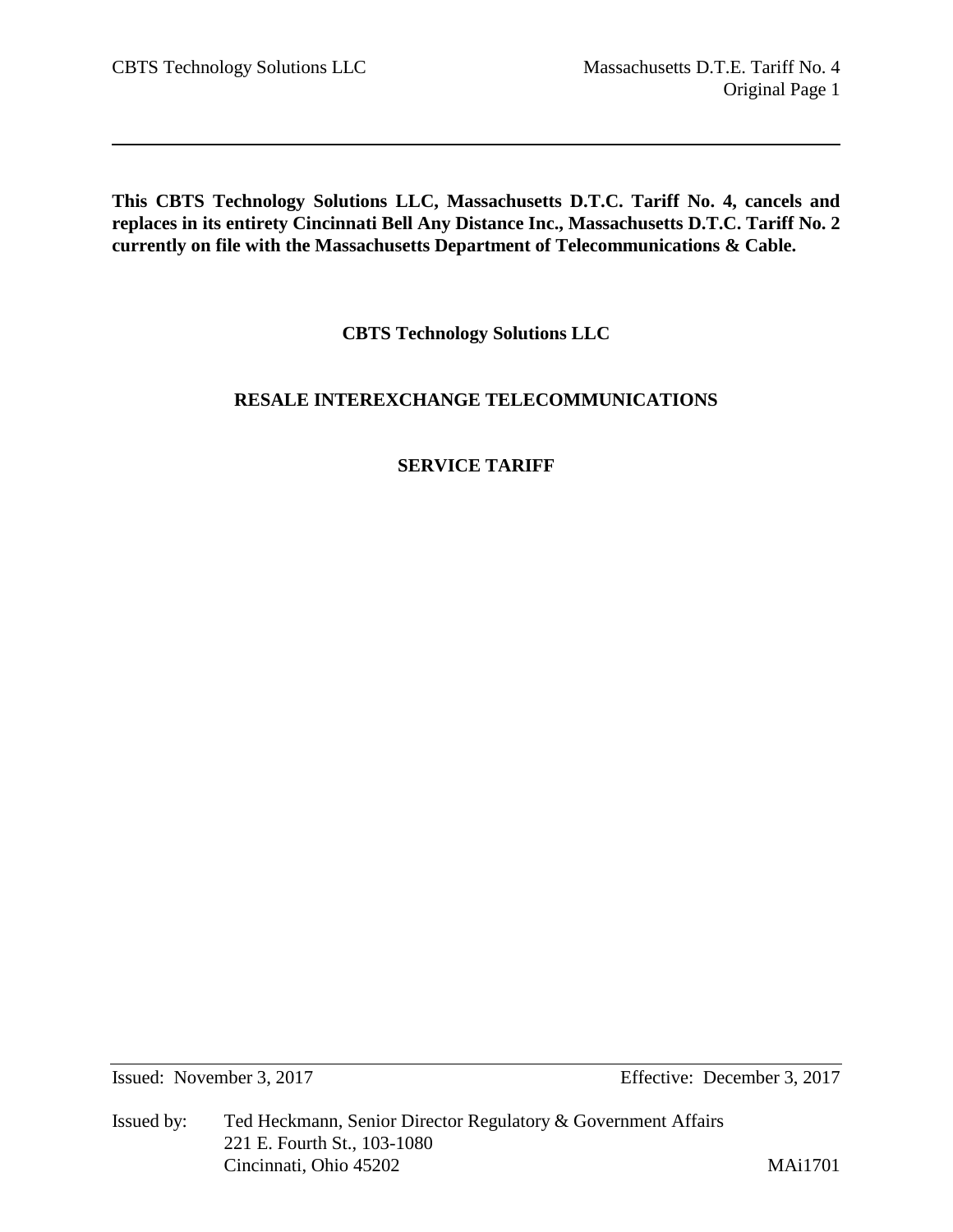**This CBTS Technology Solutions LLC, Massachusetts D.T.C. Tariff No. 4, cancels and replaces in its entirety Cincinnati Bell Any Distance Inc., Massachusetts D.T.C. Tariff No. 2 currently on file with the Massachusetts Department of Telecommunications & Cable.** 

**CBTS Technology Solutions LLC**

# **RESALE INTEREXCHANGE TELECOMMUNICATIONS**

# **SERVICE TARIFF**

Issued: November 3, 2017 Effective: December 3, 2017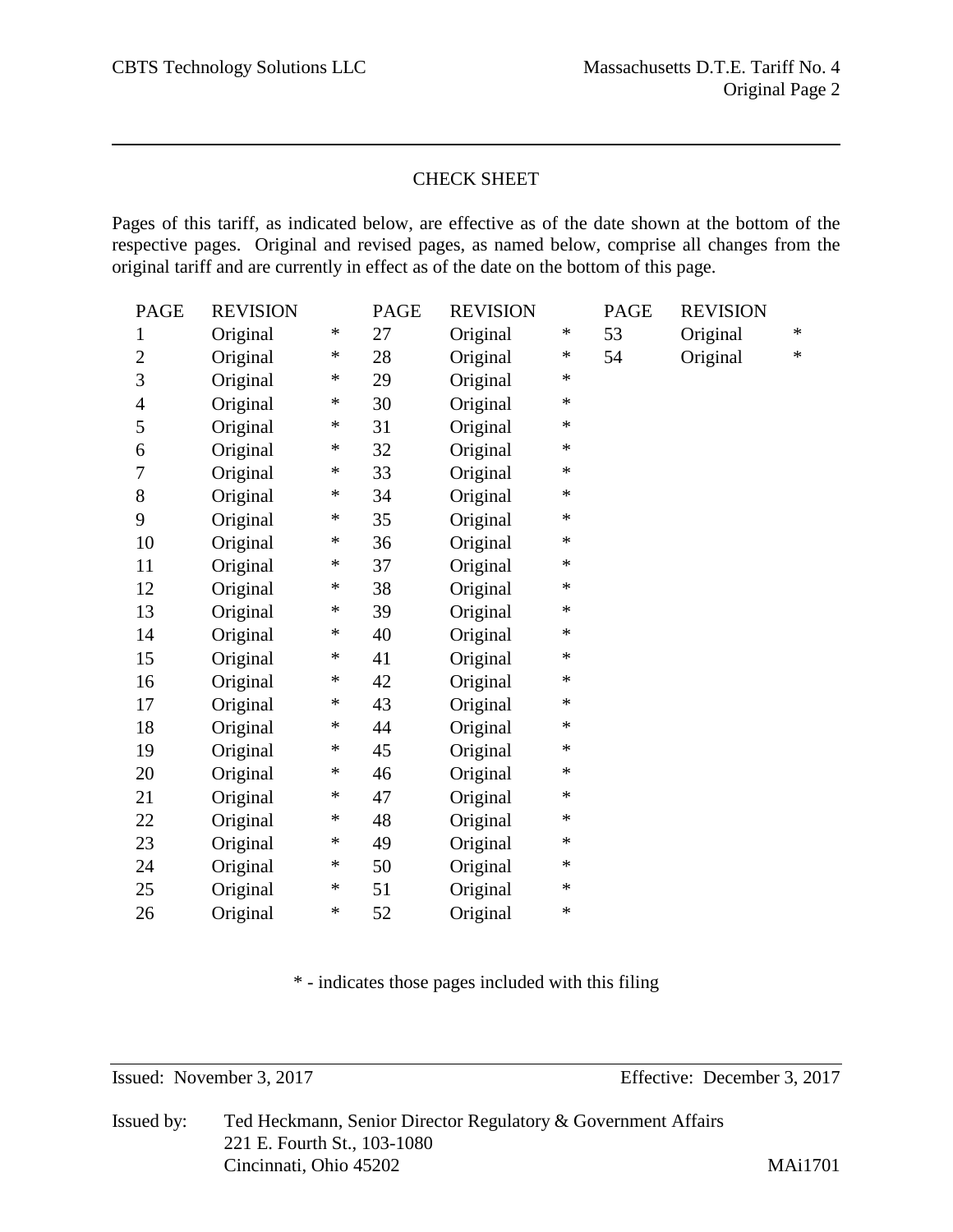# CHECK SHEET

Pages of this tariff, as indicated below, are effective as of the date shown at the bottom of the respective pages. Original and revised pages, as named below, comprise all changes from the original tariff and are currently in effect as of the date on the bottom of this page.

| <b>PAGE</b>    | <b>REVISION</b> |        | PAGE | <b>REVISION</b> |        | PAGE | <b>REVISION</b> |        |
|----------------|-----------------|--------|------|-----------------|--------|------|-----------------|--------|
| $\mathbf{1}$   | Original        | $\ast$ | 27   | Original        | ∗      | 53   | Original        | $\ast$ |
| $\overline{2}$ | Original        | ∗      | 28   | Original        | ∗      | 54   | Original        | $\ast$ |
| 3              | Original        | ∗      | 29   | Original        | $\ast$ |      |                 |        |
| $\overline{4}$ | Original        | ∗      | 30   | Original        | $\ast$ |      |                 |        |
| 5              | Original        | ∗      | 31   | Original        | $\ast$ |      |                 |        |
| 6              | Original        | ∗      | 32   | Original        | $\ast$ |      |                 |        |
| 7              | Original        | ∗      | 33   | Original        | $\ast$ |      |                 |        |
| 8              | Original        | $\ast$ | 34   | Original        | $\ast$ |      |                 |        |
| 9              | Original        | ∗      | 35   | Original        | $\ast$ |      |                 |        |
| 10             | Original        | ∗      | 36   | Original        | $\ast$ |      |                 |        |
| 11             | Original        | ∗      | 37   | Original        | $\ast$ |      |                 |        |
| 12             | Original        | ∗      | 38   | Original        | ∗      |      |                 |        |
| 13             | Original        | ∗      | 39   | Original        | $\ast$ |      |                 |        |
| 14             | Original        | $\ast$ | 40   | Original        | $\ast$ |      |                 |        |
| 15             | Original        | ∗      | 41   | Original        | $\ast$ |      |                 |        |
| 16             | Original        | ∗      | 42   | Original        | $\ast$ |      |                 |        |
| 17             | Original        | ∗      | 43   | Original        | $\ast$ |      |                 |        |
| 18             | Original        | ∗      | 44   | Original        | $\ast$ |      |                 |        |
| 19             | Original        | ∗      | 45   | Original        | $\ast$ |      |                 |        |
| 20             | Original        | ∗      | 46   | Original        | ∗      |      |                 |        |
| 21             | Original        | ∗      | 47   | Original        | $\ast$ |      |                 |        |
| 22             | Original        | ∗      | 48   | Original        | ∗      |      |                 |        |
| 23             | Original        | ∗      | 49   | Original        | $\ast$ |      |                 |        |
| 24             | Original        | ∗      | 50   | Original        | ∗      |      |                 |        |
| 25             | Original        | ∗      | 51   | Original        | $\ast$ |      |                 |        |
| 26             | Original        | $\ast$ | 52   | Original        | $\ast$ |      |                 |        |

\* - indicates those pages included with this filing

Issued: November 3, 2017 Effective: December 3, 2017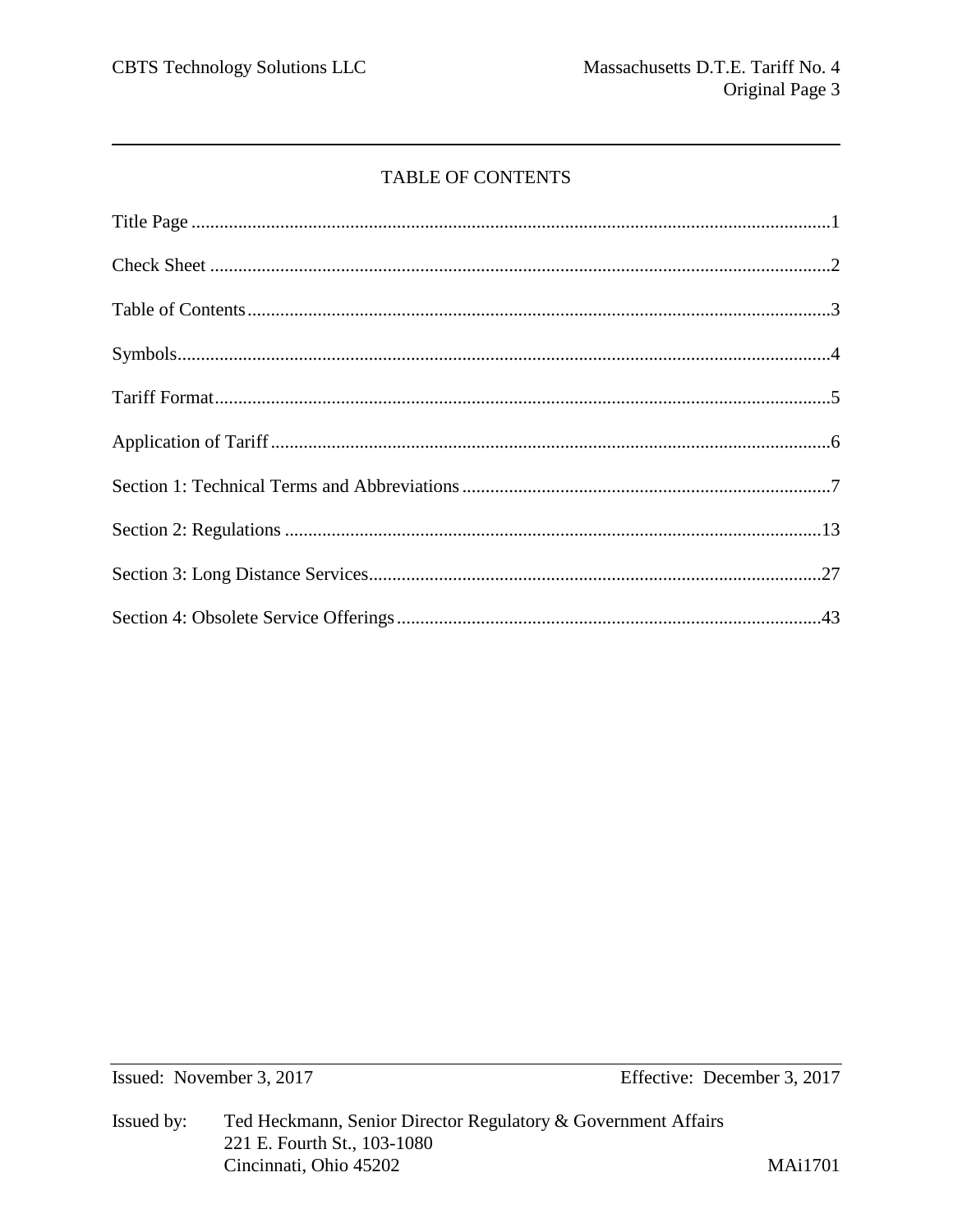# TABLE OF CONTENTS

Issued: November 3, 2017

Effective: December 3, 2017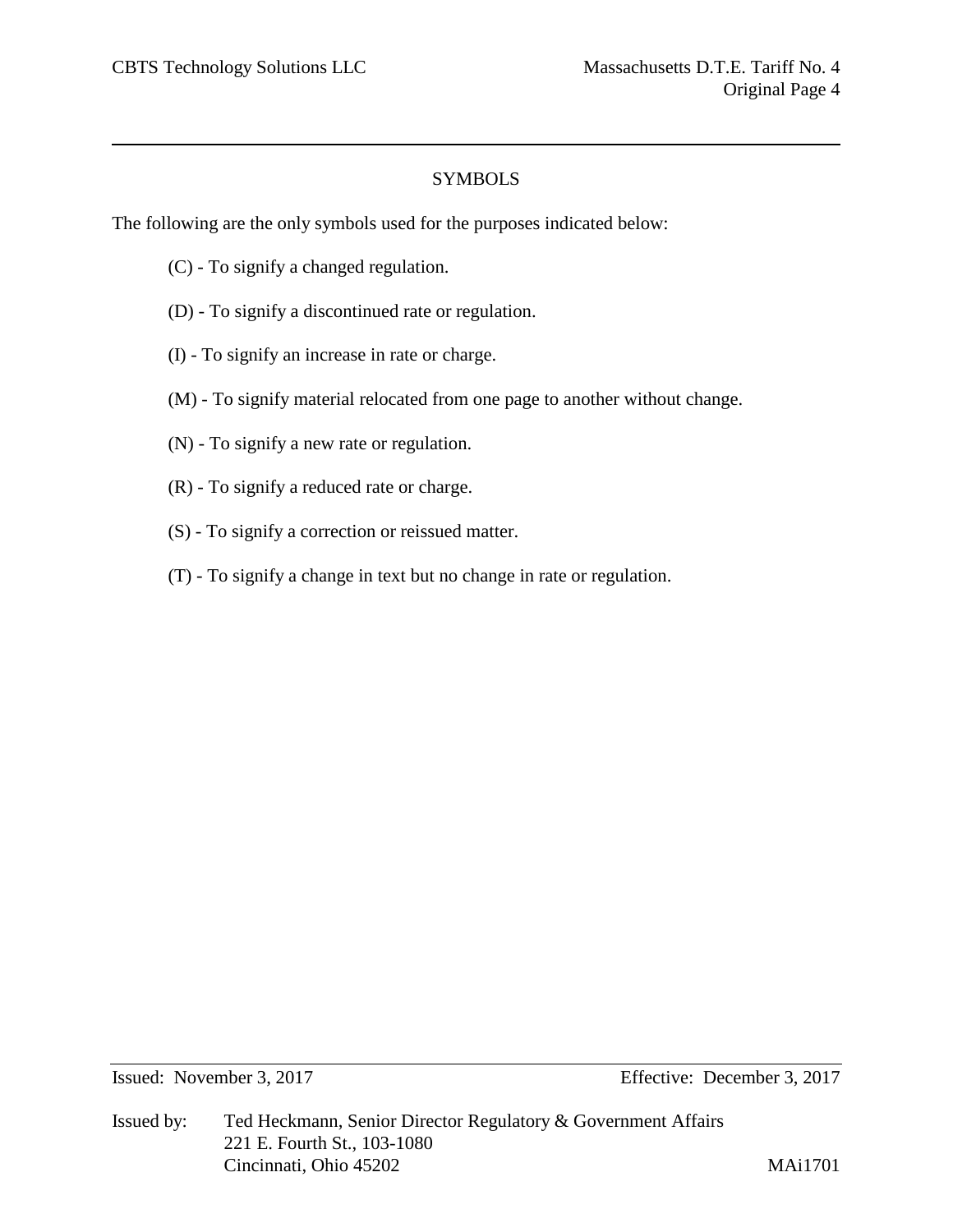# SYMBOLS

The following are the only symbols used for the purposes indicated below:

- (C) To signify a changed regulation.
- (D) To signify a discontinued rate or regulation.
- (I) To signify an increase in rate or charge.
- (M) To signify material relocated from one page to another without change.
- (N) To signify a new rate or regulation.
- (R) To signify a reduced rate or charge.
- (S) To signify a correction or reissued matter.
- (T) To signify a change in text but no change in rate or regulation.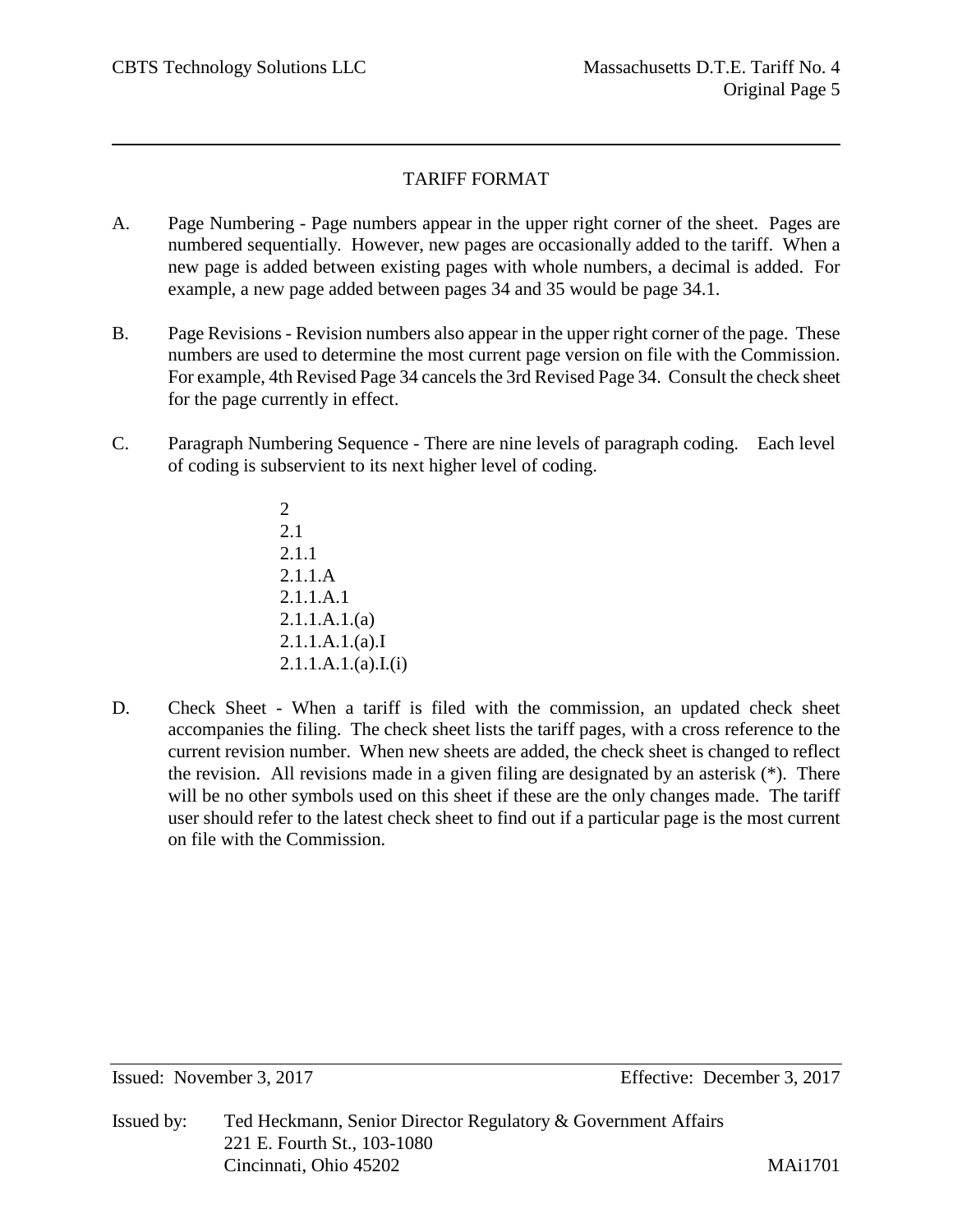# TARIFF FORMAT

- A. Page Numbering Page numbers appear in the upper right corner of the sheet. Pages are numbered sequentially. However, new pages are occasionally added to the tariff. When a new page is added between existing pages with whole numbers, a decimal is added. For example, a new page added between pages 34 and 35 would be page 34.1.
- B. Page Revisions Revision numbers also appear in the upper right corner of the page. These numbers are used to determine the most current page version on file with the Commission. For example, 4th Revised Page 34 cancels the 3rd Revised Page 34. Consult the check sheet for the page currently in effect.
- C. Paragraph Numbering Sequence There are nine levels of paragraph coding. Each level of coding is subservient to its next higher level of coding.
	- 2 2.1 2.1.1 2.1.1.A 2.1.1.A.1 2.1.1.A.1.(a) 2.1.1.A.1.(a).I 2.1.1.A.1.(a).I.(i)
- D. Check Sheet When a tariff is filed with the commission, an updated check sheet accompanies the filing. The check sheet lists the tariff pages, with a cross reference to the current revision number. When new sheets are added, the check sheet is changed to reflect the revision. All revisions made in a given filing are designated by an asterisk (\*). There will be no other symbols used on this sheet if these are the only changes made. The tariff user should refer to the latest check sheet to find out if a particular page is the most current on file with the Commission.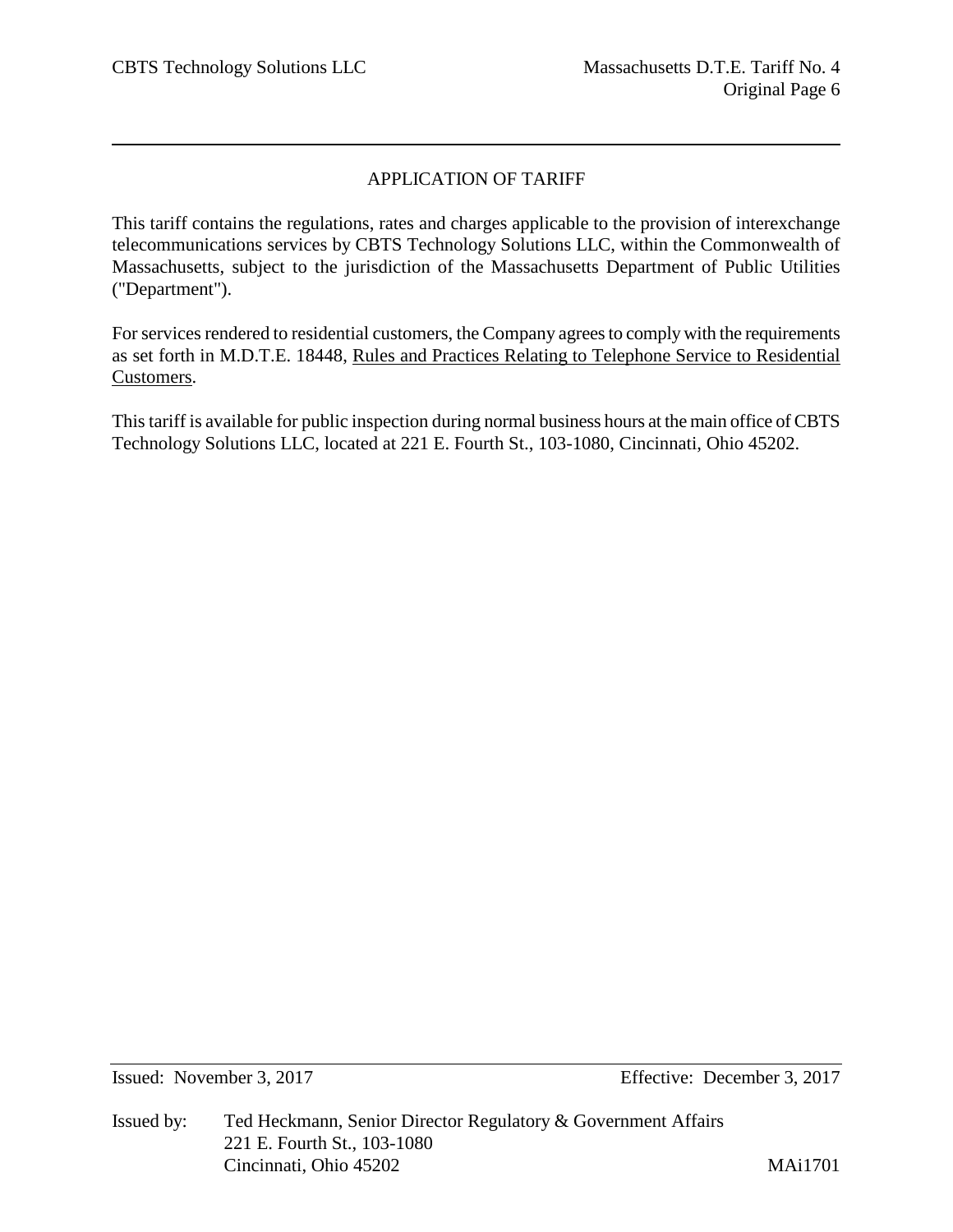# APPLICATION OF TARIFF

This tariff contains the regulations, rates and charges applicable to the provision of interexchange telecommunications services by CBTS Technology Solutions LLC, within the Commonwealth of Massachusetts, subject to the jurisdiction of the Massachusetts Department of Public Utilities ("Department").

For services rendered to residential customers, the Company agrees to comply with the requirements as set forth in M.D.T.E. 18448, Rules and Practices Relating to Telephone Service to Residential Customers.

This tariff is available for public inspection during normal business hours at the main office of CBTS Technology Solutions LLC, located at 221 E. Fourth St., 103-1080, Cincinnati, Ohio 45202.

Issued: November 3, 2017 Effective: December 3, 2017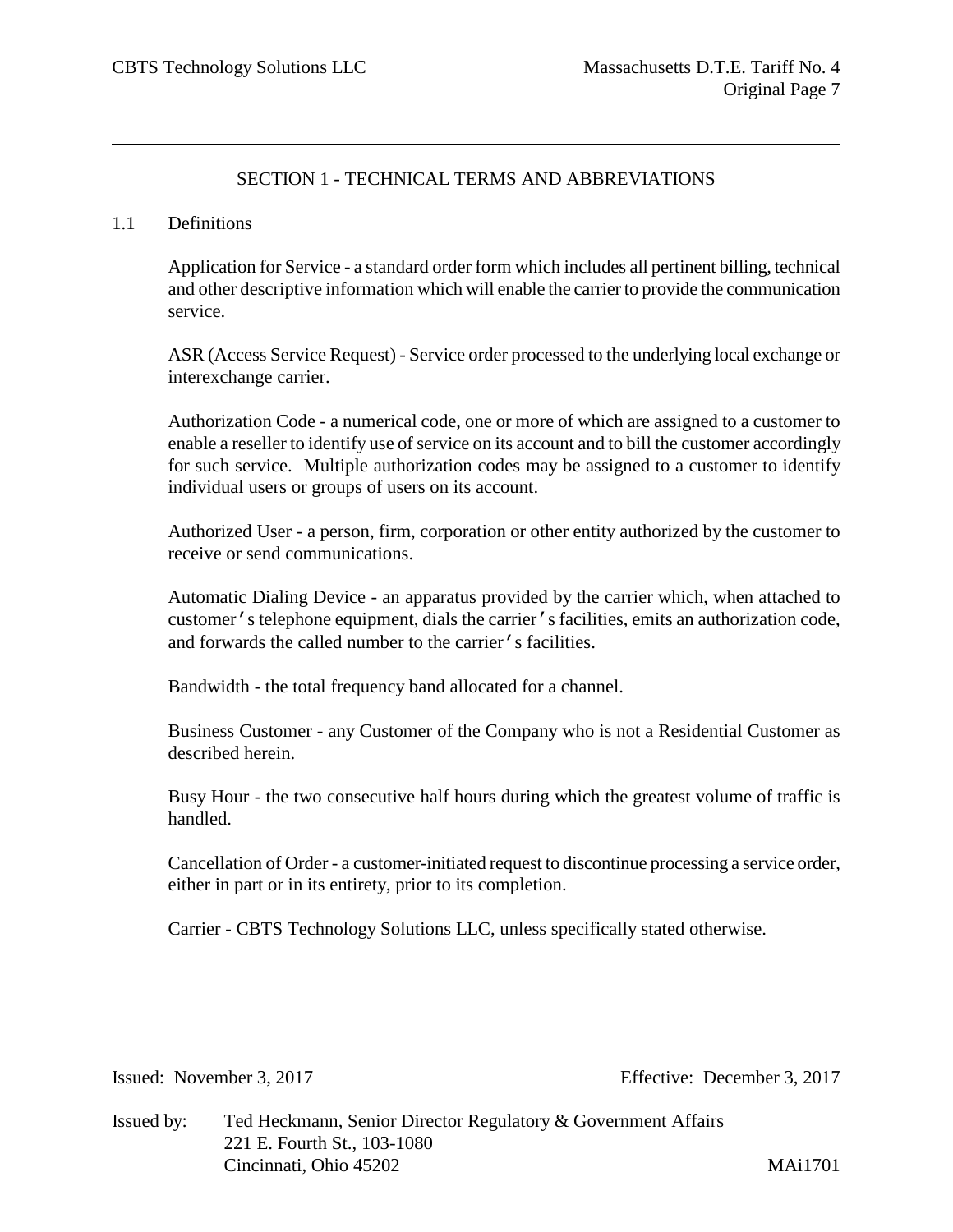# SECTION 1 - TECHNICAL TERMS AND ABBREVIATIONS

#### 1.1 Definitions

Application for Service - a standard order form which includes all pertinent billing, technical and other descriptive information which will enable the carrier to provide the communication service.

ASR (Access Service Request) - Service order processed to the underlying local exchange or interexchange carrier.

Authorization Code - a numerical code, one or more of which are assigned to a customer to enable a reseller to identify use of service on its account and to bill the customer accordingly for such service. Multiple authorization codes may be assigned to a customer to identify individual users or groups of users on its account.

Authorized User - a person, firm, corporation or other entity authorized by the customer to receive or send communications.

Automatic Dialing Device - an apparatus provided by the carrier which, when attached to customer's telephone equipment, dials the carrier's facilities, emits an authorization code, and forwards the called number to the carrier's facilities.

Bandwidth - the total frequency band allocated for a channel.

Business Customer - any Customer of the Company who is not a Residential Customer as described herein.

Busy Hour - the two consecutive half hours during which the greatest volume of traffic is handled.

Cancellation of Order - a customer-initiated request to discontinue processing a service order, either in part or in its entirety, prior to its completion.

Carrier - CBTS Technology Solutions LLC, unless specifically stated otherwise.

Issued: November 3, 2017 Effective: December 3, 2017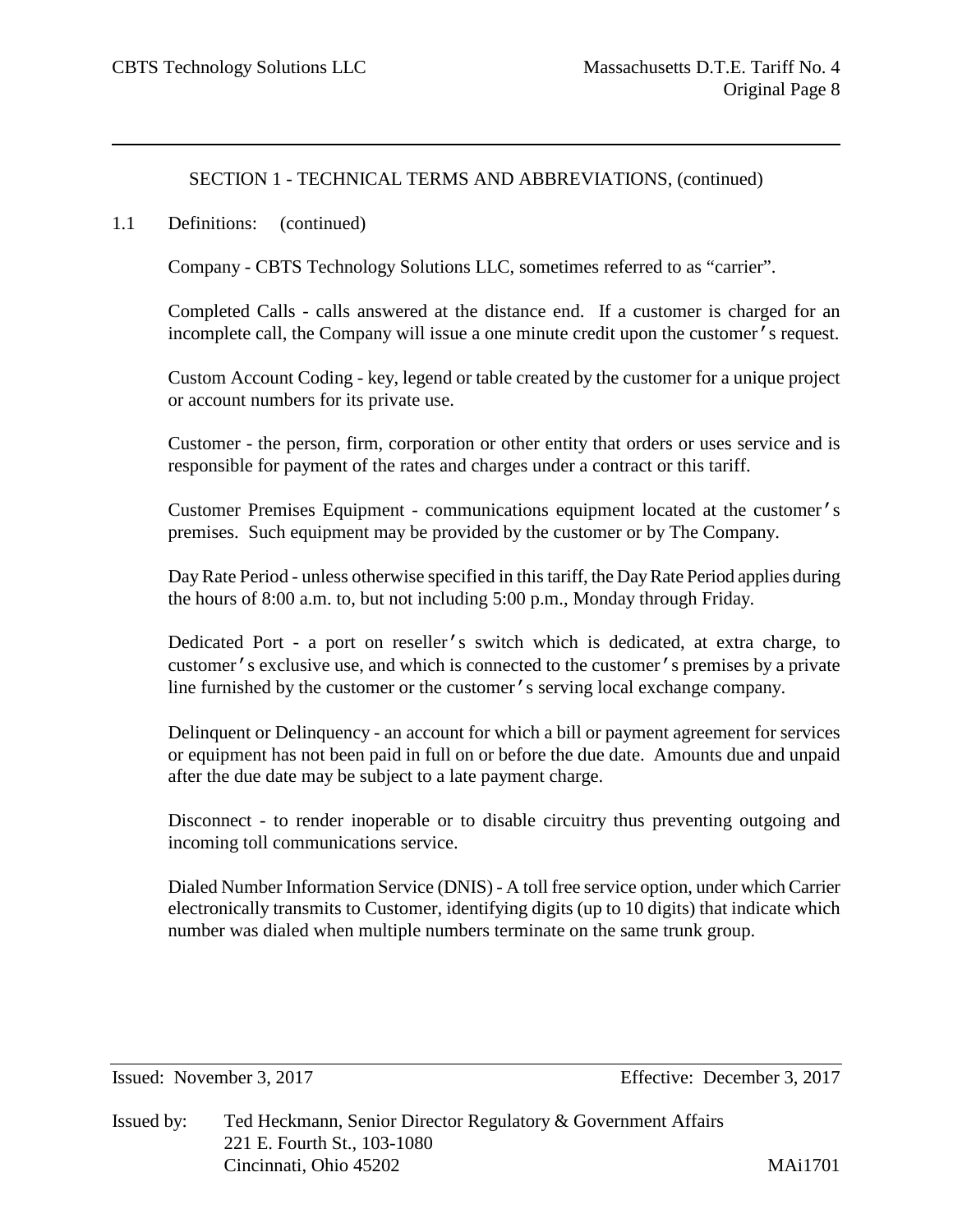#### 1.1 Definitions: (continued)

Company - CBTS Technology Solutions LLC, sometimes referred to as "carrier".

Completed Calls - calls answered at the distance end. If a customer is charged for an incomplete call, the Company will issue a one minute credit upon the customer's request.

Custom Account Coding - key, legend or table created by the customer for a unique project or account numbers for its private use.

Customer - the person, firm, corporation or other entity that orders or uses service and is responsible for payment of the rates and charges under a contract or this tariff.

Customer Premises Equipment - communications equipment located at the customer's premises. Such equipment may be provided by the customer or by The Company.

Day Rate Period - unless otherwise specified in this tariff, the Day Rate Period applies during the hours of 8:00 a.m. to, but not including 5:00 p.m., Monday through Friday.

Dedicated Port - a port on reseller's switch which is dedicated, at extra charge, to customer's exclusive use, and which is connected to the customer's premises by a private line furnished by the customer or the customer's serving local exchange company.

Delinquent or Delinquency - an account for which a bill or payment agreement for services or equipment has not been paid in full on or before the due date. Amounts due and unpaid after the due date may be subject to a late payment charge.

Disconnect - to render inoperable or to disable circuitry thus preventing outgoing and incoming toll communications service.

Dialed Number Information Service (DNIS) - A toll free service option, under which Carrier electronically transmits to Customer, identifying digits (up to 10 digits) that indicate which number was dialed when multiple numbers terminate on the same trunk group.

Issued: November 3, 2017 Effective: December 3, 2017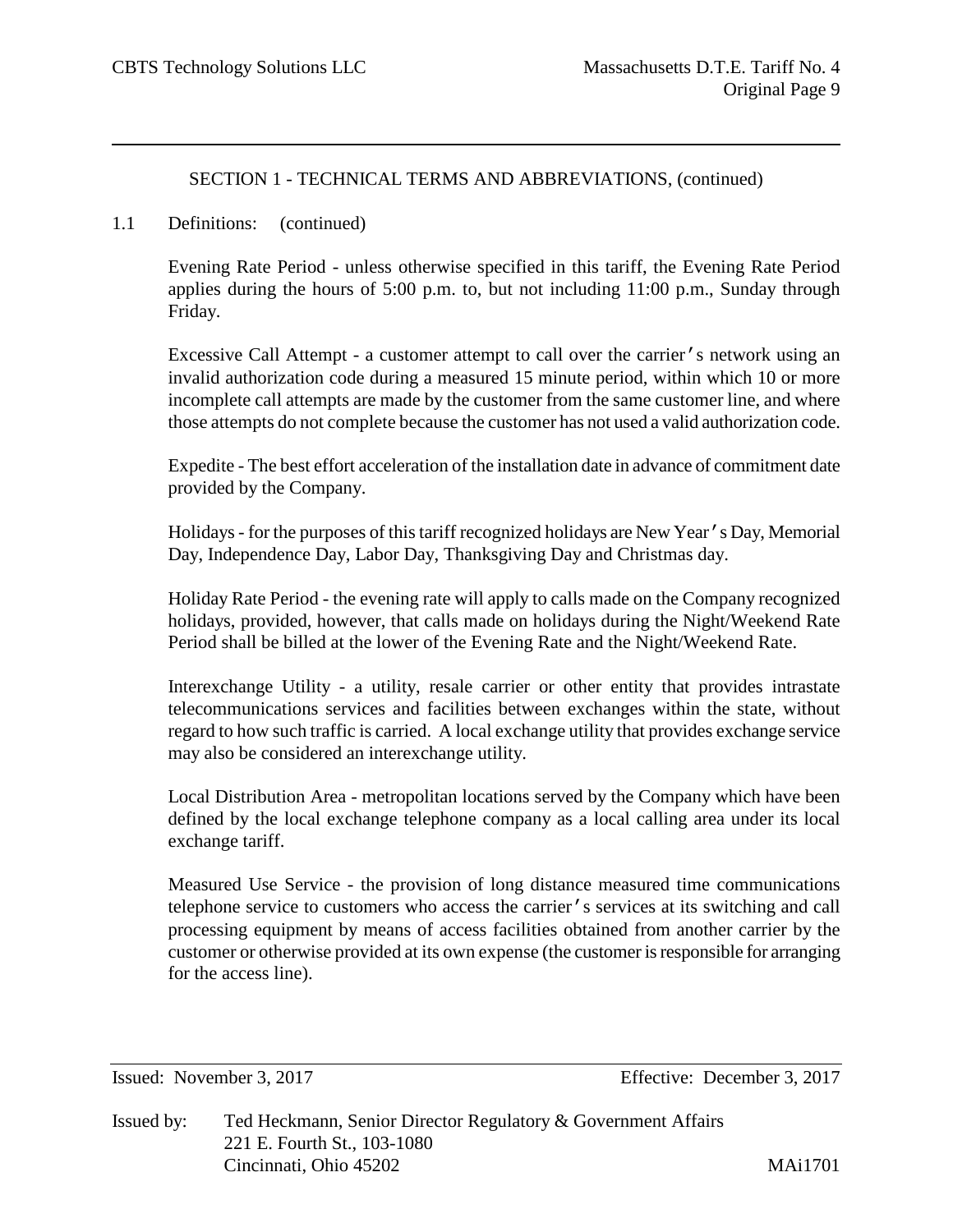#### 1.1 Definitions: (continued)

Evening Rate Period - unless otherwise specified in this tariff, the Evening Rate Period applies during the hours of 5:00 p.m. to, but not including 11:00 p.m., Sunday through Friday.

Excessive Call Attempt - a customer attempt to call over the carrier's network using an invalid authorization code during a measured 15 minute period, within which 10 or more incomplete call attempts are made by the customer from the same customer line, and where those attempts do not complete because the customer has not used a valid authorization code.

Expedite - The best effort acceleration of the installation date in advance of commitment date provided by the Company.

Holidays - for the purposes of this tariff recognized holidays are New Year's Day, Memorial Day, Independence Day, Labor Day, Thanksgiving Day and Christmas day.

Holiday Rate Period - the evening rate will apply to calls made on the Company recognized holidays, provided, however, that calls made on holidays during the Night/Weekend Rate Period shall be billed at the lower of the Evening Rate and the Night/Weekend Rate.

Interexchange Utility - a utility, resale carrier or other entity that provides intrastate telecommunications services and facilities between exchanges within the state, without regard to how such traffic is carried. A local exchange utility that provides exchange service may also be considered an interexchange utility.

Local Distribution Area - metropolitan locations served by the Company which have been defined by the local exchange telephone company as a local calling area under its local exchange tariff.

Measured Use Service - the provision of long distance measured time communications telephone service to customers who access the carrier's services at its switching and call processing equipment by means of access facilities obtained from another carrier by the customer or otherwise provided at its own expense (the customer is responsible for arranging for the access line).

Issued: November 3, 2017 Effective: December 3, 2017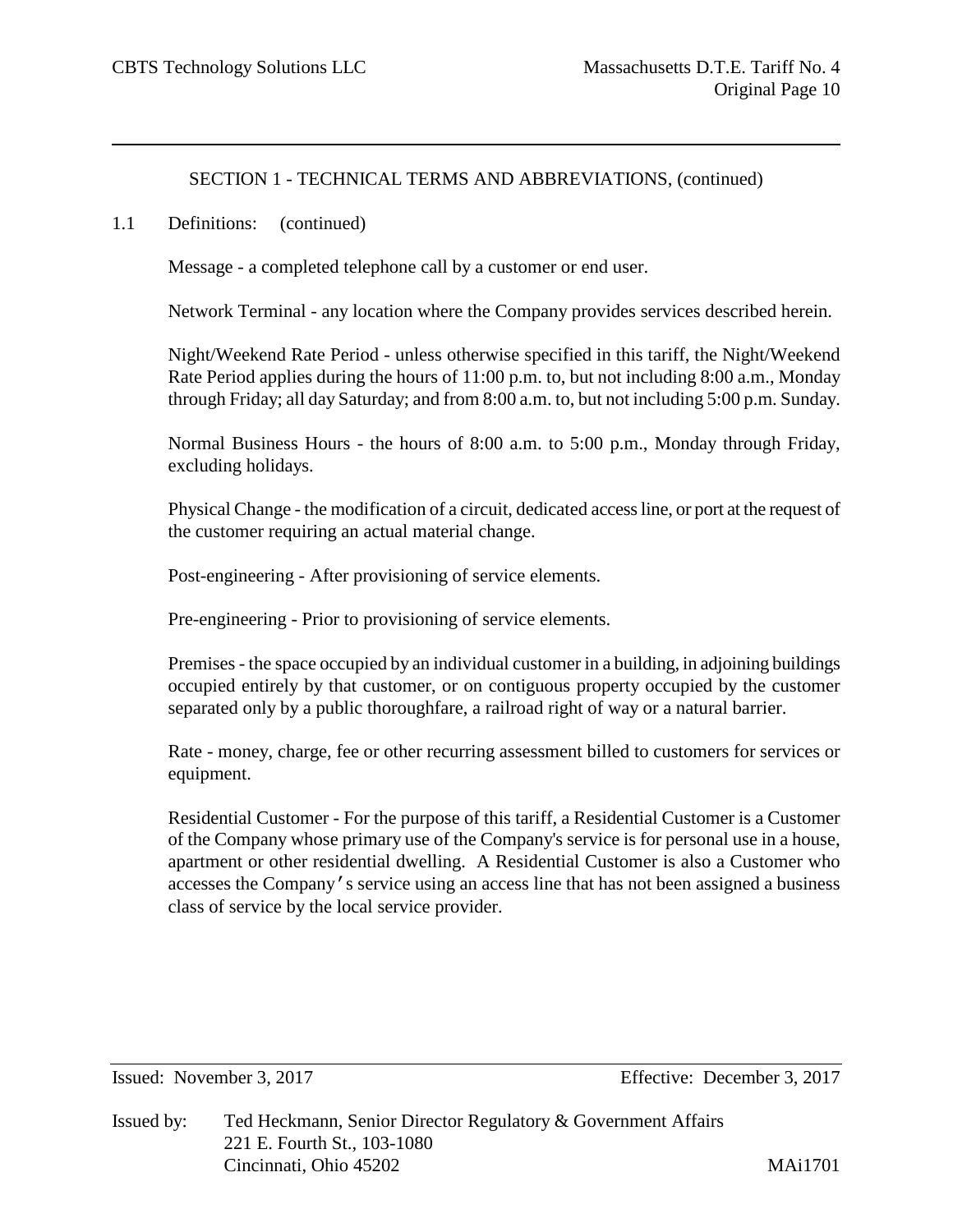#### 1.1 Definitions: (continued)

Message - a completed telephone call by a customer or end user.

Network Terminal - any location where the Company provides services described herein.

Night/Weekend Rate Period - unless otherwise specified in this tariff, the Night/Weekend Rate Period applies during the hours of 11:00 p.m. to, but not including 8:00 a.m., Monday through Friday; all day Saturday; and from 8:00 a.m. to, but not including 5:00 p.m. Sunday.

Normal Business Hours - the hours of 8:00 a.m. to 5:00 p.m., Monday through Friday, excluding holidays.

Physical Change - the modification of a circuit, dedicated access line, or port at the request of the customer requiring an actual material change.

Post-engineering - After provisioning of service elements.

Pre-engineering - Prior to provisioning of service elements.

Premises - the space occupied by an individual customer in a building, in adjoining buildings occupied entirely by that customer, or on contiguous property occupied by the customer separated only by a public thoroughfare, a railroad right of way or a natural barrier.

Rate - money, charge, fee or other recurring assessment billed to customers for services or equipment.

Residential Customer - For the purpose of this tariff, a Residential Customer is a Customer of the Company whose primary use of the Company's service is for personal use in a house, apartment or other residential dwelling. A Residential Customer is also a Customer who accesses the Company's service using an access line that has not been assigned a business class of service by the local service provider.

Issued: November 3, 2017 Effective: December 3, 2017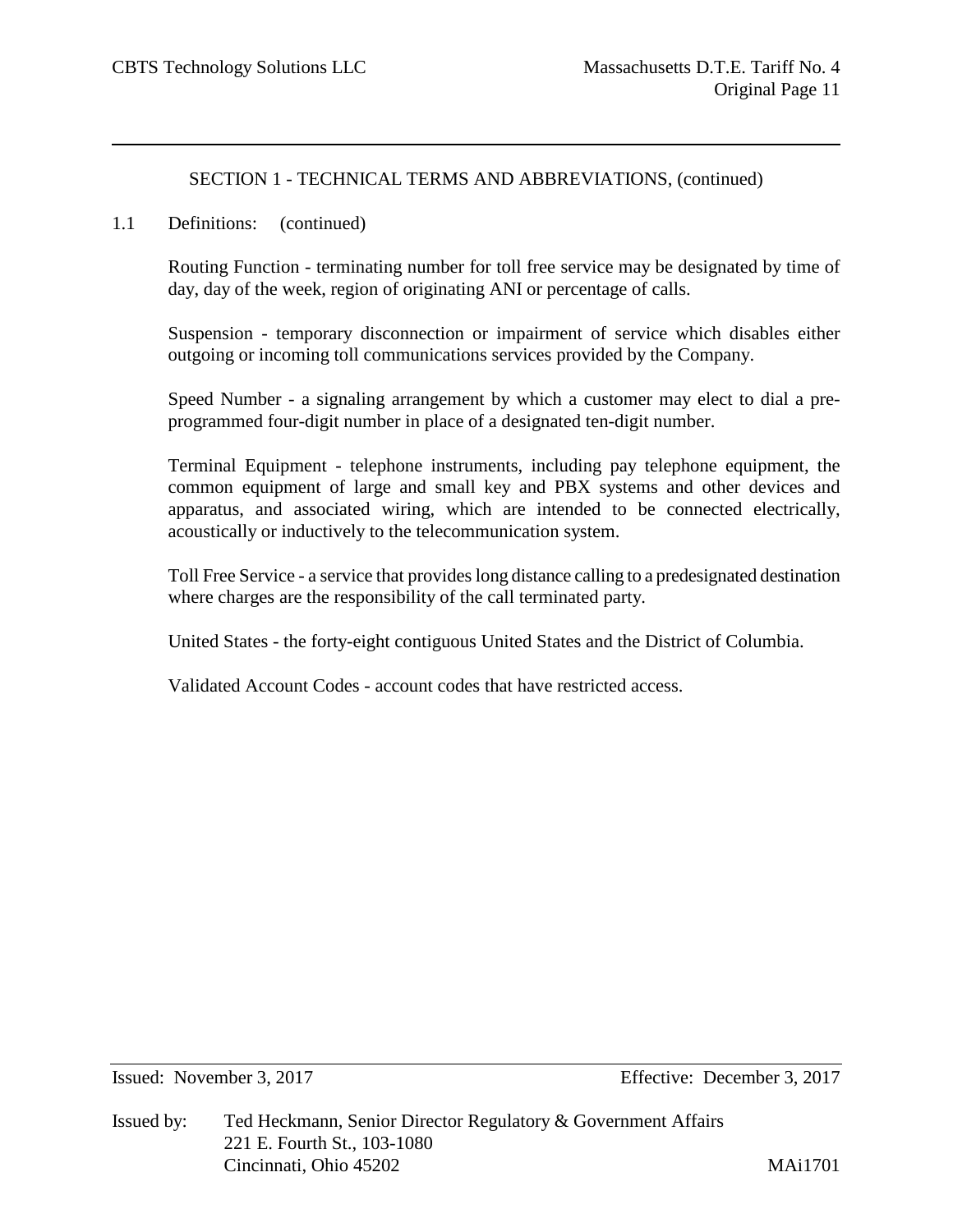1.1 Definitions: (continued)

Routing Function - terminating number for toll free service may be designated by time of day, day of the week, region of originating ANI or percentage of calls.

Suspension - temporary disconnection or impairment of service which disables either outgoing or incoming toll communications services provided by the Company.

Speed Number - a signaling arrangement by which a customer may elect to dial a preprogrammed four-digit number in place of a designated ten-digit number.

Terminal Equipment - telephone instruments, including pay telephone equipment, the common equipment of large and small key and PBX systems and other devices and apparatus, and associated wiring, which are intended to be connected electrically, acoustically or inductively to the telecommunication system.

Toll Free Service - a service that provides long distance calling to a predesignated destination where charges are the responsibility of the call terminated party.

United States - the forty-eight contiguous United States and the District of Columbia.

Validated Account Codes - account codes that have restricted access.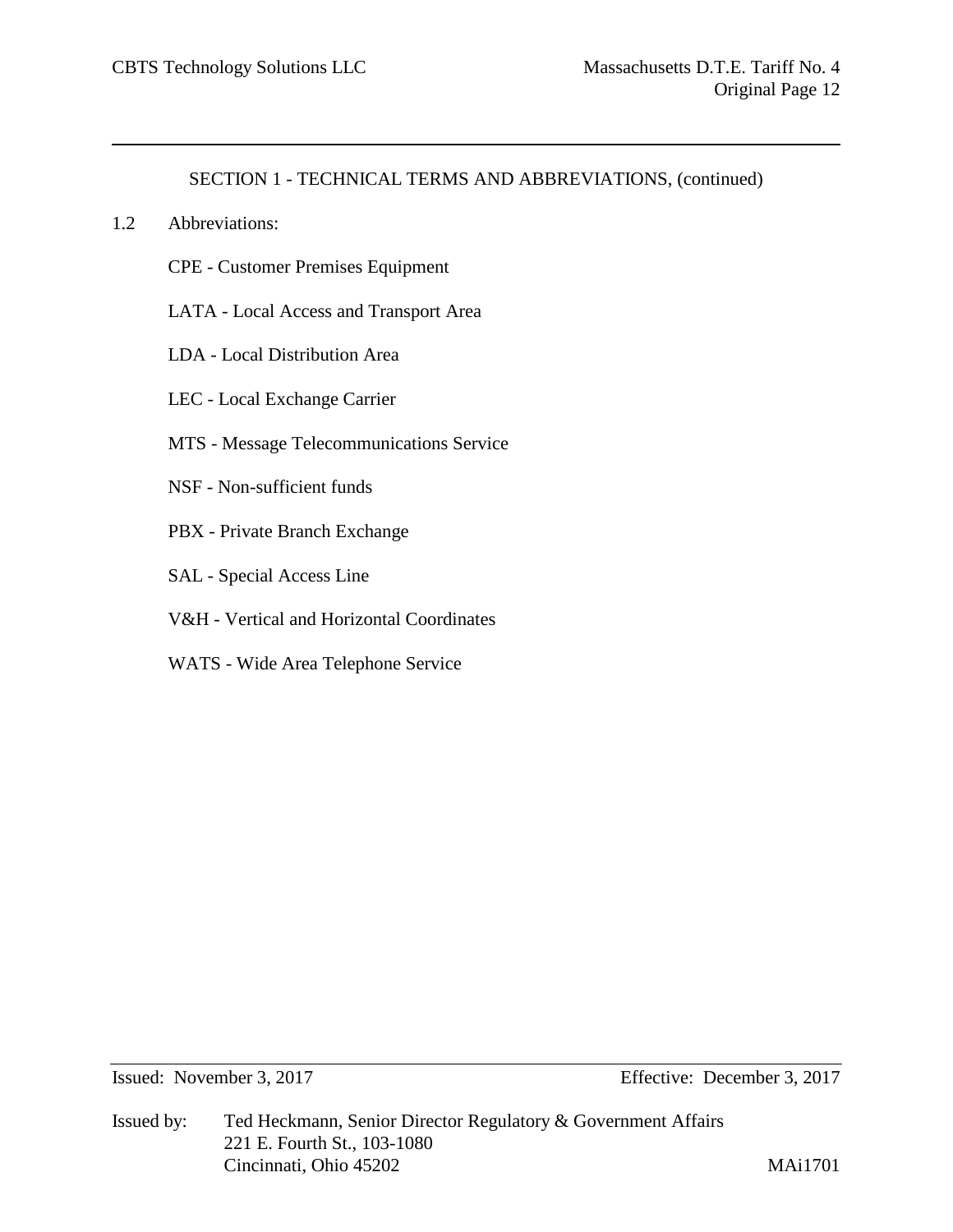- 1.2 Abbreviations:
	- CPE Customer Premises Equipment
	- LATA Local Access and Transport Area
	- LDA Local Distribution Area
	- LEC Local Exchange Carrier
	- MTS Message Telecommunications Service
	- NSF Non-sufficient funds
	- PBX Private Branch Exchange
	- SAL Special Access Line
	- V&H Vertical and Horizontal Coordinates
	- WATS Wide Area Telephone Service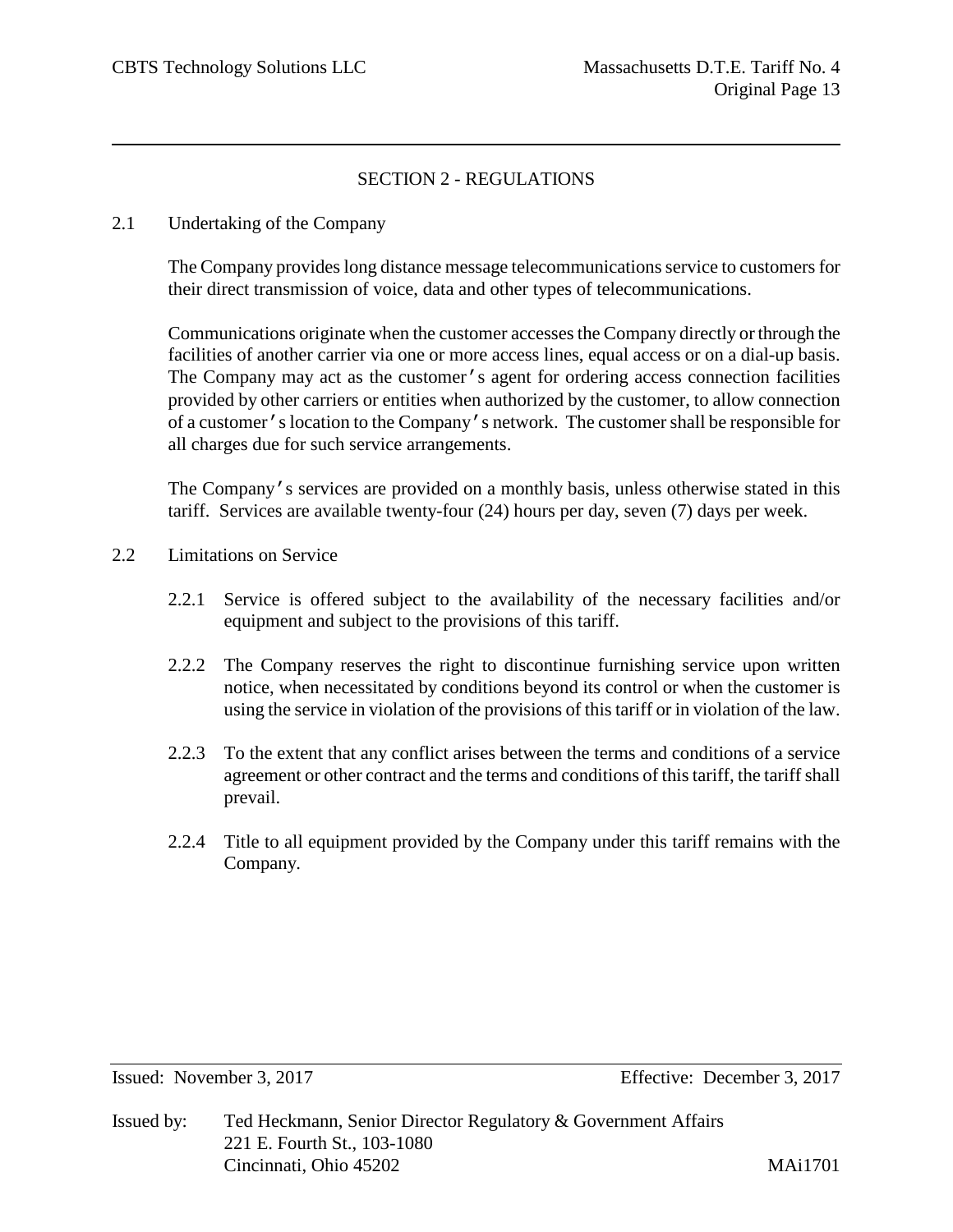# SECTION 2 - REGULATIONS

2.1 Undertaking of the Company

The Company provides long distance message telecommunications service to customers for their direct transmission of voice, data and other types of telecommunications.

Communications originate when the customer accesses the Company directly or through the facilities of another carrier via one or more access lines, equal access or on a dial-up basis. The Company may act as the customer's agent for ordering access connection facilities provided by other carriers or entities when authorized by the customer, to allow connection of a customer's location to the Company's network. The customer shall be responsible for all charges due for such service arrangements.

The Company's services are provided on a monthly basis, unless otherwise stated in this tariff. Services are available twenty-four (24) hours per day, seven (7) days per week.

- 2.2 Limitations on Service
	- 2.2.1 Service is offered subject to the availability of the necessary facilities and/or equipment and subject to the provisions of this tariff.
	- 2.2.2 The Company reserves the right to discontinue furnishing service upon written notice, when necessitated by conditions beyond its control or when the customer is using the service in violation of the provisions of this tariff or in violation of the law.
	- 2.2.3 To the extent that any conflict arises between the terms and conditions of a service agreement or other contract and the terms and conditions of this tariff, the tariff shall prevail.
	- 2.2.4 Title to all equipment provided by the Company under this tariff remains with the Company.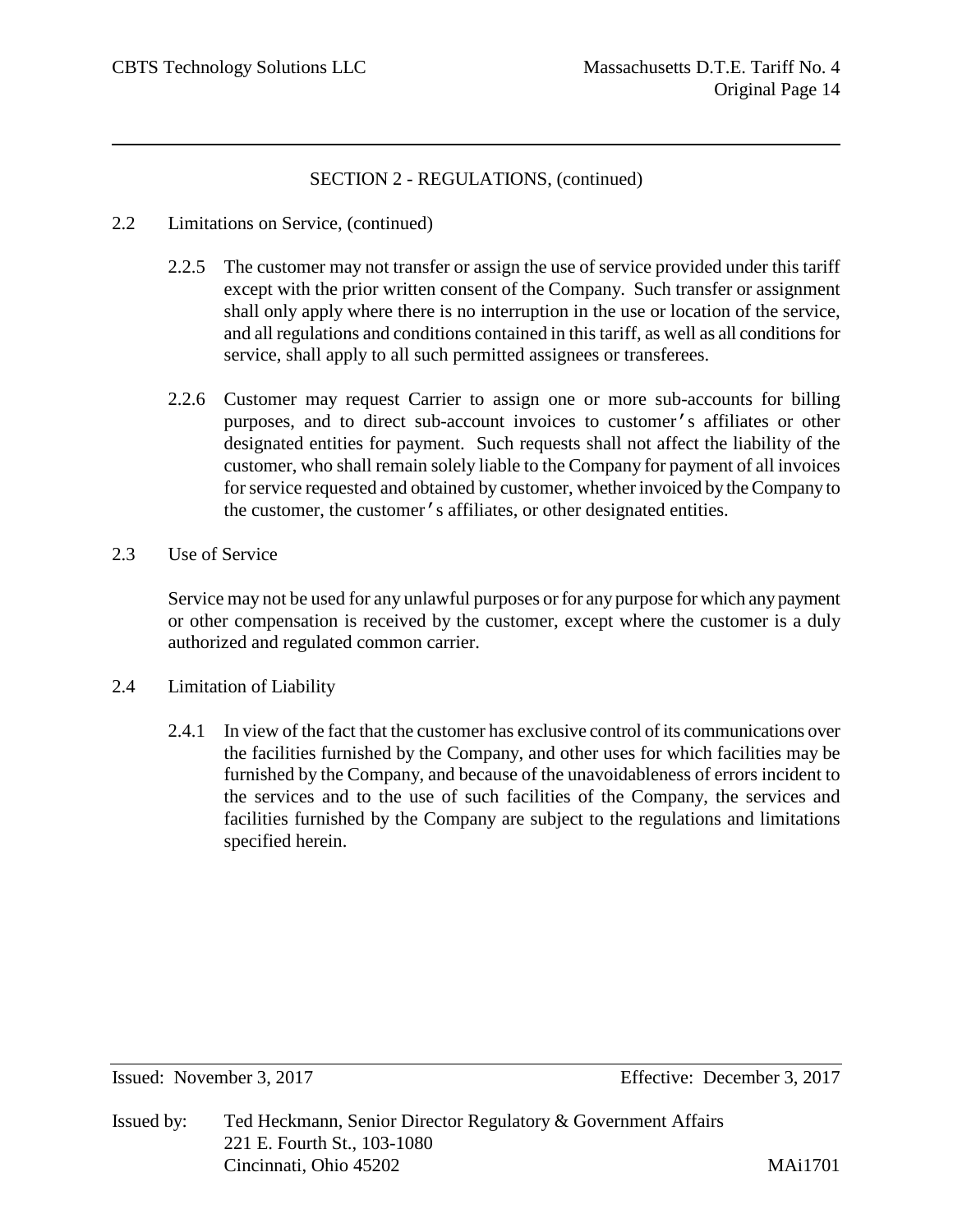- 2.2 Limitations on Service, (continued)
	- 2.2.5 The customer may not transfer or assign the use of service provided under this tariff except with the prior written consent of the Company. Such transfer or assignment shall only apply where there is no interruption in the use or location of the service, and all regulations and conditions contained in this tariff, as well as all conditions for service, shall apply to all such permitted assignees or transferees.
	- 2.2.6 Customer may request Carrier to assign one or more sub-accounts for billing purposes, and to direct sub-account invoices to customer's affiliates or other designated entities for payment. Such requests shall not affect the liability of the customer, who shall remain solely liable to the Company for payment of all invoices for service requested and obtained by customer, whether invoiced by the Company to the customer, the customer's affiliates, or other designated entities.
- 2.3 Use of Service

Service may not be used for any unlawful purposes or for any purpose for which any payment or other compensation is received by the customer, except where the customer is a duly authorized and regulated common carrier.

- 2.4 Limitation of Liability
	- 2.4.1 In view of the fact that the customer has exclusive control of its communications over the facilities furnished by the Company, and other uses for which facilities may be furnished by the Company, and because of the unavoidableness of errors incident to the services and to the use of such facilities of the Company, the services and facilities furnished by the Company are subject to the regulations and limitations specified herein.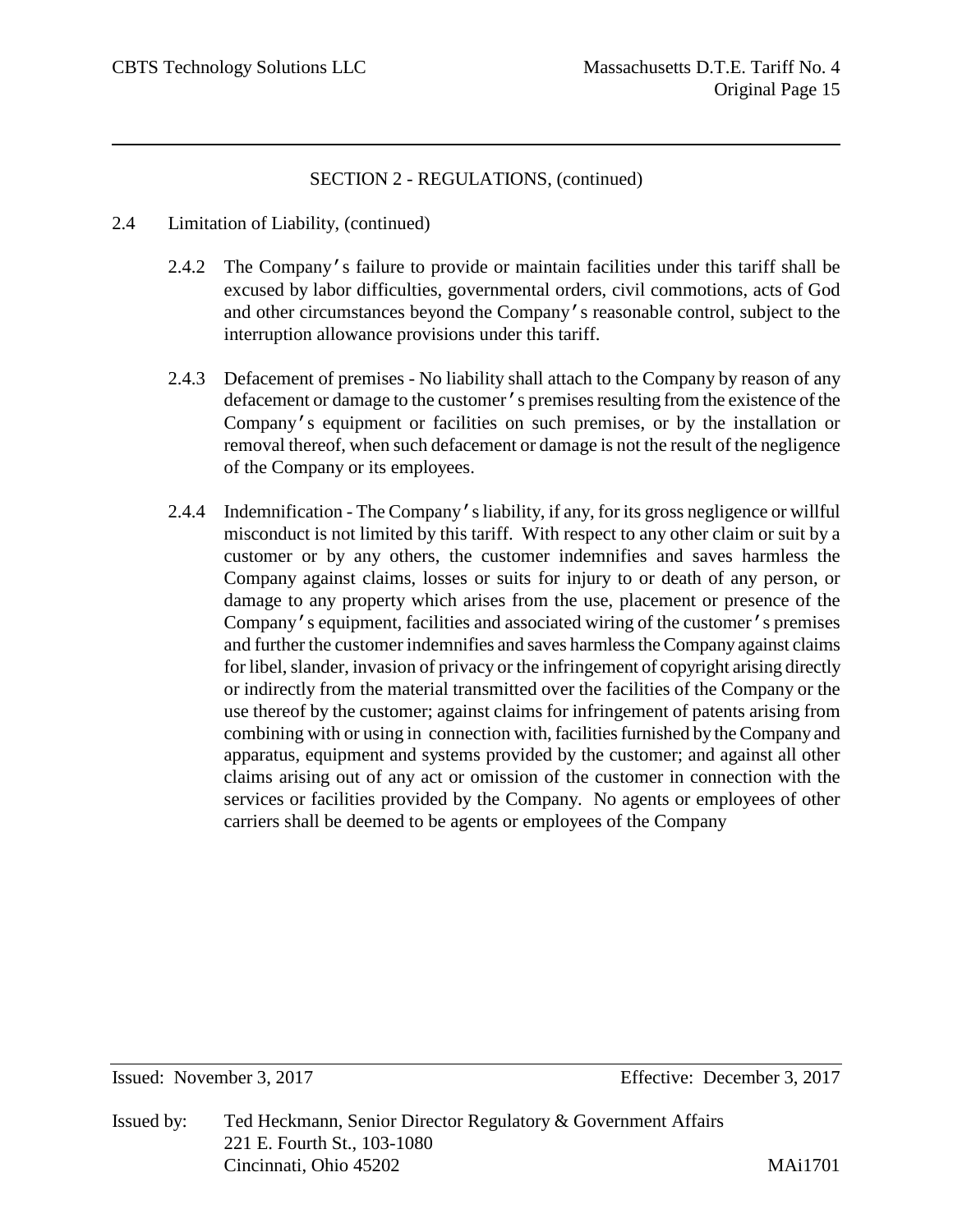- 2.4 Limitation of Liability, (continued)
	- 2.4.2 The Company's failure to provide or maintain facilities under this tariff shall be excused by labor difficulties, governmental orders, civil commotions, acts of God and other circumstances beyond the Company's reasonable control, subject to the interruption allowance provisions under this tariff.
	- 2.4.3 Defacement of premises No liability shall attach to the Company by reason of any defacement or damage to the customer's premises resulting from the existence of the Company's equipment or facilities on such premises, or by the installation or removal thereof, when such defacement or damage is not the result of the negligence of the Company or its employees.
	- 2.4.4 Indemnification The Company's liability, if any, for its gross negligence or willful misconduct is not limited by this tariff. With respect to any other claim or suit by a customer or by any others, the customer indemnifies and saves harmless the Company against claims, losses or suits for injury to or death of any person, or damage to any property which arises from the use, placement or presence of the Company's equipment, facilities and associated wiring of the customer's premises and further the customer indemnifies and saves harmless the Company against claims for libel, slander, invasion of privacy or the infringement of copyright arising directly or indirectly from the material transmitted over the facilities of the Company or the use thereof by the customer; against claims for infringement of patents arising from combining with or using in connection with, facilities furnished by the Company and apparatus, equipment and systems provided by the customer; and against all other claims arising out of any act or omission of the customer in connection with the services or facilities provided by the Company. No agents or employees of other carriers shall be deemed to be agents or employees of the Company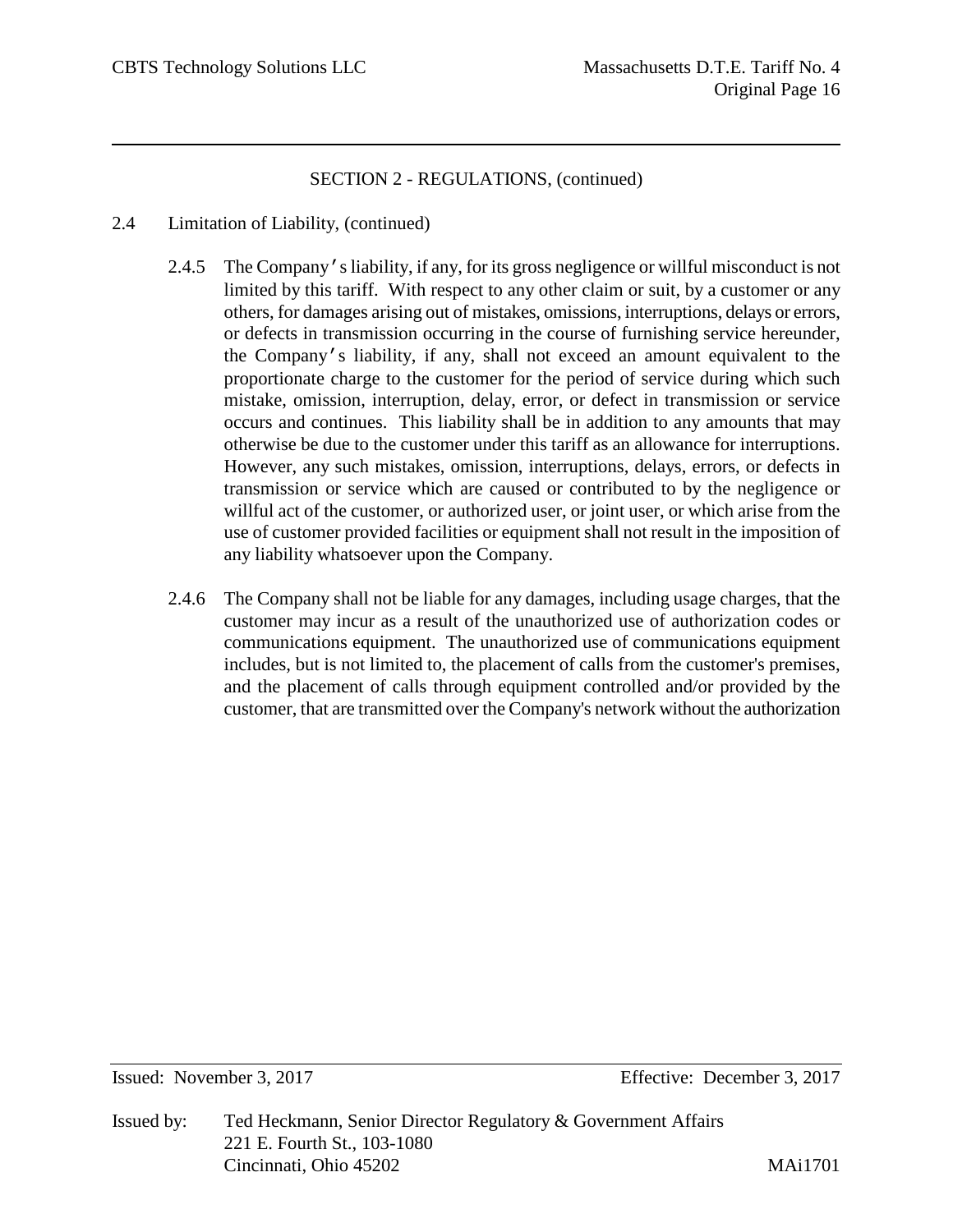- 2.4 Limitation of Liability, (continued)
	- 2.4.5 The Company's liability, if any, for its gross negligence or willful misconduct is not limited by this tariff. With respect to any other claim or suit, by a customer or any others, for damages arising out of mistakes, omissions, interruptions, delays or errors, or defects in transmission occurring in the course of furnishing service hereunder, the Company's liability, if any, shall not exceed an amount equivalent to the proportionate charge to the customer for the period of service during which such mistake, omission, interruption, delay, error, or defect in transmission or service occurs and continues. This liability shall be in addition to any amounts that may otherwise be due to the customer under this tariff as an allowance for interruptions. However, any such mistakes, omission, interruptions, delays, errors, or defects in transmission or service which are caused or contributed to by the negligence or willful act of the customer, or authorized user, or joint user, or which arise from the use of customer provided facilities or equipment shall not result in the imposition of any liability whatsoever upon the Company.
	- 2.4.6 The Company shall not be liable for any damages, including usage charges, that the customer may incur as a result of the unauthorized use of authorization codes or communications equipment. The unauthorized use of communications equipment includes, but is not limited to, the placement of calls from the customer's premises, and the placement of calls through equipment controlled and/or provided by the customer, that are transmitted over the Company's network without the authorization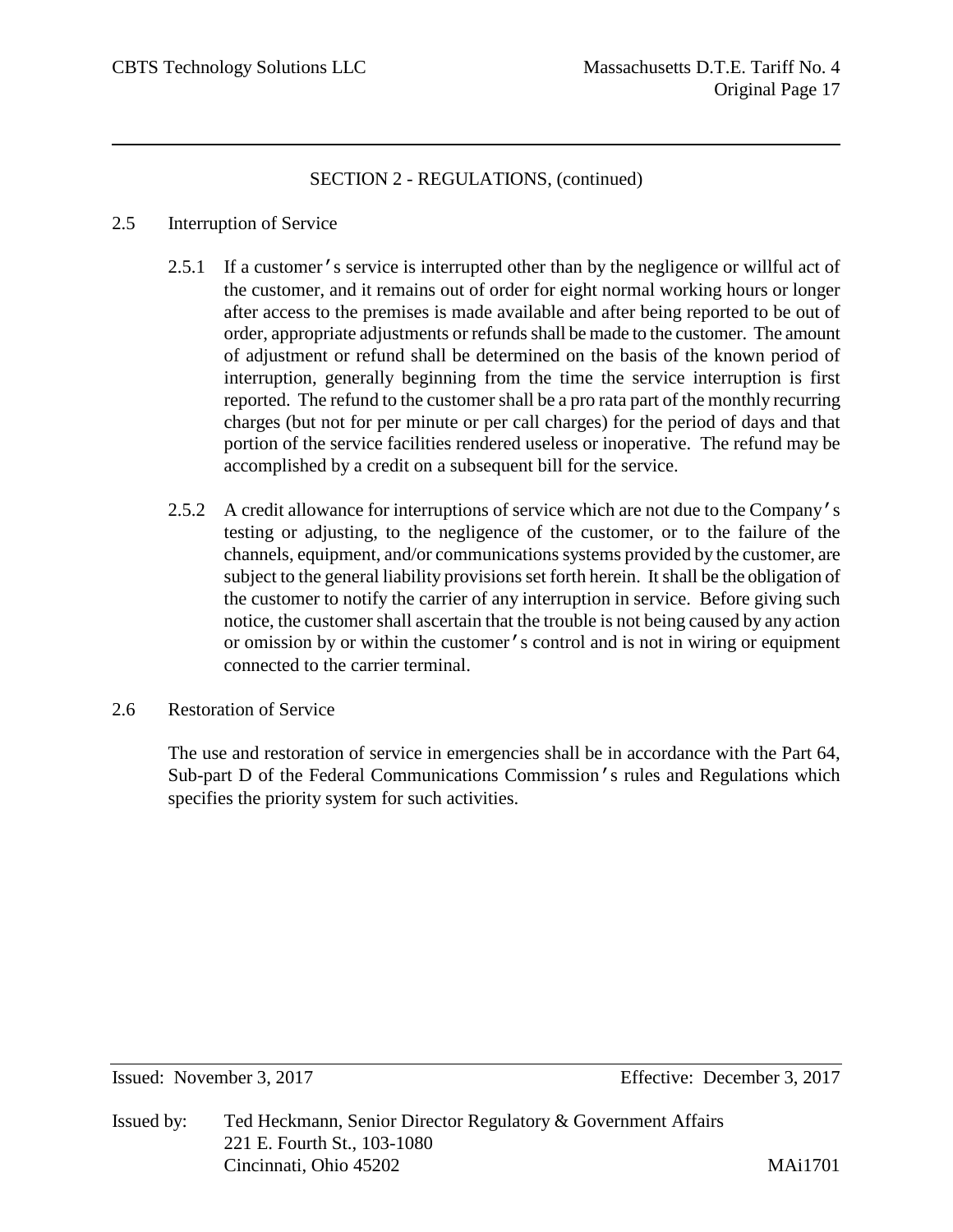#### 2.5 Interruption of Service

- 2.5.1 If a customer's service is interrupted other than by the negligence or willful act of the customer, and it remains out of order for eight normal working hours or longer after access to the premises is made available and after being reported to be out of order, appropriate adjustments or refunds shall be made to the customer. The amount of adjustment or refund shall be determined on the basis of the known period of interruption, generally beginning from the time the service interruption is first reported. The refund to the customer shall be a pro rata part of the monthly recurring charges (but not for per minute or per call charges) for the period of days and that portion of the service facilities rendered useless or inoperative. The refund may be accomplished by a credit on a subsequent bill for the service.
- 2.5.2 A credit allowance for interruptions of service which are not due to the Company's testing or adjusting, to the negligence of the customer, or to the failure of the channels, equipment, and/or communications systems provided by the customer, are subject to the general liability provisions set forth herein. It shall be the obligation of the customer to notify the carrier of any interruption in service. Before giving such notice, the customer shall ascertain that the trouble is not being caused by any action or omission by or within the customer's control and is not in wiring or equipment connected to the carrier terminal.
- 2.6 Restoration of Service

The use and restoration of service in emergencies shall be in accordance with the Part 64, Sub-part D of the Federal Communications Commission's rules and Regulations which specifies the priority system for such activities.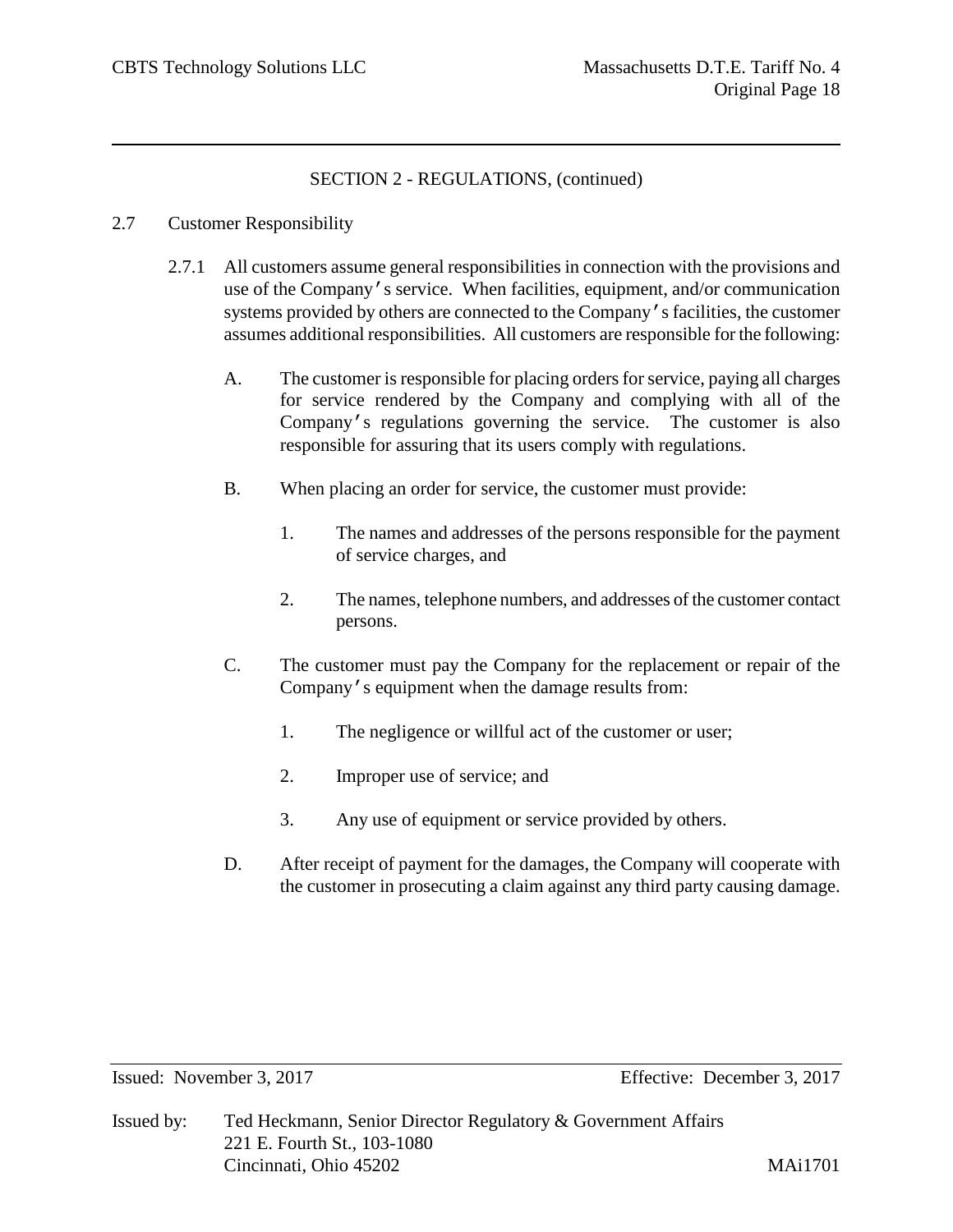## 2.7 Customer Responsibility

- 2.7.1 All customers assume general responsibilities in connection with the provisions and use of the Company's service. When facilities, equipment, and/or communication systems provided by others are connected to the Company's facilities, the customer assumes additional responsibilities. All customers are responsible for the following:
	- A. The customer is responsible for placing orders for service, paying all charges for service rendered by the Company and complying with all of the Company's regulations governing the service. The customer is also responsible for assuring that its users comply with regulations.
	- B. When placing an order for service, the customer must provide:
		- 1. The names and addresses of the persons responsible for the payment of service charges, and
		- 2. The names, telephone numbers, and addresses of the customer contact persons.
	- C. The customer must pay the Company for the replacement or repair of the Company's equipment when the damage results from:
		- 1. The negligence or willful act of the customer or user;
		- 2. Improper use of service; and
		- 3. Any use of equipment or service provided by others.
	- D. After receipt of payment for the damages, the Company will cooperate with the customer in prosecuting a claim against any third party causing damage.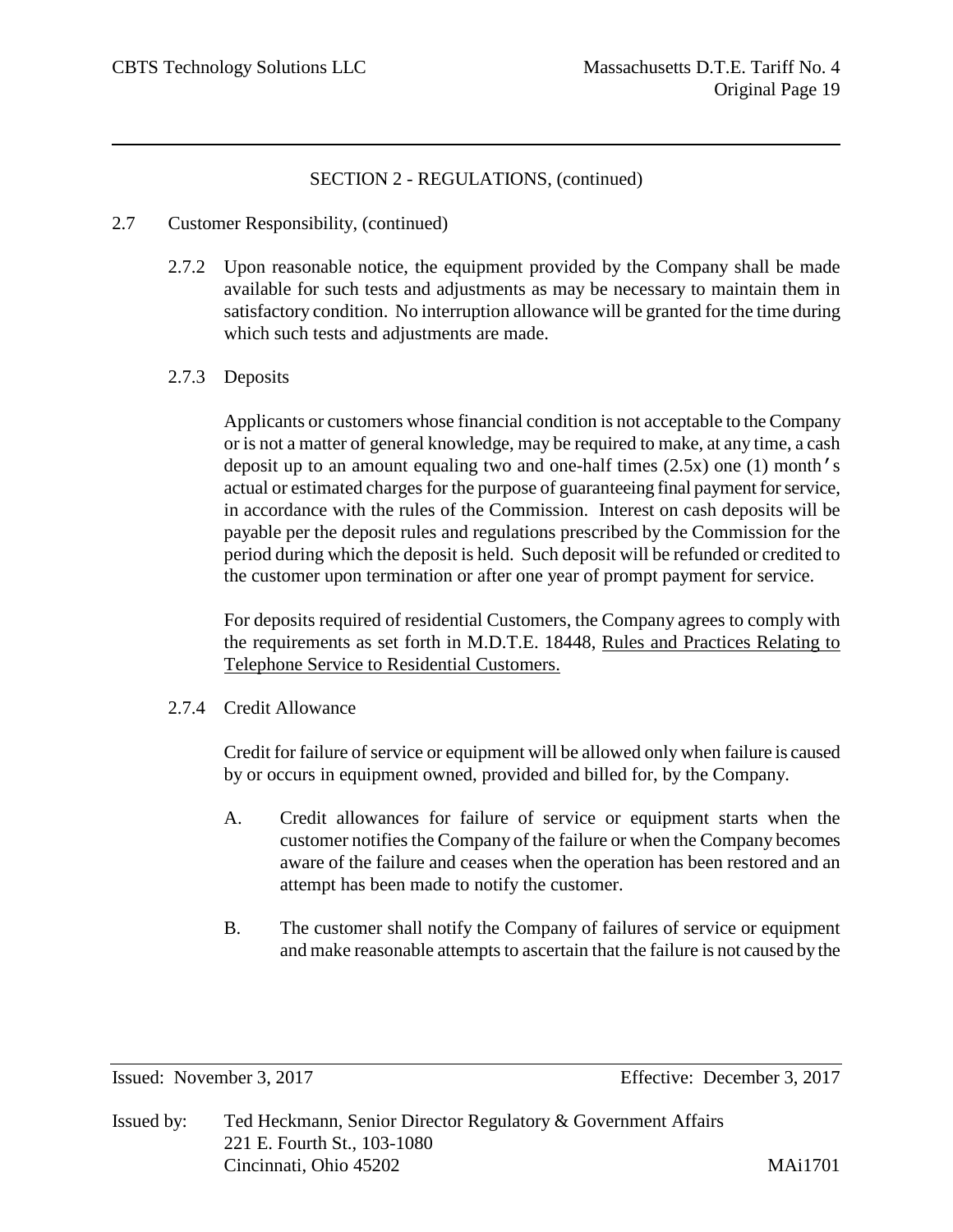## 2.7 Customer Responsibility, (continued)

2.7.2 Upon reasonable notice, the equipment provided by the Company shall be made available for such tests and adjustments as may be necessary to maintain them in satisfactory condition. No interruption allowance will be granted for the time during which such tests and adjustments are made.

## 2.7.3 Deposits

Applicants or customers whose financial condition is not acceptable to the Company or is not a matter of general knowledge, may be required to make, at any time, a cash deposit up to an amount equaling two and one-half times (2.5x) one (1) month's actual or estimated charges for the purpose of guaranteeing final payment for service, in accordance with the rules of the Commission. Interest on cash deposits will be payable per the deposit rules and regulations prescribed by the Commission for the period during which the deposit is held. Such deposit will be refunded or credited to the customer upon termination or after one year of prompt payment for service.

For deposits required of residential Customers, the Company agrees to comply with the requirements as set forth in M.D.T.E. 18448, Rules and Practices Relating to Telephone Service to Residential Customers.

#### 2.7.4 Credit Allowance

Credit for failure of service or equipment will be allowed only when failure is caused by or occurs in equipment owned, provided and billed for, by the Company.

- A. Credit allowances for failure of service or equipment starts when the customer notifies the Company of the failure or when the Company becomes aware of the failure and ceases when the operation has been restored and an attempt has been made to notify the customer.
- B. The customer shall notify the Company of failures of service or equipment and make reasonable attempts to ascertain that the failure is not caused by the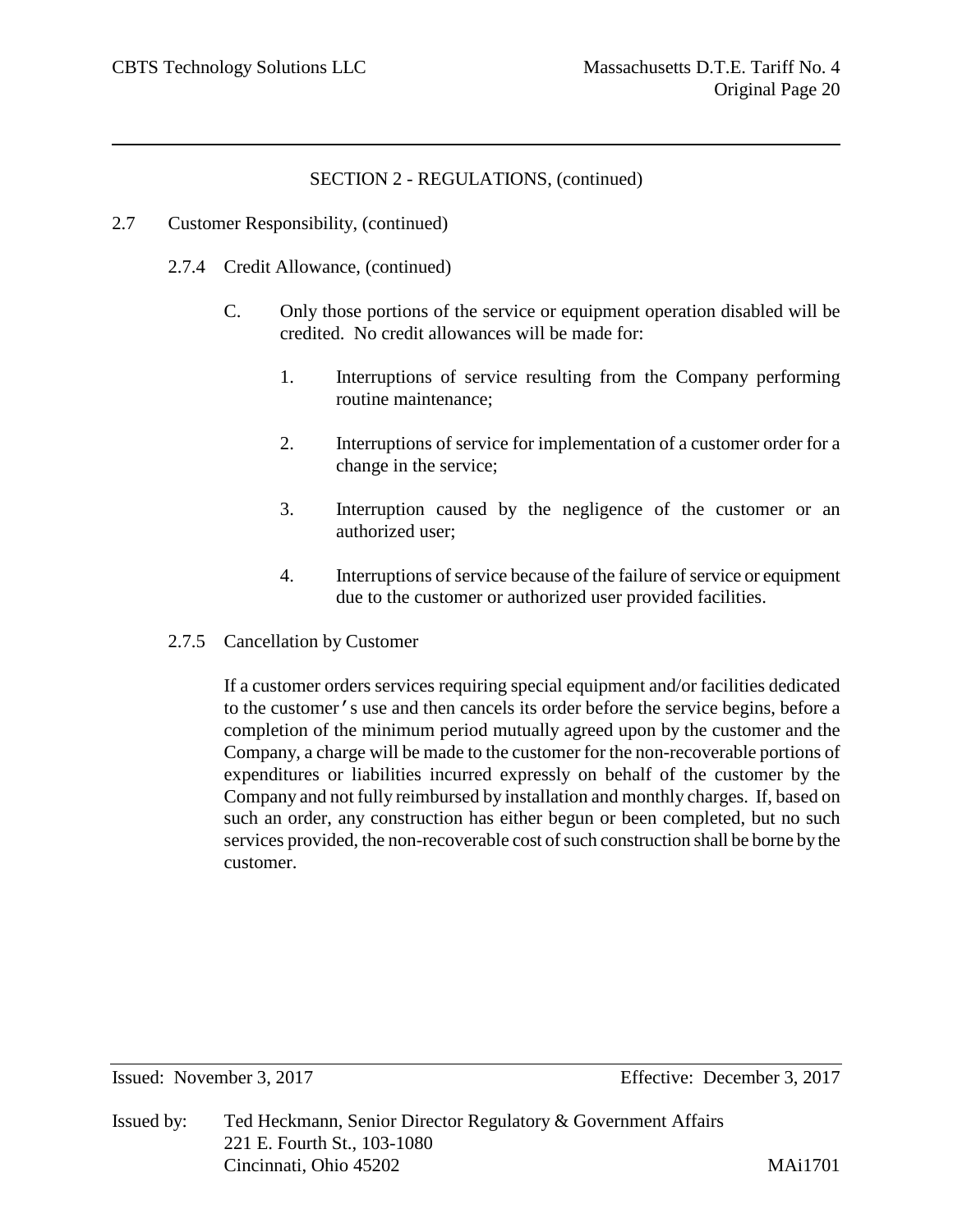- 2.7 Customer Responsibility, (continued)
	- 2.7.4 Credit Allowance, (continued)
		- C. Only those portions of the service or equipment operation disabled will be credited. No credit allowances will be made for:
			- 1. Interruptions of service resulting from the Company performing routine maintenance;
			- 2. Interruptions of service for implementation of a customer order for a change in the service;
			- 3. Interruption caused by the negligence of the customer or an authorized user;
			- 4. Interruptions of service because of the failure of service or equipment due to the customer or authorized user provided facilities.
	- 2.7.5 Cancellation by Customer

If a customer orders services requiring special equipment and/or facilities dedicated to the customer's use and then cancels its order before the service begins, before a completion of the minimum period mutually agreed upon by the customer and the Company, a charge will be made to the customer for the non-recoverable portions of expenditures or liabilities incurred expressly on behalf of the customer by the Company and not fully reimbursed by installation and monthly charges. If, based on such an order, any construction has either begun or been completed, but no such services provided, the non-recoverable cost of such construction shall be borne by the customer.

Issued by: Ted Heckmann, Senior Director Regulatory & Government Affairs 221 E. Fourth St., 103-1080 Cincinnati, Ohio 45202 MAi1701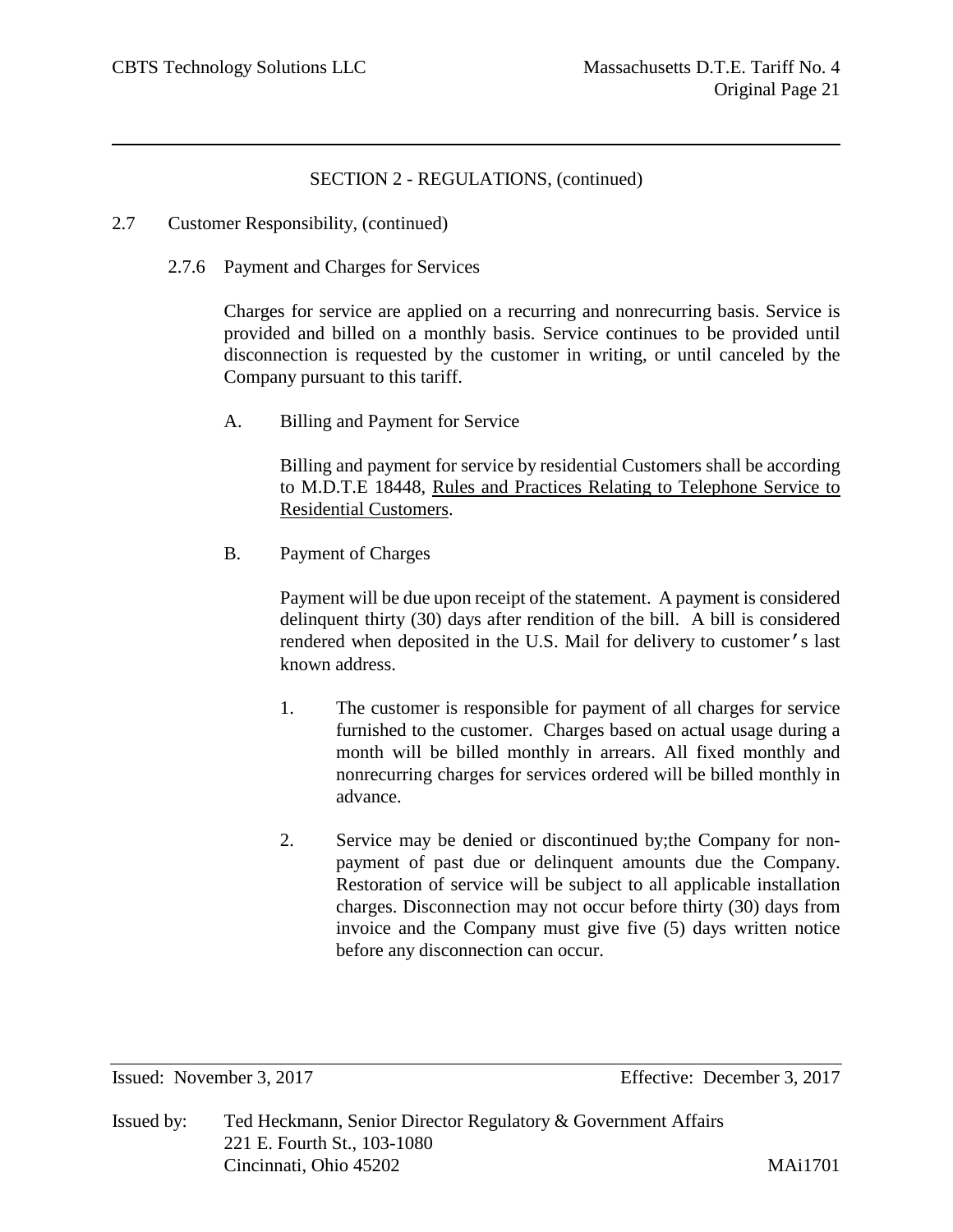- 2.7 Customer Responsibility, (continued)
	- 2.7.6 Payment and Charges for Services

Charges for service are applied on a recurring and nonrecurring basis. Service is provided and billed on a monthly basis. Service continues to be provided until disconnection is requested by the customer in writing, or until canceled by the Company pursuant to this tariff.

A. Billing and Payment for Service

Billing and payment for service by residential Customers shall be according to M.D.T.E 18448, Rules and Practices Relating to Telephone Service to Residential Customers.

B. Payment of Charges

Payment will be due upon receipt of the statement. A payment is considered delinquent thirty (30) days after rendition of the bill. A bill is considered rendered when deposited in the U.S. Mail for delivery to customer's last known address.

- 1. The customer is responsible for payment of all charges for service furnished to the customer. Charges based on actual usage during a month will be billed monthly in arrears. All fixed monthly and nonrecurring charges for services ordered will be billed monthly in advance.
- 2. Service may be denied or discontinued by;the Company for nonpayment of past due or delinquent amounts due the Company. Restoration of service will be subject to all applicable installation charges. Disconnection may not occur before thirty (30) days from invoice and the Company must give five (5) days written notice before any disconnection can occur.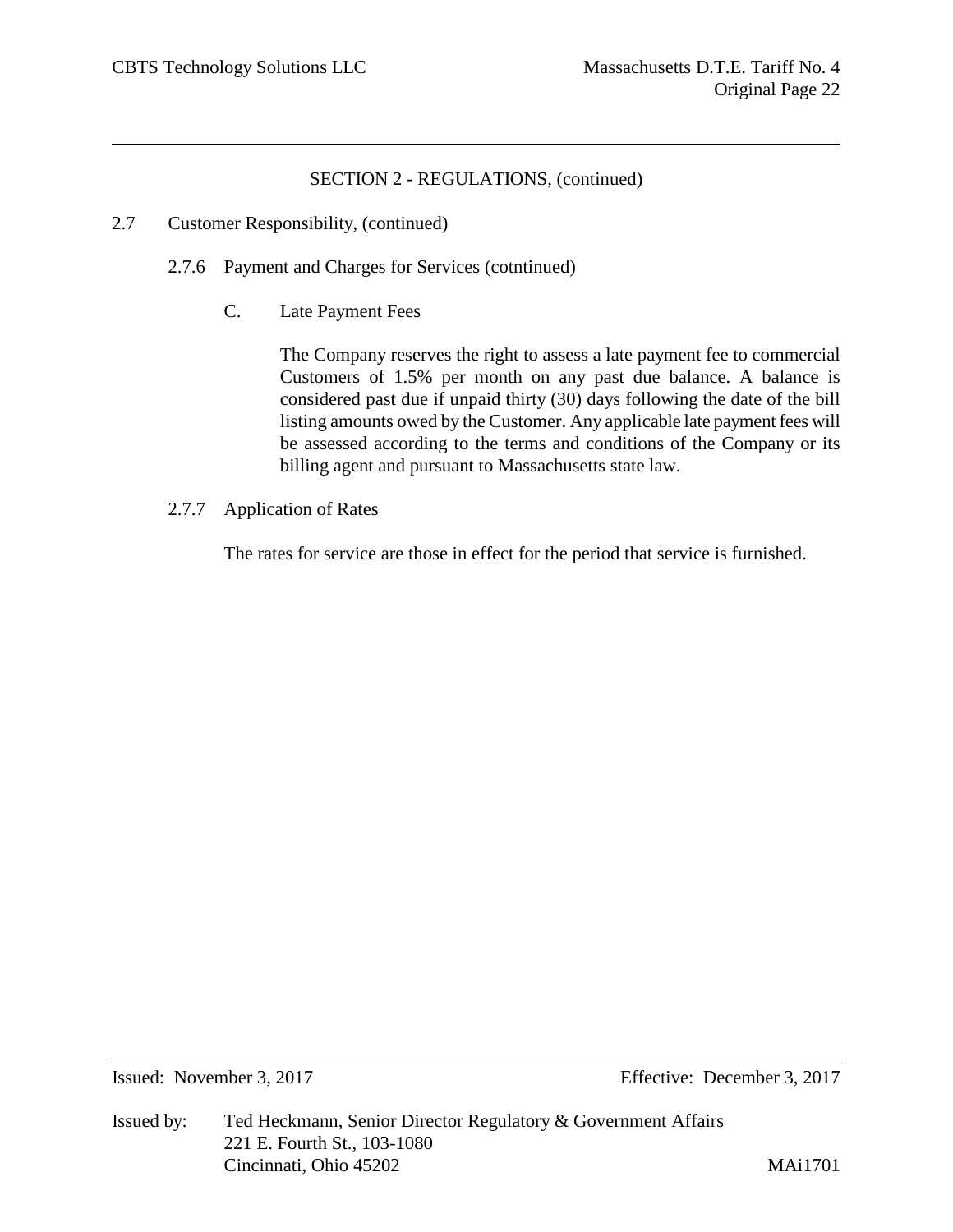- 2.7 Customer Responsibility, (continued)
	- 2.7.6 Payment and Charges for Services (cotntinued)
		- C. Late Payment Fees

The Company reserves the right to assess a late payment fee to commercial Customers of 1.5% per month on any past due balance. A balance is considered past due if unpaid thirty (30) days following the date of the bill listing amounts owed by the Customer. Any applicable late payment fees will be assessed according to the terms and conditions of the Company or its billing agent and pursuant to Massachusetts state law.

2.7.7 Application of Rates

The rates for service are those in effect for the period that service is furnished.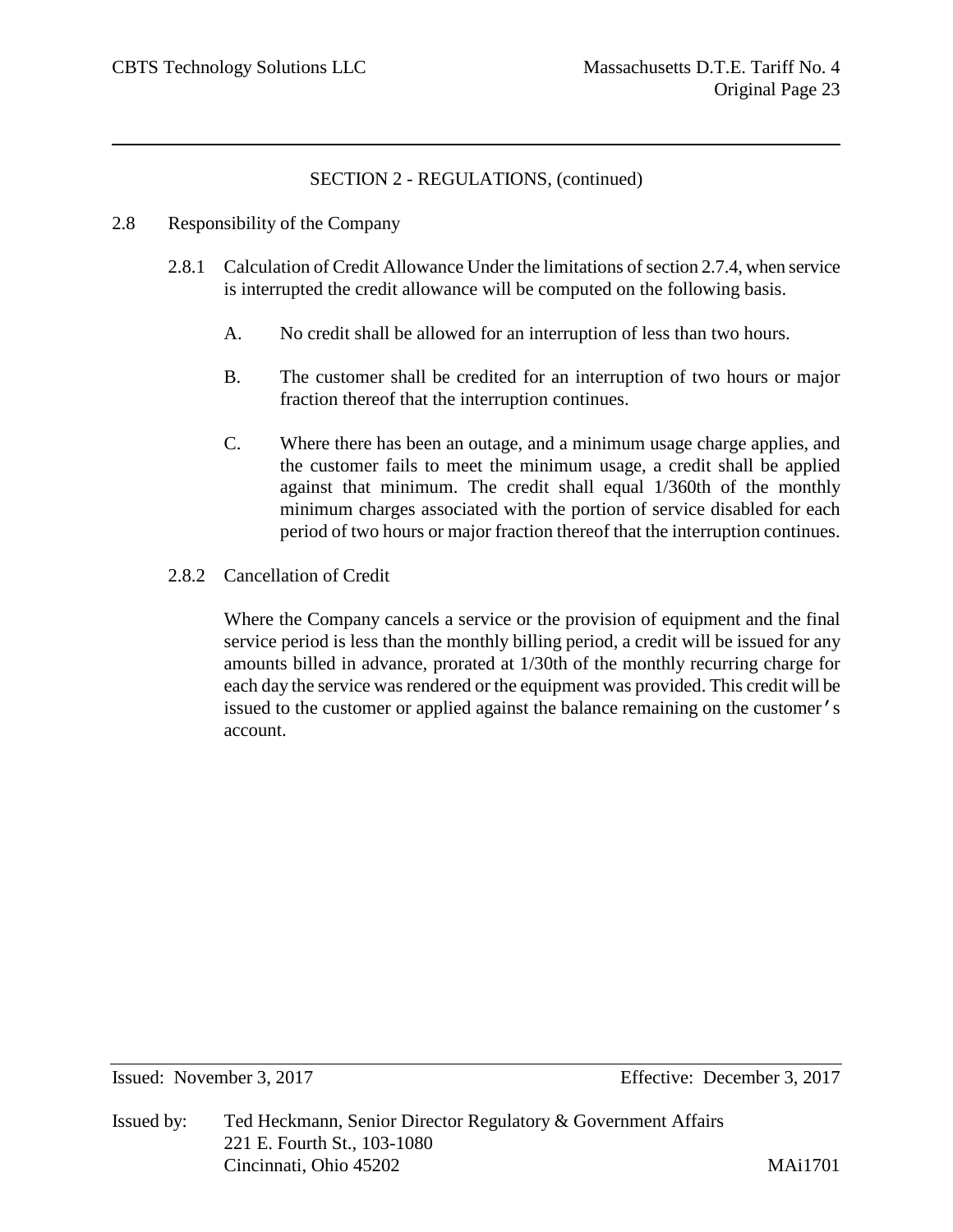## 2.8 Responsibility of the Company

- 2.8.1 Calculation of Credit Allowance Under the limitations of section 2.7.4, when service is interrupted the credit allowance will be computed on the following basis.
	- A. No credit shall be allowed for an interruption of less than two hours.
	- B. The customer shall be credited for an interruption of two hours or major fraction thereof that the interruption continues.
	- C. Where there has been an outage, and a minimum usage charge applies, and the customer fails to meet the minimum usage, a credit shall be applied against that minimum. The credit shall equal 1/360th of the monthly minimum charges associated with the portion of service disabled for each period of two hours or major fraction thereof that the interruption continues.

# 2.8.2 Cancellation of Credit

Where the Company cancels a service or the provision of equipment and the final service period is less than the monthly billing period, a credit will be issued for any amounts billed in advance, prorated at 1/30th of the monthly recurring charge for each day the service was rendered or the equipment was provided. This credit will be issued to the customer or applied against the balance remaining on the customer's account.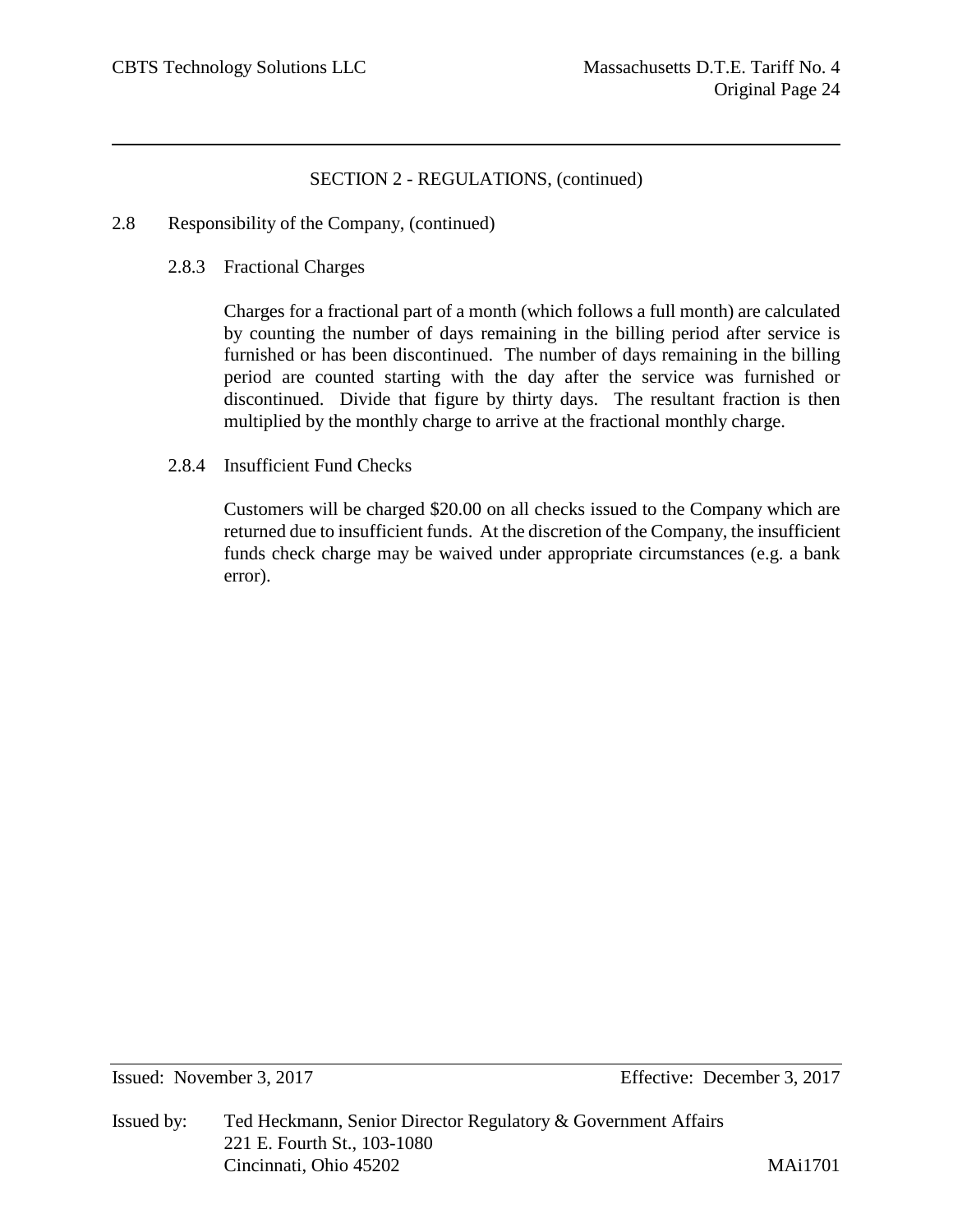- 2.8 Responsibility of the Company, (continued)
	- 2.8.3 Fractional Charges

Charges for a fractional part of a month (which follows a full month) are calculated by counting the number of days remaining in the billing period after service is furnished or has been discontinued. The number of days remaining in the billing period are counted starting with the day after the service was furnished or discontinued. Divide that figure by thirty days. The resultant fraction is then multiplied by the monthly charge to arrive at the fractional monthly charge.

2.8.4 Insufficient Fund Checks

Customers will be charged \$20.00 on all checks issued to the Company which are returned due to insufficient funds. At the discretion of the Company, the insufficient funds check charge may be waived under appropriate circumstances (e.g. a bank error).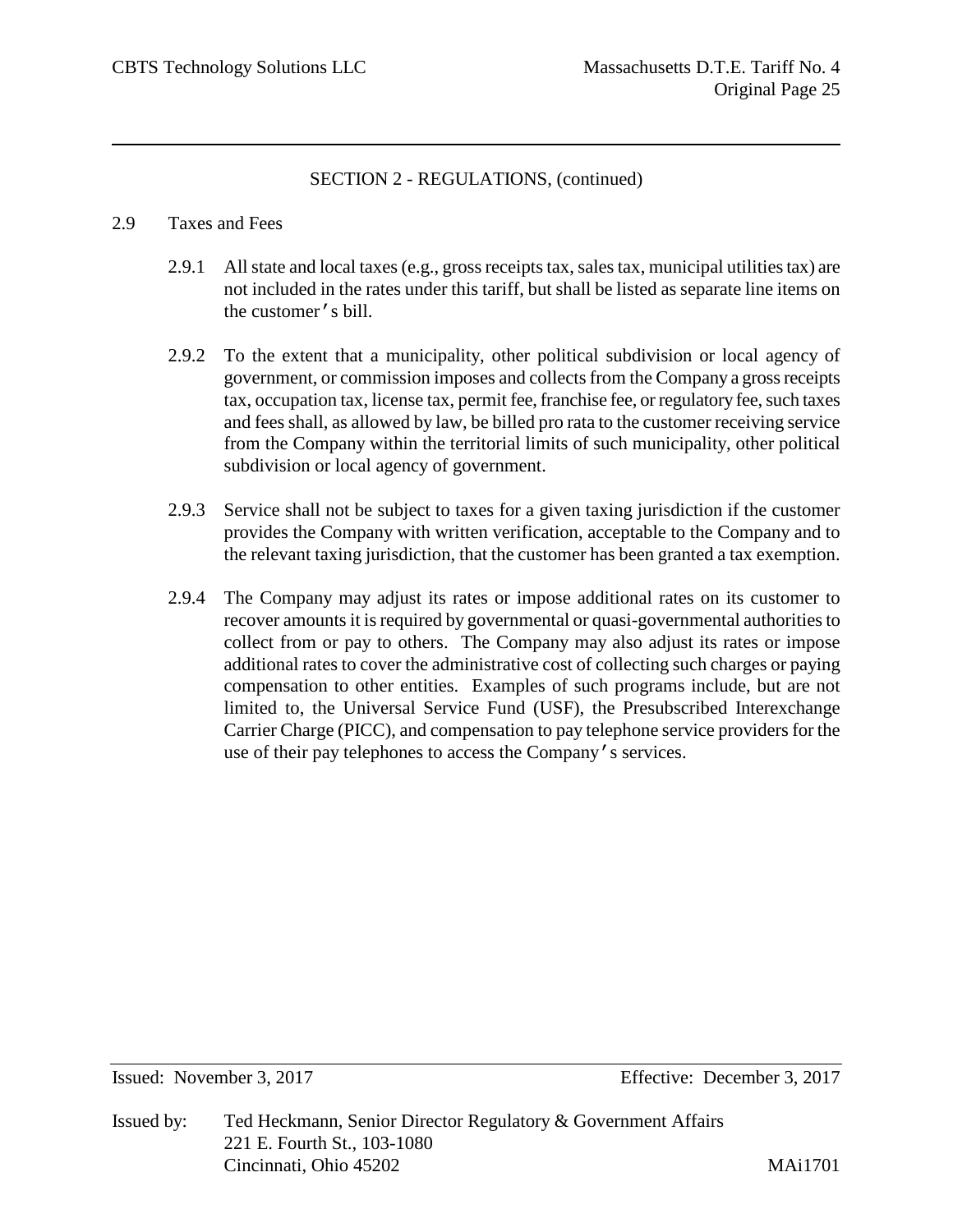## 2.9 Taxes and Fees

- 2.9.1 All state and local taxes (e.g., gross receipts tax, sales tax, municipal utilities tax) are not included in the rates under this tariff, but shall be listed as separate line items on the customer's bill.
- 2.9.2 To the extent that a municipality, other political subdivision or local agency of government, or commission imposes and collects from the Company a gross receipts tax, occupation tax, license tax, permit fee, franchise fee, or regulatory fee, such taxes and fees shall, as allowed by law, be billed pro rata to the customer receiving service from the Company within the territorial limits of such municipality, other political subdivision or local agency of government.
- 2.9.3 Service shall not be subject to taxes for a given taxing jurisdiction if the customer provides the Company with written verification, acceptable to the Company and to the relevant taxing jurisdiction, that the customer has been granted a tax exemption.
- 2.9.4 The Company may adjust its rates or impose additional rates on its customer to recover amounts it is required by governmental or quasi-governmental authorities to collect from or pay to others. The Company may also adjust its rates or impose additional rates to cover the administrative cost of collecting such charges or paying compensation to other entities. Examples of such programs include, but are not limited to, the Universal Service Fund (USF), the Presubscribed Interexchange Carrier Charge (PICC), and compensation to pay telephone service providers for the use of their pay telephones to access the Company's services.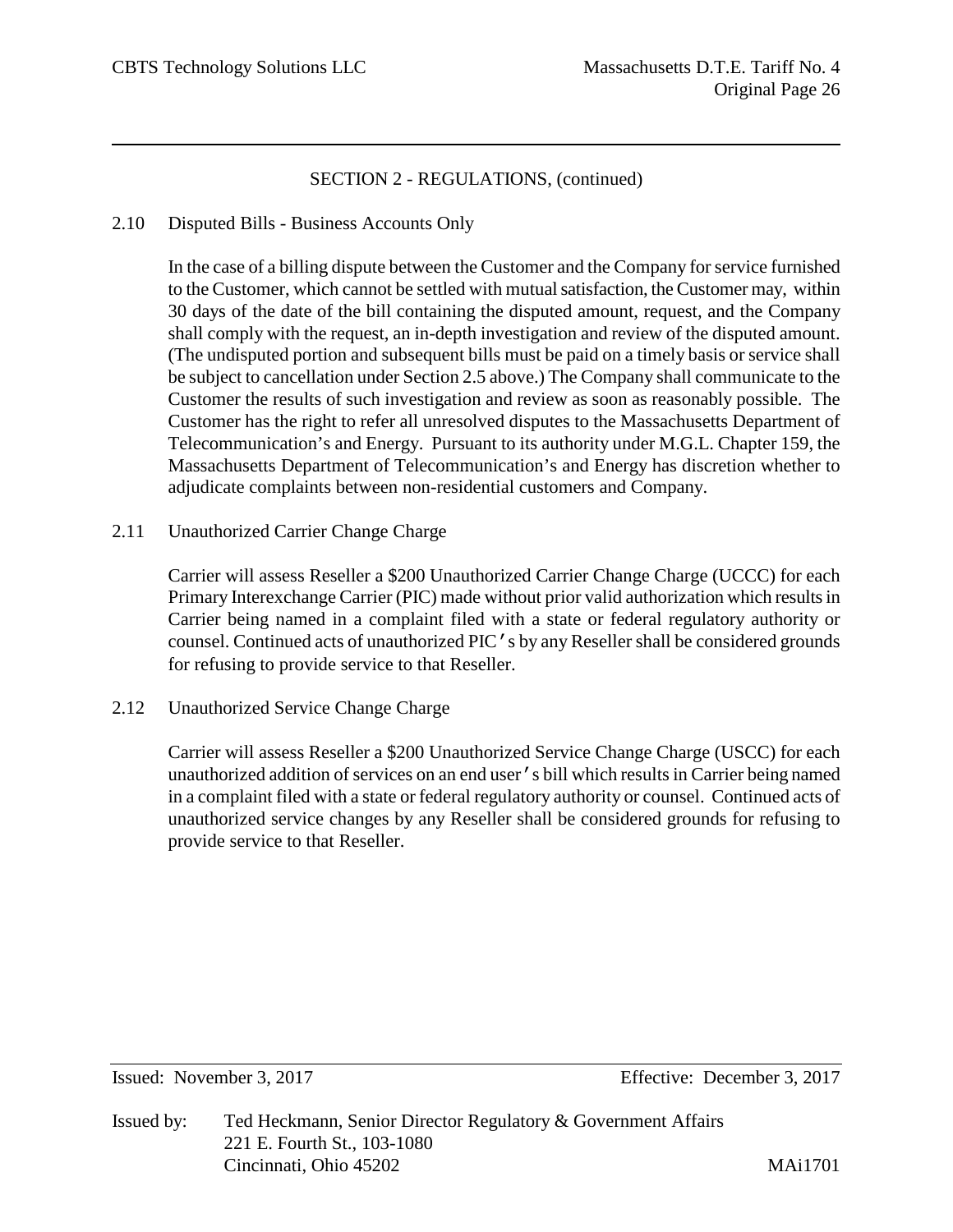## 2.10 Disputed Bills - Business Accounts Only

In the case of a billing dispute between the Customer and the Company for service furnished to the Customer, which cannot be settled with mutual satisfaction, the Customer may, within 30 days of the date of the bill containing the disputed amount, request, and the Company shall comply with the request, an in-depth investigation and review of the disputed amount. (The undisputed portion and subsequent bills must be paid on a timely basis or service shall be subject to cancellation under Section 2.5 above.) The Company shall communicate to the Customer the results of such investigation and review as soon as reasonably possible. The Customer has the right to refer all unresolved disputes to the Massachusetts Department of Telecommunication's and Energy. Pursuant to its authority under M.G.L. Chapter 159, the Massachusetts Department of Telecommunication's and Energy has discretion whether to adjudicate complaints between non-residential customers and Company.

2.11 Unauthorized Carrier Change Charge

Carrier will assess Reseller a \$200 Unauthorized Carrier Change Charge (UCCC) for each Primary Interexchange Carrier (PIC) made without prior valid authorization which results in Carrier being named in a complaint filed with a state or federal regulatory authority or counsel. Continued acts of unauthorized PIC's by any Reseller shall be considered grounds for refusing to provide service to that Reseller.

2.12 Unauthorized Service Change Charge

Carrier will assess Reseller a \$200 Unauthorized Service Change Charge (USCC) for each unauthorized addition of services on an end user's bill which results in Carrier being named in a complaint filed with a state or federal regulatory authority or counsel. Continued acts of unauthorized service changes by any Reseller shall be considered grounds for refusing to provide service to that Reseller.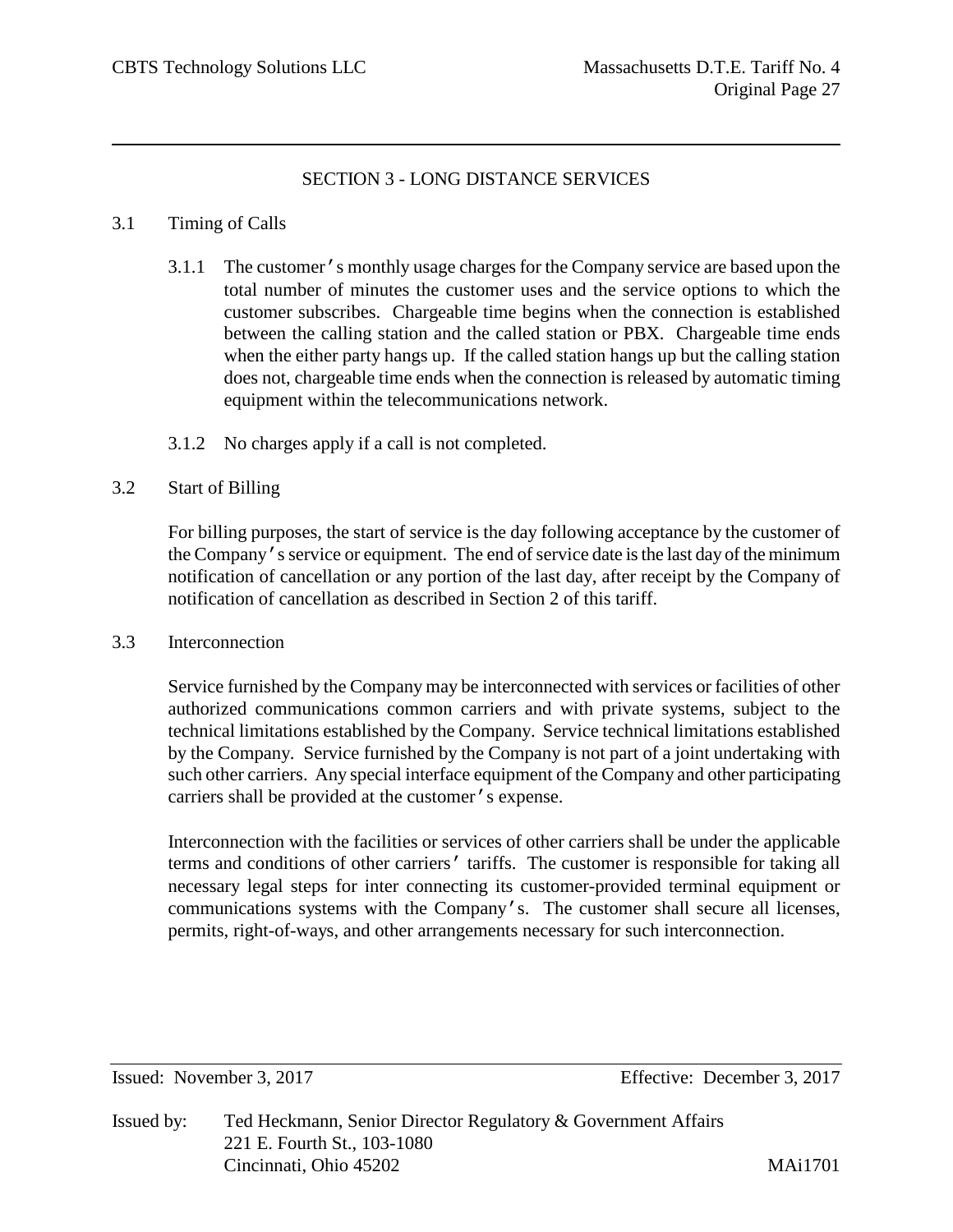# SECTION 3 - LONG DISTANCE SERVICES

## 3.1 Timing of Calls

- 3.1.1 The customer's monthly usage charges for the Company service are based upon the total number of minutes the customer uses and the service options to which the customer subscribes. Chargeable time begins when the connection is established between the calling station and the called station or PBX. Chargeable time ends when the either party hangs up. If the called station hangs up but the calling station does not, chargeable time ends when the connection is released by automatic timing equipment within the telecommunications network.
- 3.1.2 No charges apply if a call is not completed.

#### 3.2 Start of Billing

For billing purposes, the start of service is the day following acceptance by the customer of the Company's service or equipment. The end of service date is the last day of the minimum notification of cancellation or any portion of the last day, after receipt by the Company of notification of cancellation as described in Section 2 of this tariff.

#### 3.3 Interconnection

Service furnished by the Company may be interconnected with services or facilities of other authorized communications common carriers and with private systems, subject to the technical limitations established by the Company. Service technical limitations established by the Company. Service furnished by the Company is not part of a joint undertaking with such other carriers. Any special interface equipment of the Company and other participating carriers shall be provided at the customer's expense.

Interconnection with the facilities or services of other carriers shall be under the applicable terms and conditions of other carriers' tariffs. The customer is responsible for taking all necessary legal steps for inter connecting its customer-provided terminal equipment or communications systems with the Company's. The customer shall secure all licenses, permits, right-of-ways, and other arrangements necessary for such interconnection.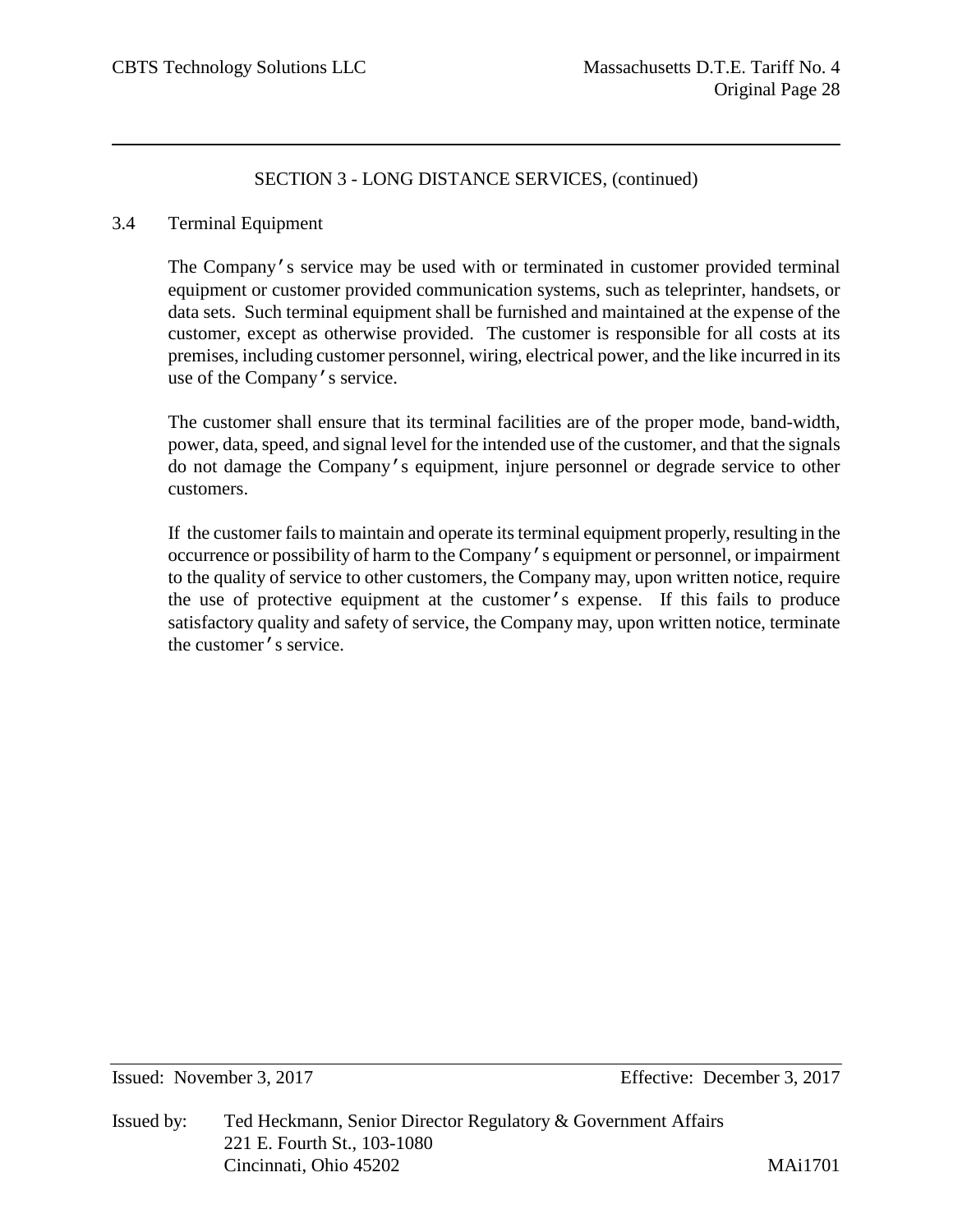#### 3.4 Terminal Equipment

The Company's service may be used with or terminated in customer provided terminal equipment or customer provided communication systems, such as teleprinter, handsets, or data sets. Such terminal equipment shall be furnished and maintained at the expense of the customer, except as otherwise provided. The customer is responsible for all costs at its premises, including customer personnel, wiring, electrical power, and the like incurred in its use of the Company's service.

The customer shall ensure that its terminal facilities are of the proper mode, band-width, power, data, speed, and signal level for the intended use of the customer, and that the signals do not damage the Company's equipment, injure personnel or degrade service to other customers.

If the customer fails to maintain and operate its terminal equipment properly, resulting in the occurrence or possibility of harm to the Company's equipment or personnel, or impairment to the quality of service to other customers, the Company may, upon written notice, require the use of protective equipment at the customer's expense. If this fails to produce satisfactory quality and safety of service, the Company may, upon written notice, terminate the customer's service.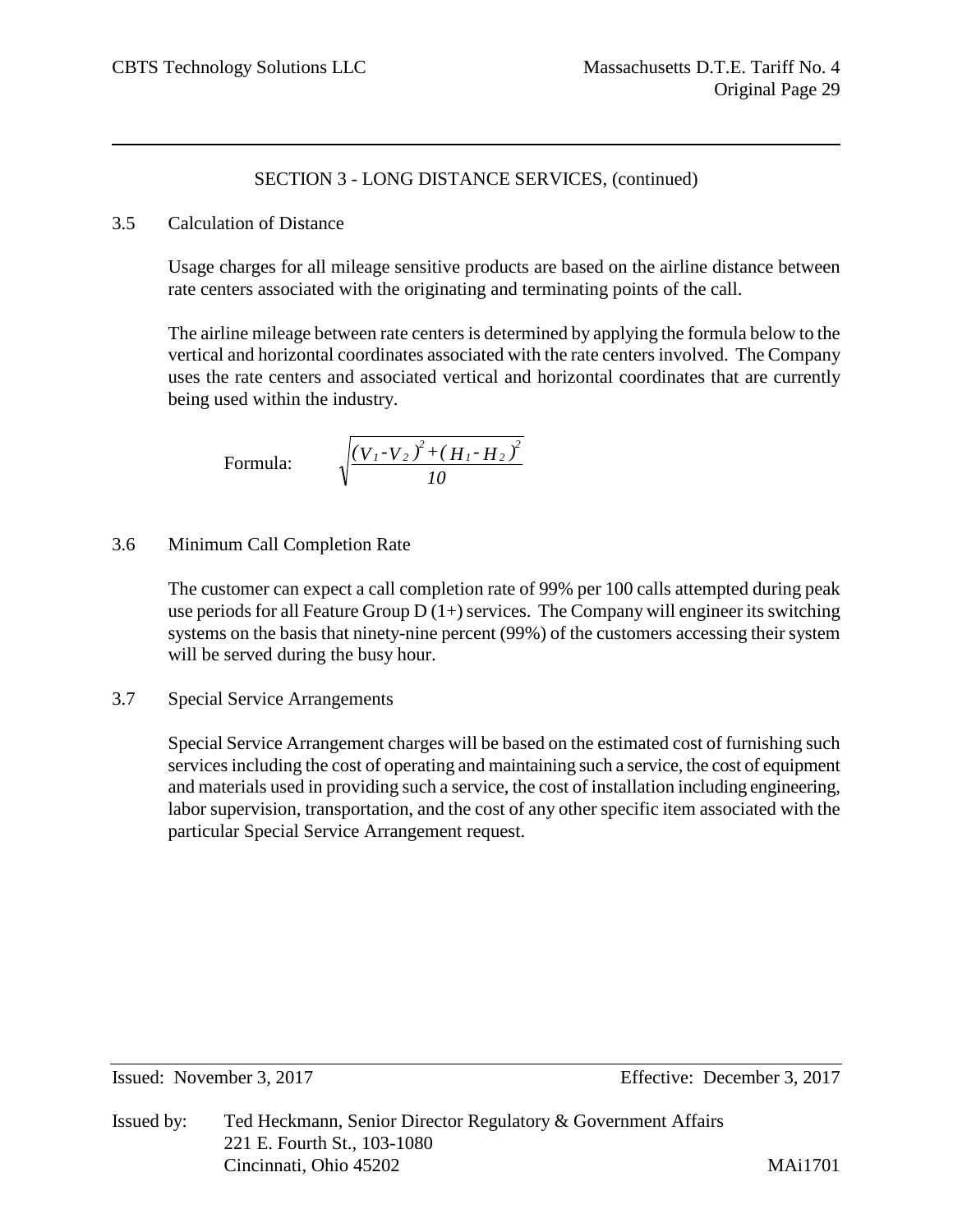## 3.5 Calculation of Distance

Usage charges for all mileage sensitive products are based on the airline distance between rate centers associated with the originating and terminating points of the call.

The airline mileage between rate centers is determined by applying the formula below to the vertical and horizontal coordinates associated with the rate centers involved. The Company uses the rate centers and associated vertical and horizontal coordinates that are currently being used within the industry.

Formula: 
$$
\sqrt{\frac{(V_{1}-V_{2})^{2}+(H_{1}-H_{2})^{2}}{10}}
$$

3.6 Minimum Call Completion Rate

The customer can expect a call completion rate of 99% per 100 calls attempted during peak use periods for all Feature Group  $D(1+)$  services. The Company will engineer its switching systems on the basis that ninety-nine percent (99%) of the customers accessing their system will be served during the busy hour.

3.7 Special Service Arrangements

Special Service Arrangement charges will be based on the estimated cost of furnishing such services including the cost of operating and maintaining such a service, the cost of equipment and materials used in providing such a service, the cost of installation including engineering, labor supervision, transportation, and the cost of any other specific item associated with the particular Special Service Arrangement request.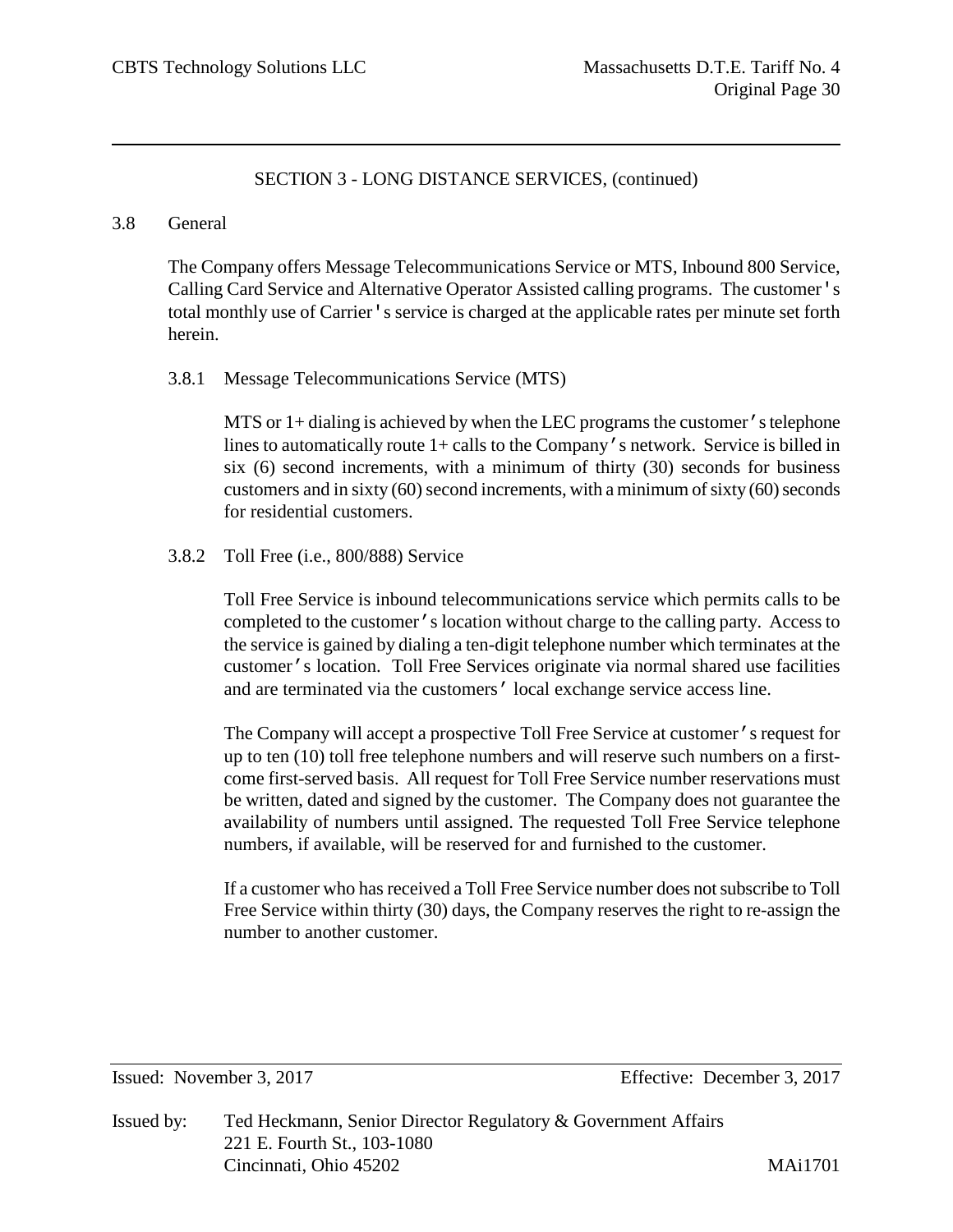#### 3.8 General

The Company offers Message Telecommunications Service or MTS, Inbound 800 Service, Calling Card Service and Alternative Operator Assisted calling programs. The customer's total monthly use of Carrier's service is charged at the applicable rates per minute set forth herein.

#### 3.8.1 Message Telecommunications Service (MTS)

MTS or 1+ dialing is achieved by when the LEC programs the customer's telephone lines to automatically route 1+ calls to the Company's network. Service is billed in six (6) second increments, with a minimum of thirty (30) seconds for business customers and in sixty (60) second increments, with a minimum of sixty (60) seconds for residential customers.

## 3.8.2 Toll Free (i.e., 800/888) Service

Toll Free Service is inbound telecommunications service which permits calls to be completed to the customer's location without charge to the calling party. Access to the service is gained by dialing a ten-digit telephone number which terminates at the customer's location. Toll Free Services originate via normal shared use facilities and are terminated via the customers' local exchange service access line.

The Company will accept a prospective Toll Free Service at customer's request for up to ten (10) toll free telephone numbers and will reserve such numbers on a firstcome first-served basis. All request for Toll Free Service number reservations must be written, dated and signed by the customer. The Company does not guarantee the availability of numbers until assigned. The requested Toll Free Service telephone numbers, if available, will be reserved for and furnished to the customer.

If a customer who has received a Toll Free Service number does not subscribe to Toll Free Service within thirty (30) days, the Company reserves the right to re-assign the number to another customer.

Issued: November 3, 2017 Effective: December 3, 2017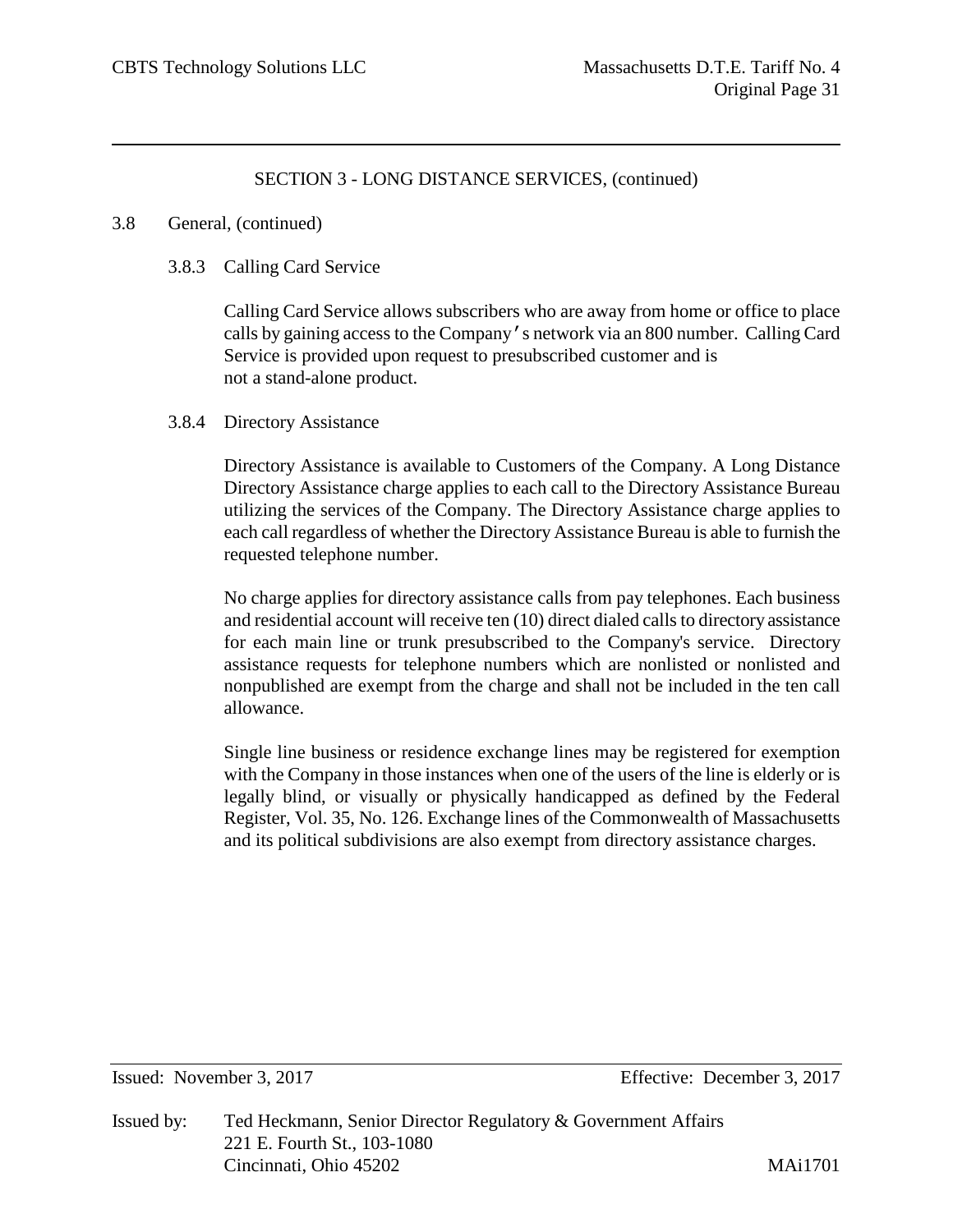#### 3.8 General, (continued)

#### 3.8.3 Calling Card Service

Calling Card Service allows subscribers who are away from home or office to place calls by gaining access to the Company's network via an 800 number. Calling Card Service is provided upon request to presubscribed customer and is not a stand-alone product.

## 3.8.4 Directory Assistance

Directory Assistance is available to Customers of the Company. A Long Distance Directory Assistance charge applies to each call to the Directory Assistance Bureau utilizing the services of the Company. The Directory Assistance charge applies to each call regardless of whether the Directory Assistance Bureau is able to furnish the requested telephone number.

No charge applies for directory assistance calls from pay telephones. Each business and residential account will receive ten (10) direct dialed calls to directory assistance for each main line or trunk presubscribed to the Company's service. Directory assistance requests for telephone numbers which are nonlisted or nonlisted and nonpublished are exempt from the charge and shall not be included in the ten call allowance.

Single line business or residence exchange lines may be registered for exemption with the Company in those instances when one of the users of the line is elderly or is legally blind, or visually or physically handicapped as defined by the Federal Register, Vol. 35, No. 126. Exchange lines of the Commonwealth of Massachusetts and its political subdivisions are also exempt from directory assistance charges.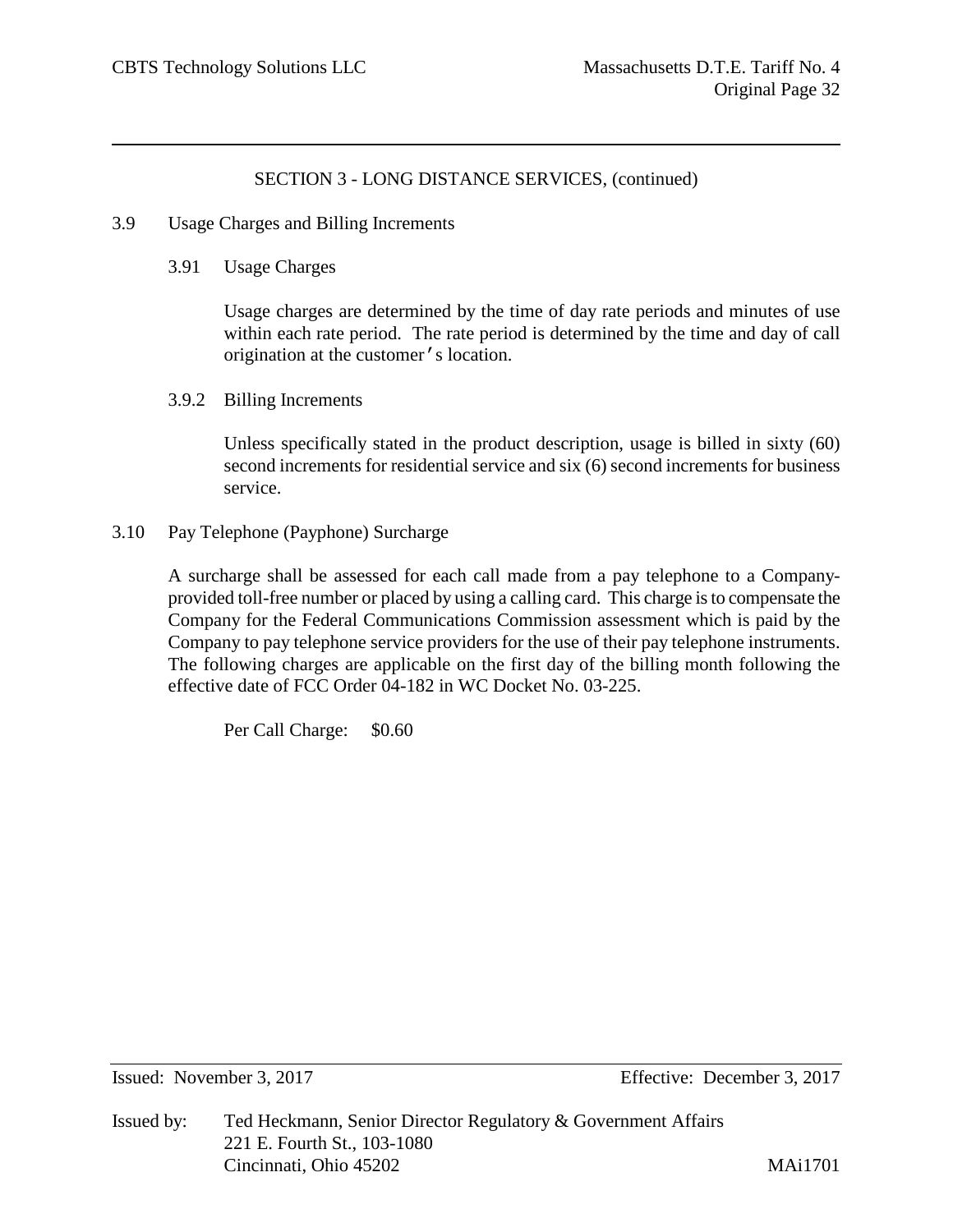- 3.9 Usage Charges and Billing Increments
	- 3.91 Usage Charges

Usage charges are determined by the time of day rate periods and minutes of use within each rate period. The rate period is determined by the time and day of call origination at the customer's location.

3.9.2 Billing Increments

Unless specifically stated in the product description, usage is billed in sixty (60) second increments for residential service and six (6) second increments for business service.

3.10 Pay Telephone (Payphone) Surcharge

A surcharge shall be assessed for each call made from a pay telephone to a Companyprovided toll-free number or placed by using a calling card. This charge is to compensate the Company for the Federal Communications Commission assessment which is paid by the Company to pay telephone service providers for the use of their pay telephone instruments. The following charges are applicable on the first day of the billing month following the effective date of FCC Order 04-182 in WC Docket No. 03-225.

Per Call Charge: \$0.60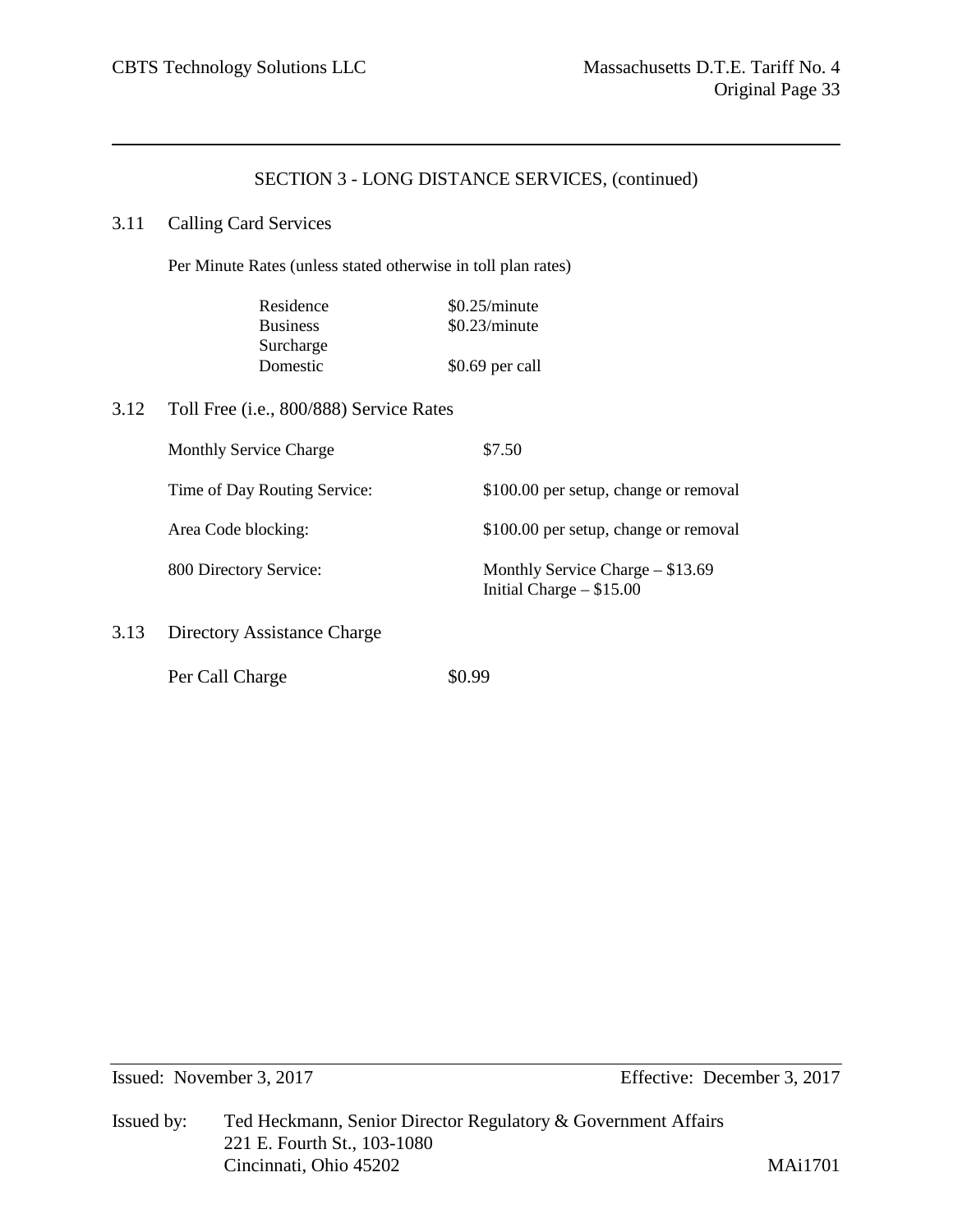#### 3.11 Calling Card Services

Per Minute Rates (unless stated otherwise in toll plan rates)

| Residence       | \$0.25/minute    |
|-----------------|------------------|
| <b>Business</b> | \$0.23/minute    |
| Surcharge       |                  |
| Domestic        | $$0.69$ per call |

3.12 Toll Free (i.e., 800/888) Service Rates

| <b>Monthly Service Charge</b> | \$7.50                                                           |
|-------------------------------|------------------------------------------------------------------|
| Time of Day Routing Service:  | \$100.00 per setup, change or removal                            |
| Area Code blocking:           | \$100.00 per setup, change or removal                            |
| 800 Directory Service:        | Monthly Service Charge $-$ \$13.69<br>Initial Charge $-$ \$15.00 |
| Directory Assistance Charge   |                                                                  |

Per Call Charge  $\$0.99$ 

 $3.13$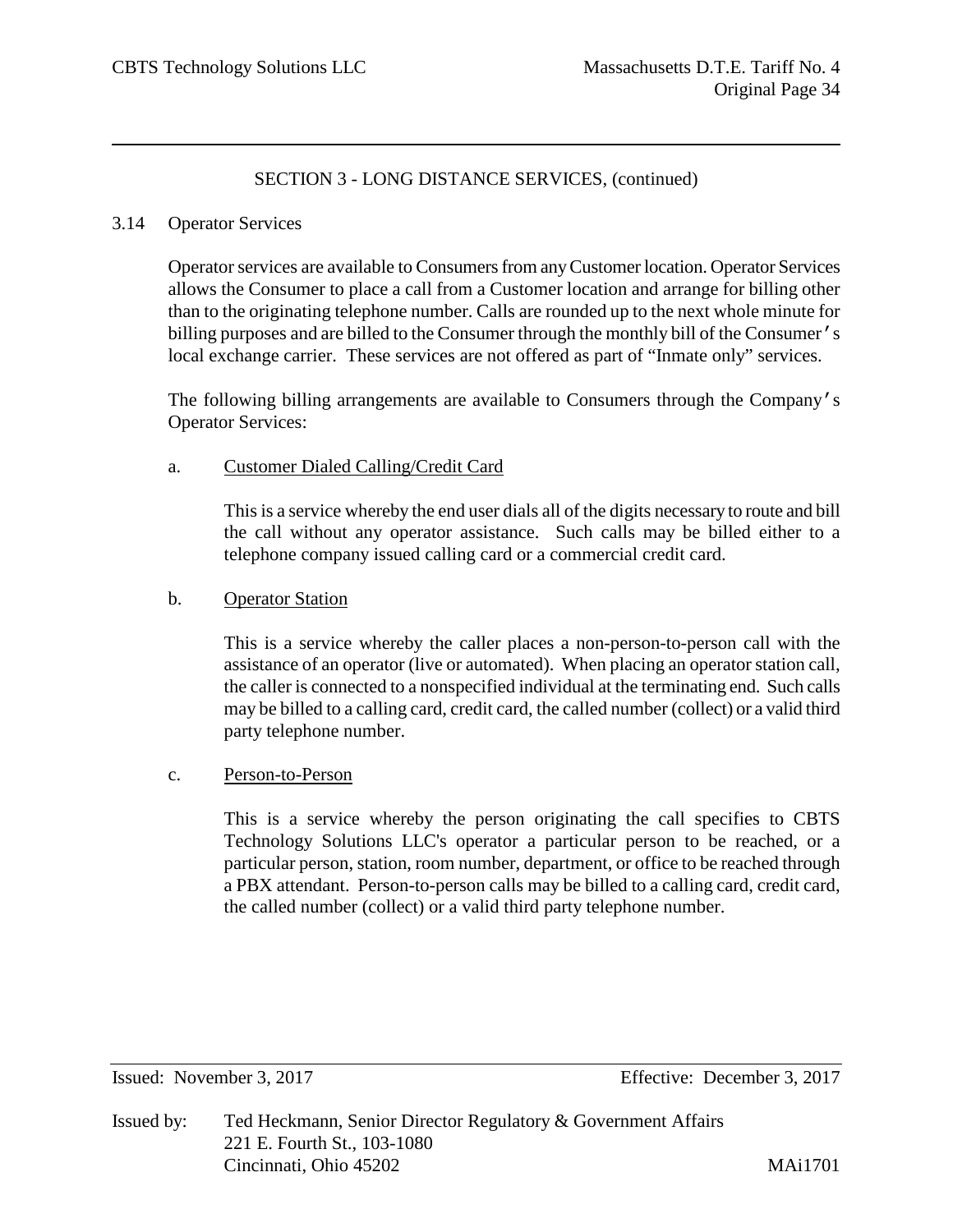#### 3.14 Operator Services

Operator services are available to Consumers from any Customer location. Operator Services allows the Consumer to place a call from a Customer location and arrange for billing other than to the originating telephone number. Calls are rounded up to the next whole minute for billing purposes and are billed to the Consumer through the monthly bill of the Consumer's local exchange carrier. These services are not offered as part of "Inmate only" services.

The following billing arrangements are available to Consumers through the Company's Operator Services:

#### a. Customer Dialed Calling/Credit Card

This is a service whereby the end user dials all of the digits necessary to route and bill the call without any operator assistance. Such calls may be billed either to a telephone company issued calling card or a commercial credit card.

#### b. Operator Station

This is a service whereby the caller places a non-person-to-person call with the assistance of an operator (live or automated). When placing an operator station call, the caller is connected to a nonspecified individual at the terminating end. Such calls may be billed to a calling card, credit card, the called number (collect) or a valid third party telephone number.

#### c. Person-to-Person

This is a service whereby the person originating the call specifies to CBTS Technology Solutions LLC's operator a particular person to be reached, or a particular person, station, room number, department, or office to be reached through a PBX attendant. Person-to-person calls may be billed to a calling card, credit card, the called number (collect) or a valid third party telephone number.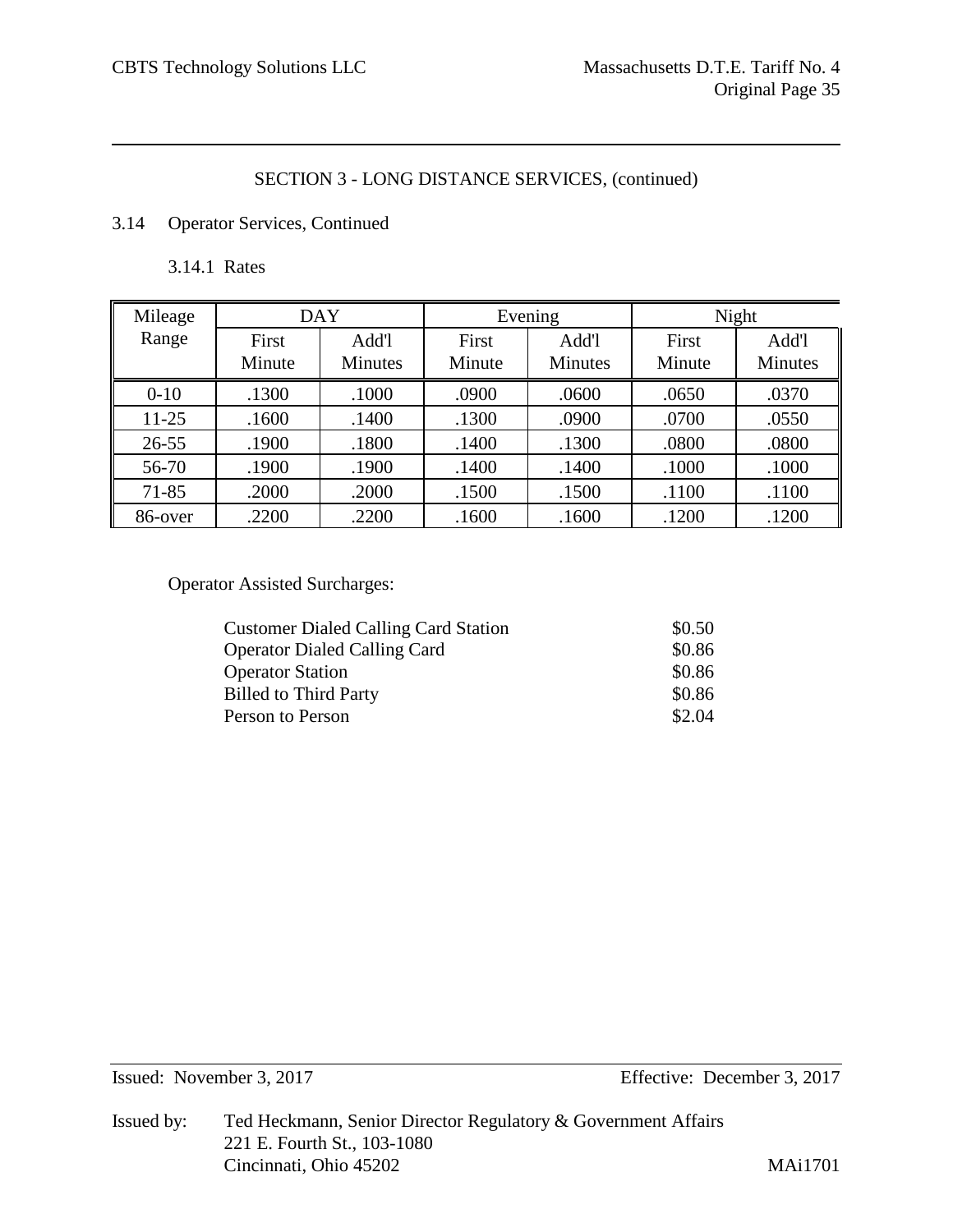## 3.14 Operator Services, Continued

3.14.1 Rates

| Mileage   | <b>DAY</b>      |                         |                 | Evening                 | Night           |                         |
|-----------|-----------------|-------------------------|-----------------|-------------------------|-----------------|-------------------------|
| Range     | First<br>Minute | Add'l<br><b>Minutes</b> | First<br>Minute | Add'l<br><b>Minutes</b> | First<br>Minute | Add'l<br><b>Minutes</b> |
| $0 - 10$  | .1300           | .1000                   | .0900           | .0600                   | .0650           | .0370                   |
| $11-25$   | .1600           | .1400                   | .1300           | .0900                   | .0700           | .0550                   |
| $26 - 55$ | .1900           | .1800                   | .1400           | .1300                   | .0800           | .0800                   |
| 56-70     | .1900           | .1900                   | .1400           | .1400                   | .1000           | .1000                   |
| $71 - 85$ | .2000           | .2000                   | .1500           | .1500                   | .1100           | .1100                   |
| 86-over   | .2200           | .2200                   | .1600           | .1600                   | .1200           | .1200                   |

Operator Assisted Surcharges:

| \$0.50 |
|--------|
| \$0.86 |
| \$0.86 |
| \$0.86 |
| \$2.04 |
|        |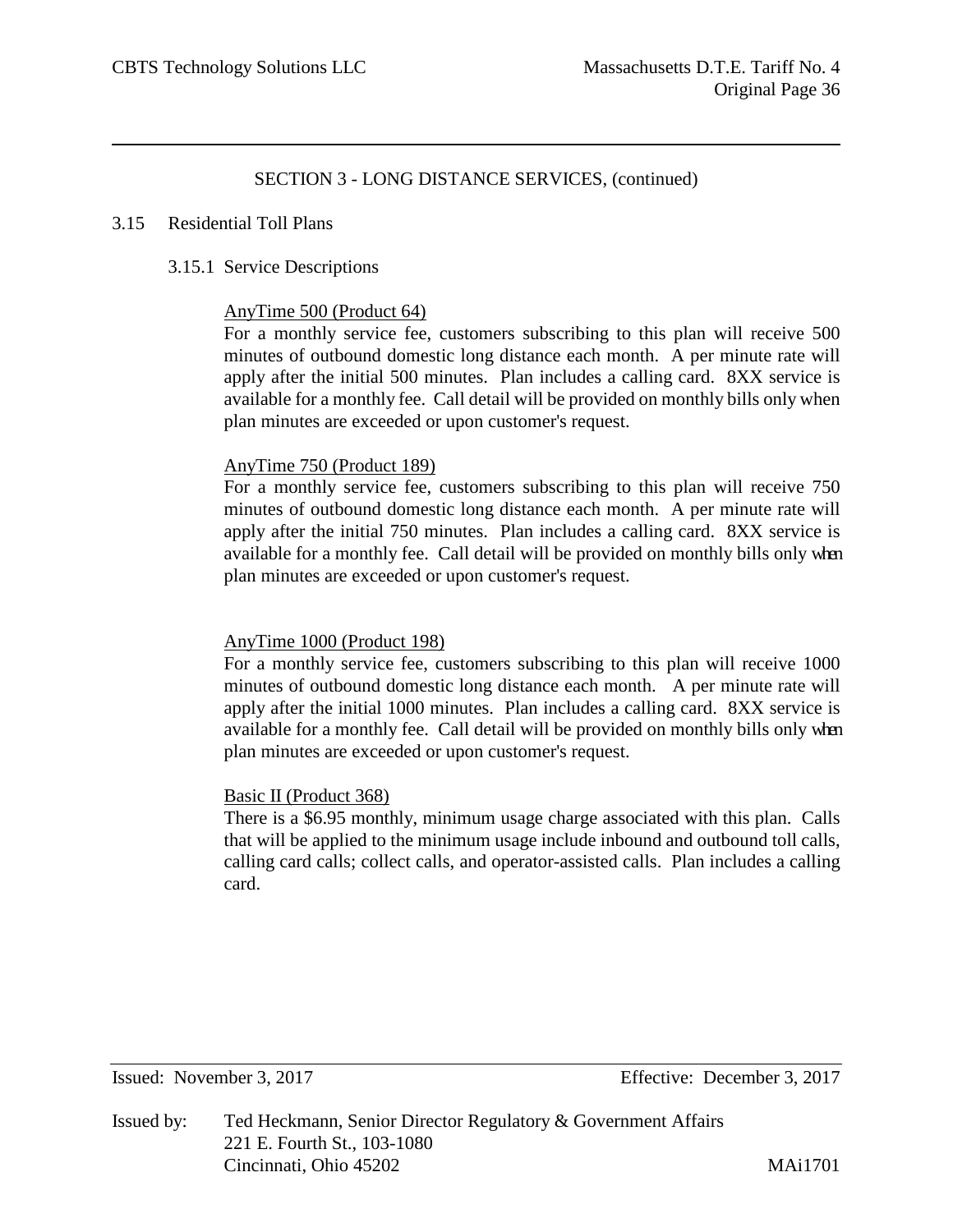#### 3.15 Residential Toll Plans

## 3.15.1 Service Descriptions

## AnyTime 500 (Product 64)

For a monthly service fee, customers subscribing to this plan will receive 500 minutes of outbound domestic long distance each month. A per minute rate will apply after the initial 500 minutes. Plan includes a calling card. 8XX service is available for a monthly fee. Call detail will be provided on monthly bills only when plan minutes are exceeded or upon customer's request.

## AnyTime 750 (Product 189)

For a monthly service fee, customers subscribing to this plan will receive 750 minutes of outbound domestic long distance each month. A per minute rate will apply after the initial 750 minutes. Plan includes a calling card. 8XX service is available for a monthly fee. Call detail will be provided on monthly bills only when plan minutes are exceeded or upon customer's request.

#### AnyTime 1000 (Product 198)

For a monthly service fee, customers subscribing to this plan will receive 1000 minutes of outbound domestic long distance each month. A per minute rate will apply after the initial 1000 minutes. Plan includes a calling card. 8XX service is available for a monthly fee. Call detail will be provided on monthly bills only when plan minutes are exceeded or upon customer's request.

# Basic II (Product 368)

There is a \$6.95 monthly, minimum usage charge associated with this plan. Calls that will be applied to the minimum usage include inbound and outbound toll calls, calling card calls; collect calls, and operator-assisted calls. Plan includes a calling card.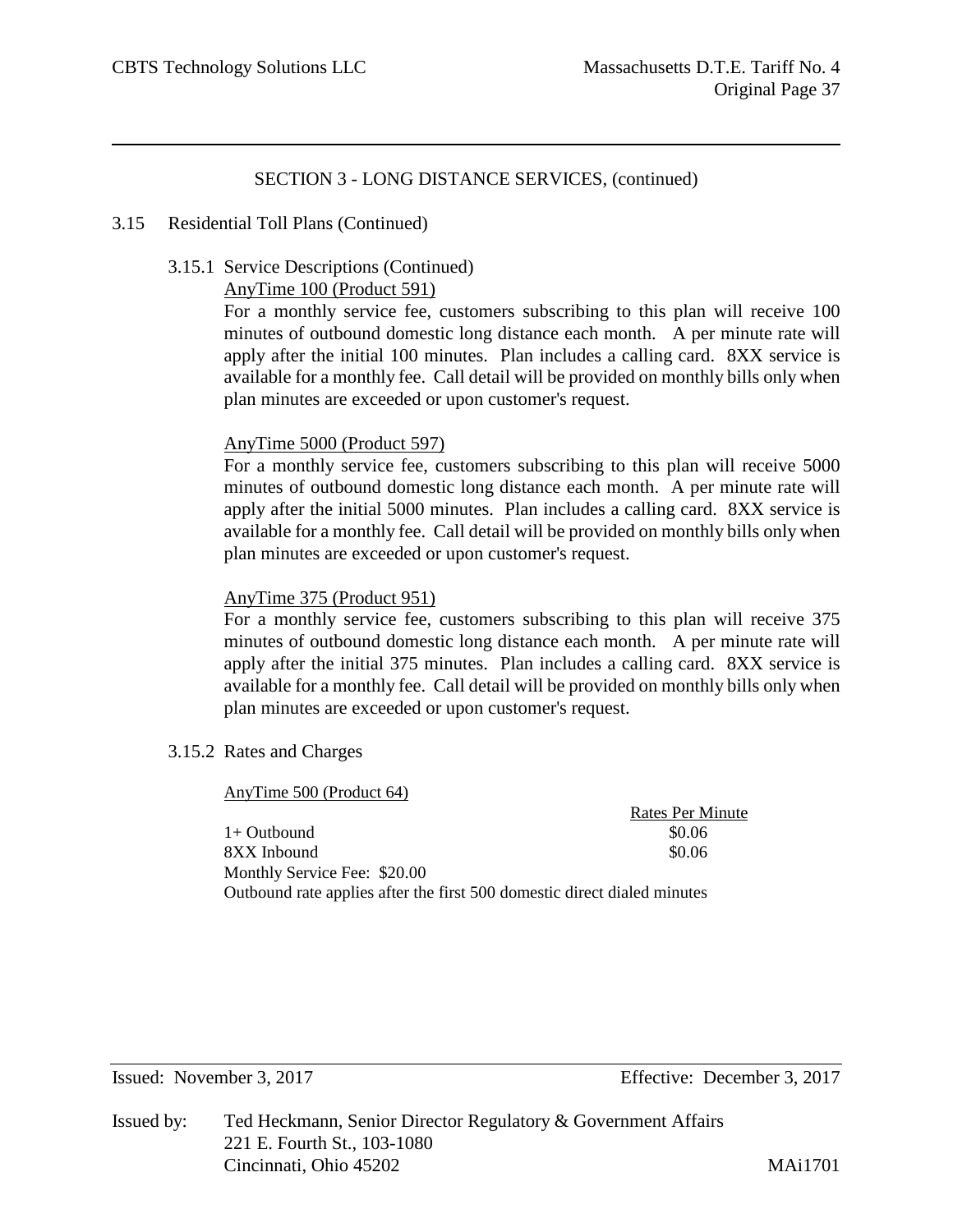#### 3.15 Residential Toll Plans (Continued)

#### 3.15.1 Service Descriptions (Continued)

AnyTime 100 (Product 591)

For a monthly service fee, customers subscribing to this plan will receive 100 minutes of outbound domestic long distance each month. A per minute rate will apply after the initial 100 minutes. Plan includes a calling card. 8XX service is available for a monthly fee. Call detail will be provided on monthly bills only when plan minutes are exceeded or upon customer's request.

#### AnyTime 5000 (Product 597)

For a monthly service fee, customers subscribing to this plan will receive 5000 minutes of outbound domestic long distance each month. A per minute rate will apply after the initial 5000 minutes. Plan includes a calling card. 8XX service is available for a monthly fee. Call detail will be provided on monthly bills only when plan minutes are exceeded or upon customer's request.

#### AnyTime 375 (Product 951)

For a monthly service fee, customers subscribing to this plan will receive 375 minutes of outbound domestic long distance each month. A per minute rate will apply after the initial 375 minutes. Plan includes a calling card. 8XX service is available for a monthly fee. Call detail will be provided on monthly bills only when plan minutes are exceeded or upon customer's request.

3.15.2 Rates and Charges

AnyTime 500 (Product 64) Rates Per Minute  $1+$  Outbound  $$0.06$ 8XX Inbound \$0.06 Monthly Service Fee: \$20.00 Outbound rate applies after the first 500 domestic direct dialed minutes

Issued: November 3, 2017 Effective: December 3, 2017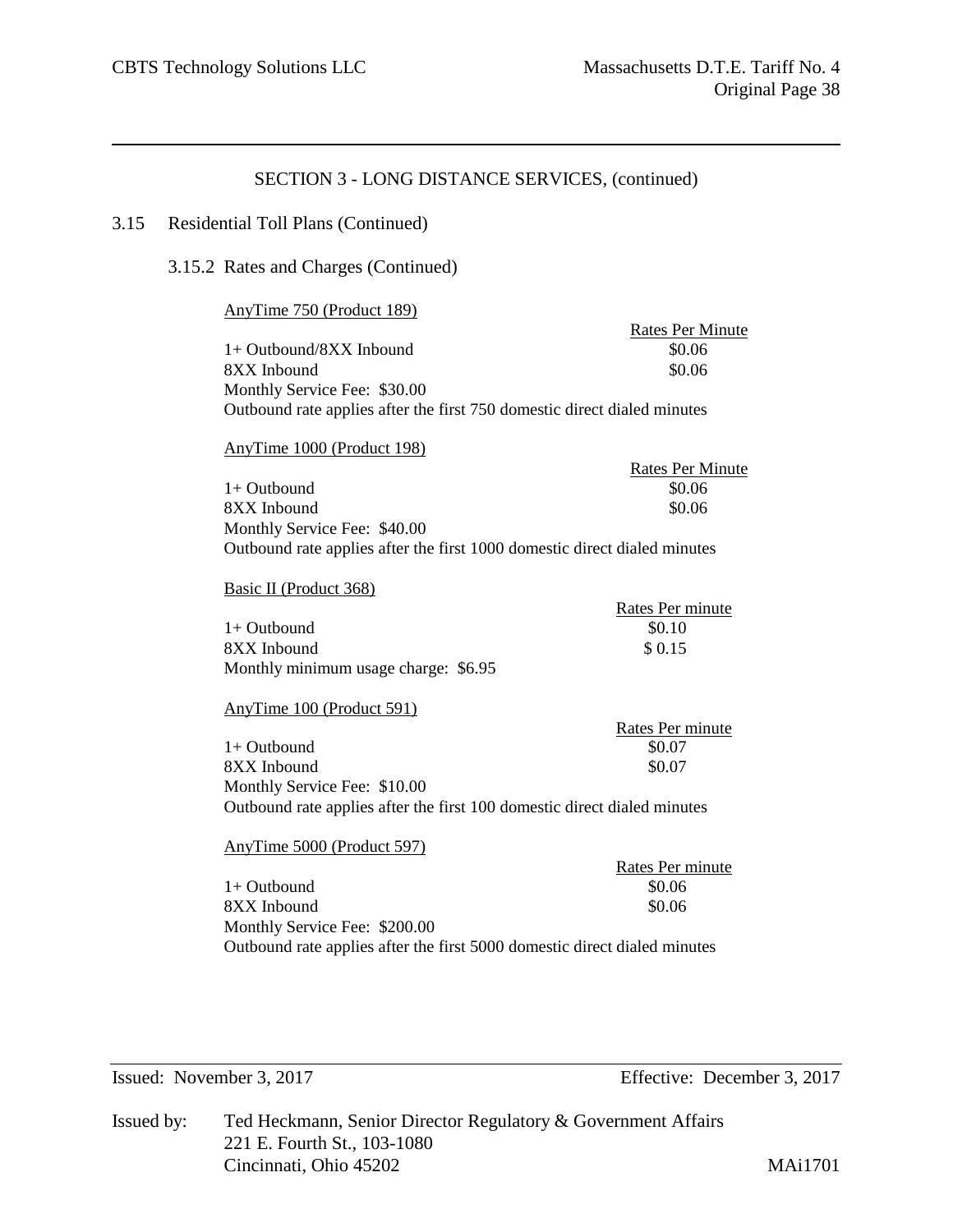#### 3.15 Residential Toll Plans (Continued)

#### 3.15.2 Rates and Charges (Continued)

#### AnyTime 750 (Product 189)

|                                                                          | <b>Rates Per Minute</b> |
|--------------------------------------------------------------------------|-------------------------|
| $1+$ Outbound/8XX Inbound                                                | \$0.06                  |
| 8XX Inbound                                                              | \$0.06                  |
| Monthly Service Fee: \$30.00                                             |                         |
| Outbound rate applies after the first 750 domestic direct dialed minutes |                         |

## AnyTime 1000 (Product 198)

|                                                                           | <b>Rates Per Minute</b> |
|---------------------------------------------------------------------------|-------------------------|
| 1+ Outbound                                                               | \$0.06                  |
| 8XX Inbound                                                               | \$0.06                  |
| Monthly Service Fee: \$40.00                                              |                         |
| Outbound rate applies after the first 1000 domestic direct dialed minutes |                         |

Basic II (Product 368)

|                                      | Rates Per minute |
|--------------------------------------|------------------|
| $1+$ Outbound                        | \$0.10           |
| 8XX Inbound                          | \$ 0.15          |
| Monthly minimum usage charge: \$6.95 |                  |

#### AnyTime 100 (Product 591)

|                              | Rates Per minute |
|------------------------------|------------------|
| $1+$ Outbound                | \$0.07           |
| 8XX Inbound                  | \$0.07           |
| Monthly Service Fee: \$10.00 |                  |
|                              |                  |

Outbound rate applies after the first 100 domestic direct dialed minutes

#### AnyTime 5000 (Product 597)

|                                                                           | Rates Per minute |
|---------------------------------------------------------------------------|------------------|
| $1+$ Outbound                                                             | \$0.06           |
| 8XX Inbound                                                               | \$0.06           |
| Monthly Service Fee: \$200.00                                             |                  |
| Outbound rate applies after the first 5000 domestic direct dialed minutes |                  |

| Issued by: | Ted Heckmann, Senior Director Regulatory & Government Affairs |                |  |  |  |
|------------|---------------------------------------------------------------|----------------|--|--|--|
|            | 221 E. Fourth St., 103-1080                                   |                |  |  |  |
|            | Cincinnati, Ohio 45202                                        | <b>MAi1701</b> |  |  |  |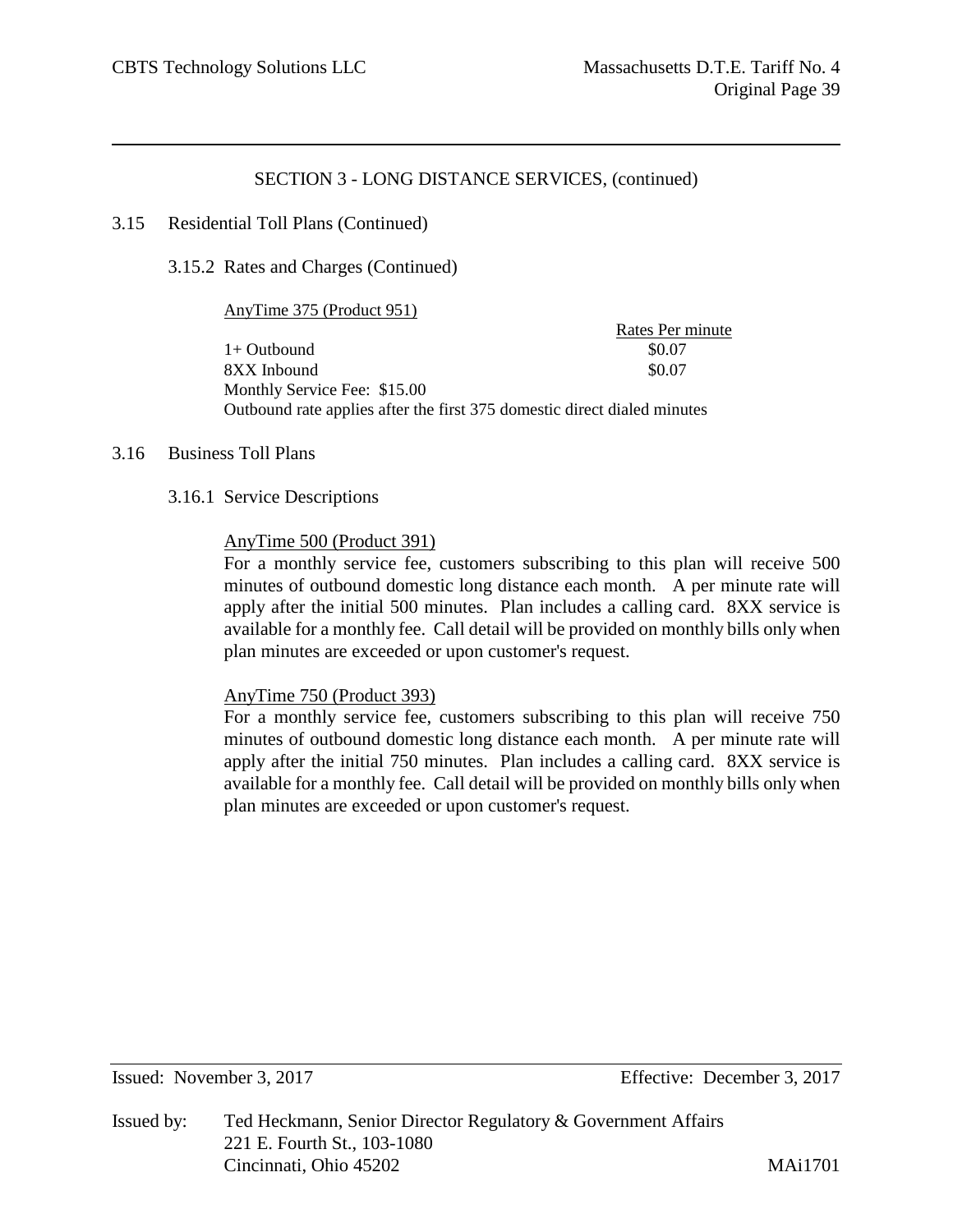#### 3.15 Residential Toll Plans (Continued)

3.15.2 Rates and Charges (Continued)

#### AnyTime 375 (Product 951)

Rates Per minute  $1+$  Outbound  $$0.07$ 8XX Inbound \$0.07 Monthly Service Fee: \$15.00 Outbound rate applies after the first 375 domestic direct dialed minutes

## 3.16 Business Toll Plans

#### 3.16.1 Service Descriptions

#### AnyTime 500 (Product 391)

For a monthly service fee, customers subscribing to this plan will receive 500 minutes of outbound domestic long distance each month. A per minute rate will apply after the initial 500 minutes. Plan includes a calling card. 8XX service is available for a monthly fee. Call detail will be provided on monthly bills only when plan minutes are exceeded or upon customer's request.

#### AnyTime 750 (Product 393)

For a monthly service fee, customers subscribing to this plan will receive 750 minutes of outbound domestic long distance each month. A per minute rate will apply after the initial 750 minutes. Plan includes a calling card. 8XX service is available for a monthly fee. Call detail will be provided on monthly bills only when plan minutes are exceeded or upon customer's request.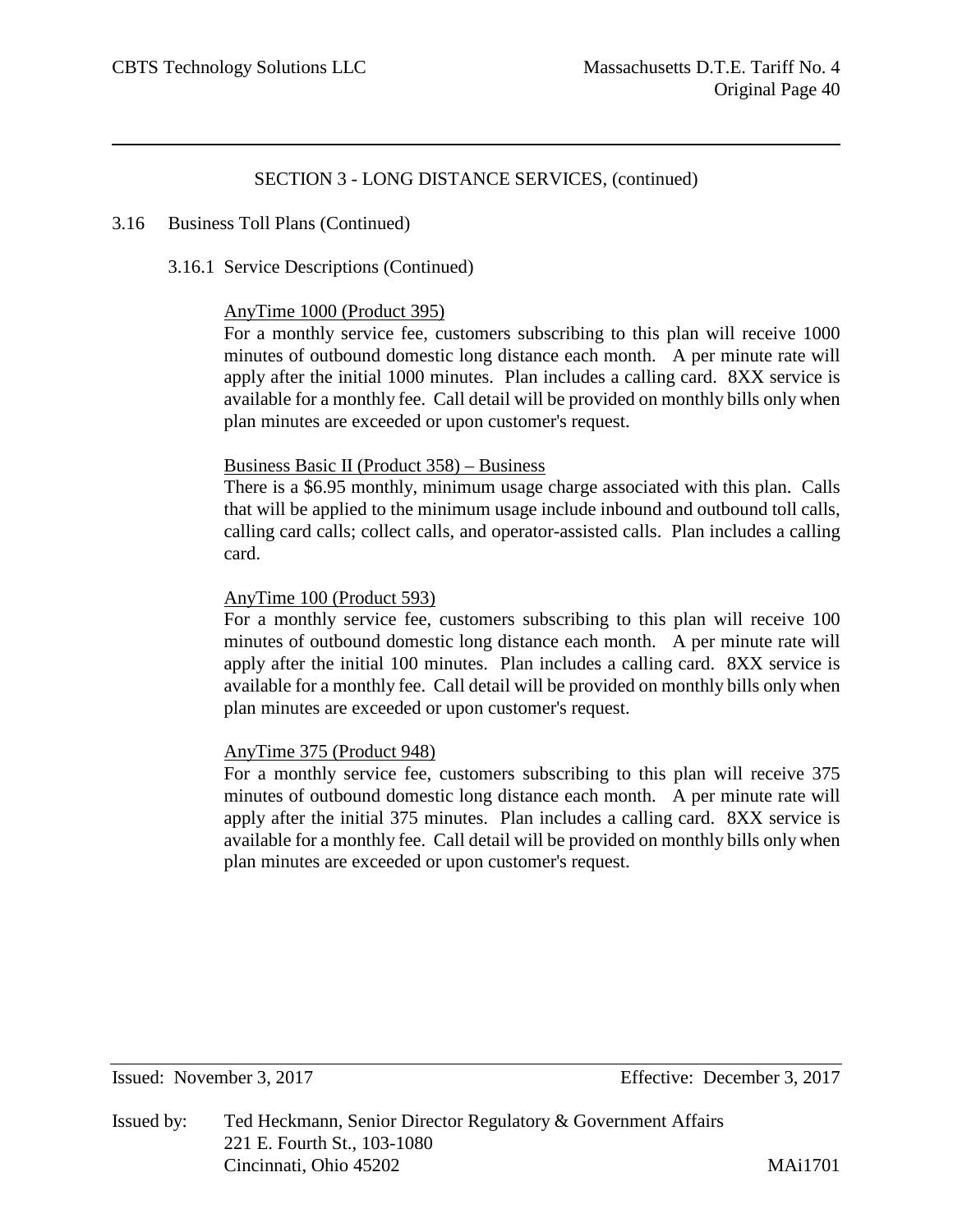## 3.16 Business Toll Plans (Continued)

3.16.1 Service Descriptions (Continued)

#### AnyTime 1000 (Product 395)

For a monthly service fee, customers subscribing to this plan will receive 1000 minutes of outbound domestic long distance each month. A per minute rate will apply after the initial 1000 minutes. Plan includes a calling card. 8XX service is available for a monthly fee. Call detail will be provided on monthly bills only when plan minutes are exceeded or upon customer's request.

#### Business Basic II (Product 358) – Business

There is a \$6.95 monthly, minimum usage charge associated with this plan. Calls that will be applied to the minimum usage include inbound and outbound toll calls, calling card calls; collect calls, and operator-assisted calls. Plan includes a calling card.

## AnyTime 100 (Product 593)

For a monthly service fee, customers subscribing to this plan will receive 100 minutes of outbound domestic long distance each month. A per minute rate will apply after the initial 100 minutes. Plan includes a calling card. 8XX service is available for a monthly fee. Call detail will be provided on monthly bills only when plan minutes are exceeded or upon customer's request.

# AnyTime 375 (Product 948)

For a monthly service fee, customers subscribing to this plan will receive 375 minutes of outbound domestic long distance each month. A per minute rate will apply after the initial 375 minutes. Plan includes a calling card. 8XX service is available for a monthly fee. Call detail will be provided on monthly bills only when plan minutes are exceeded or upon customer's request.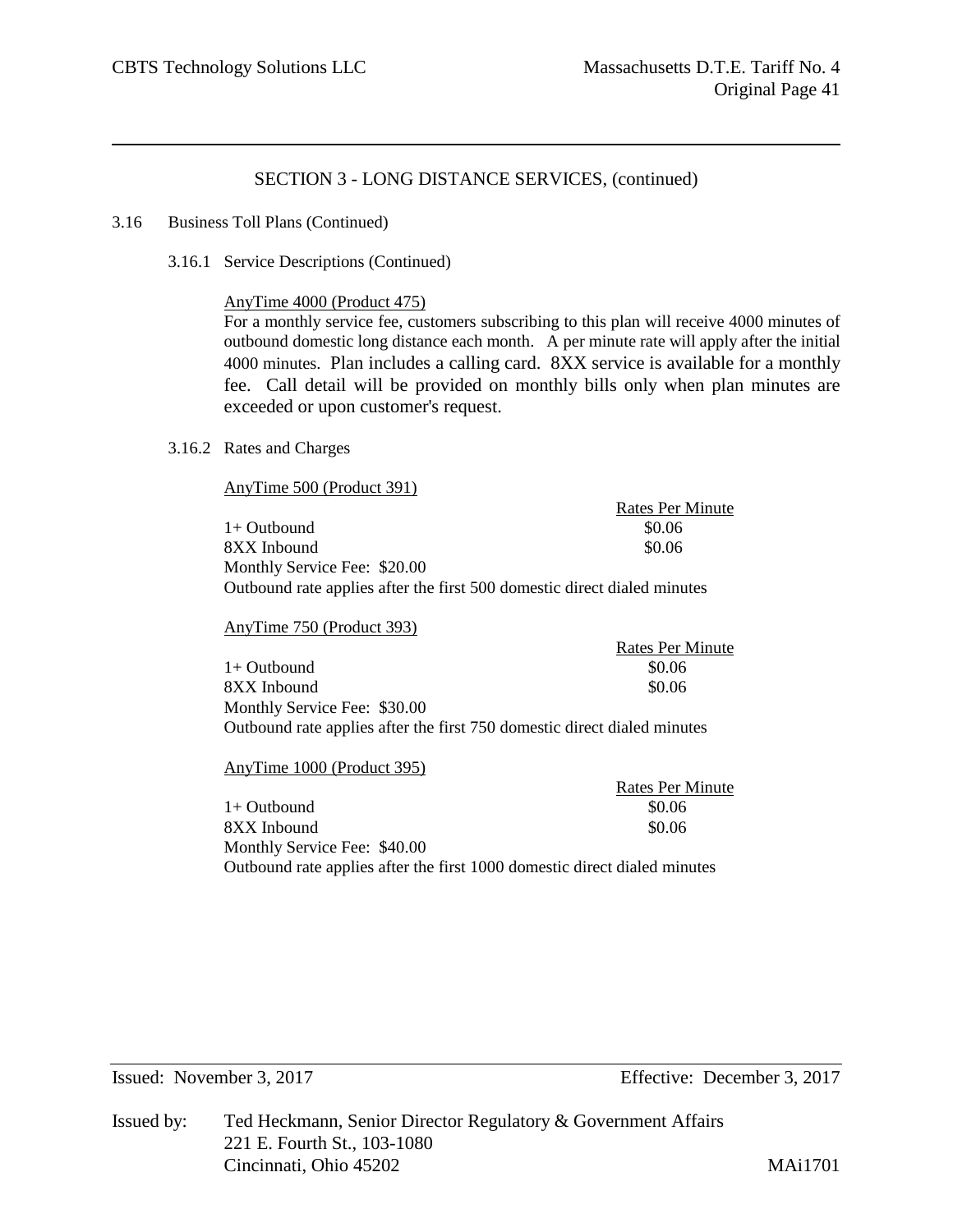Rates Per Minute

## SECTION 3 - LONG DISTANCE SERVICES, (continued)

#### 3.16 Business Toll Plans (Continued)

3.16.1 Service Descriptions (Continued)

#### AnyTime 4000 (Product 475)

For a monthly service fee, customers subscribing to this plan will receive 4000 minutes of outbound domestic long distance each month. A per minute rate will apply after the initial 4000 minutes. Plan includes a calling card. 8XX service is available for a monthly fee. Call detail will be provided on monthly bills only when plan minutes are exceeded or upon customer's request.

#### 3.16.2 Rates and Charges

AnyTime 500 (Product 391)

|                                                                          | Kates Pel Milliute |
|--------------------------------------------------------------------------|--------------------|
| $1+$ Outbound                                                            | \$0.06             |
| 8XX Inbound                                                              | \$0.06             |
| Monthly Service Fee: \$20.00                                             |                    |
| Outbound rate applies after the first 500 domestic direct dialed minutes |                    |

#### AnyTime 750 (Product 393)

Rates Per Minute  $1+$  Outbound  $$0.06$ 8XX Inbound  $80.06$ Monthly Service Fee: \$30.00 Outbound rate applies after the first 750 domestic direct dialed minutes

#### AnyTime 1000 (Product 395)

Rates Per Minute  $1+$  Outbound  $$0.06$ 8XX Inbound \$0.06 Monthly Service Fee: \$40.00 Outbound rate applies after the first 1000 domestic direct dialed minutes

Issued: November 3, 2017 Effective: December 3, 2017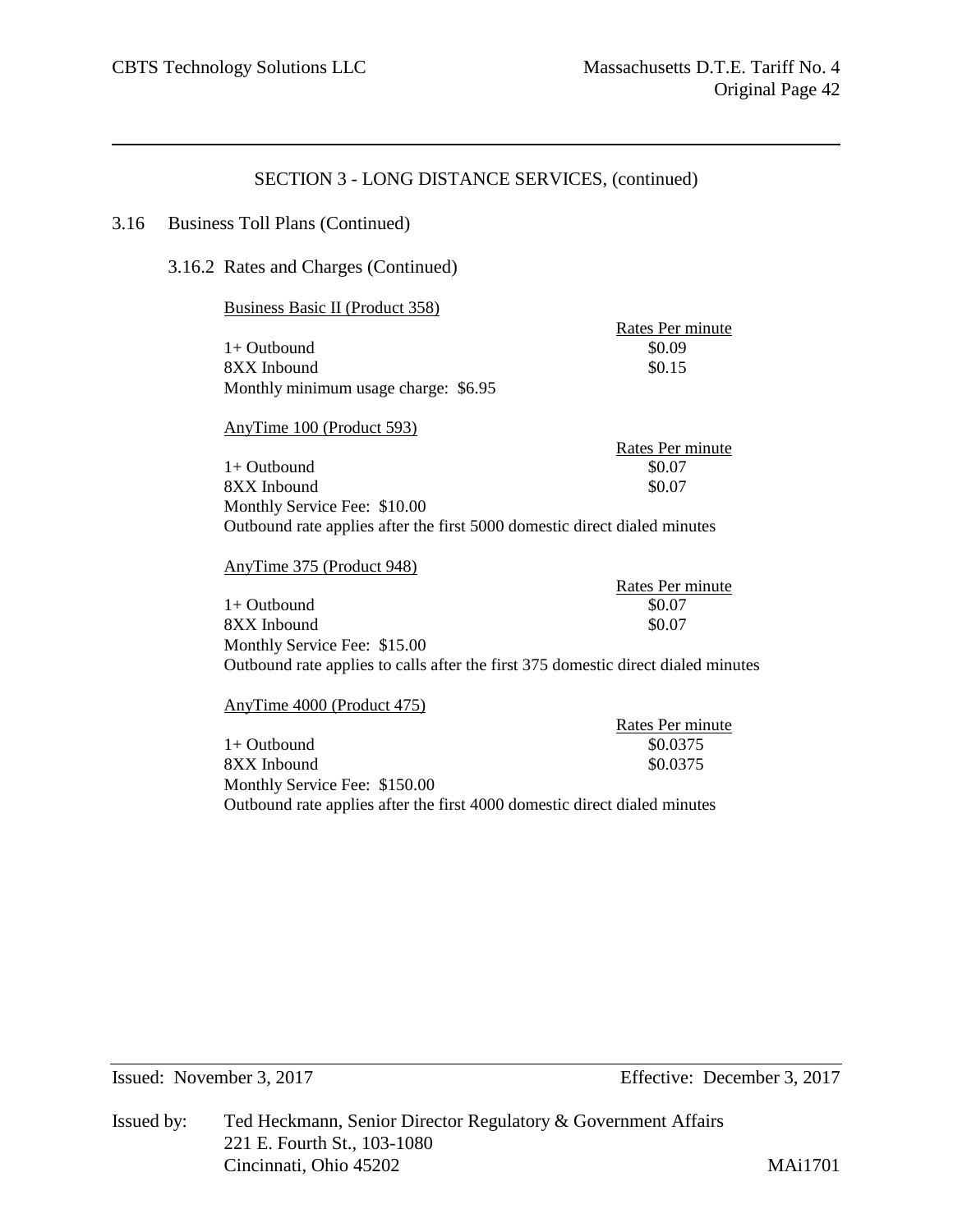Rates Per minute

# SECTION 3 - LONG DISTANCE SERVICES, (continued)

#### 3.16 Business Toll Plans (Continued)

3.16.2 Rates and Charges (Continued)

#### Business Basic II (Product 358)

 $1+$  Outbound  $$0.09$ 8XX Inbound \$0.15 Monthly minimum usage charge: \$6.95

| AnyTime 100 (Product 593)                                                 |                  |
|---------------------------------------------------------------------------|------------------|
|                                                                           | Rates Per minute |
| $1+$ Outbound                                                             | \$0.07           |
| 8XX Inbound                                                               | \$0.07           |
| Monthly Service Fee: \$10.00                                              |                  |
| Outbound rate applies after the first 5000 domestic direct dialed minutes |                  |

#### AnyTime 375 (Product 948)

Rates Per minute 1+ Outbound \$0.07<br>8XX Inbound \$0.07 8XX Inbound Monthly Service Fee: \$15.00 Outbound rate applies to calls after the first 375 domestic direct dialed minutes

AnyTime 4000 (Product 475)

|                                                                           | Rates Per minute |
|---------------------------------------------------------------------------|------------------|
| $1+$ Outbound                                                             | \$0.0375         |
| 8XX Inbound                                                               | \$0.0375         |
| Monthly Service Fee: \$150.00                                             |                  |
| Outbound rate applies after the first 4000 domestic direct dialed minutes |                  |

Issued: November 3, 2017 Effective: December 3, 2017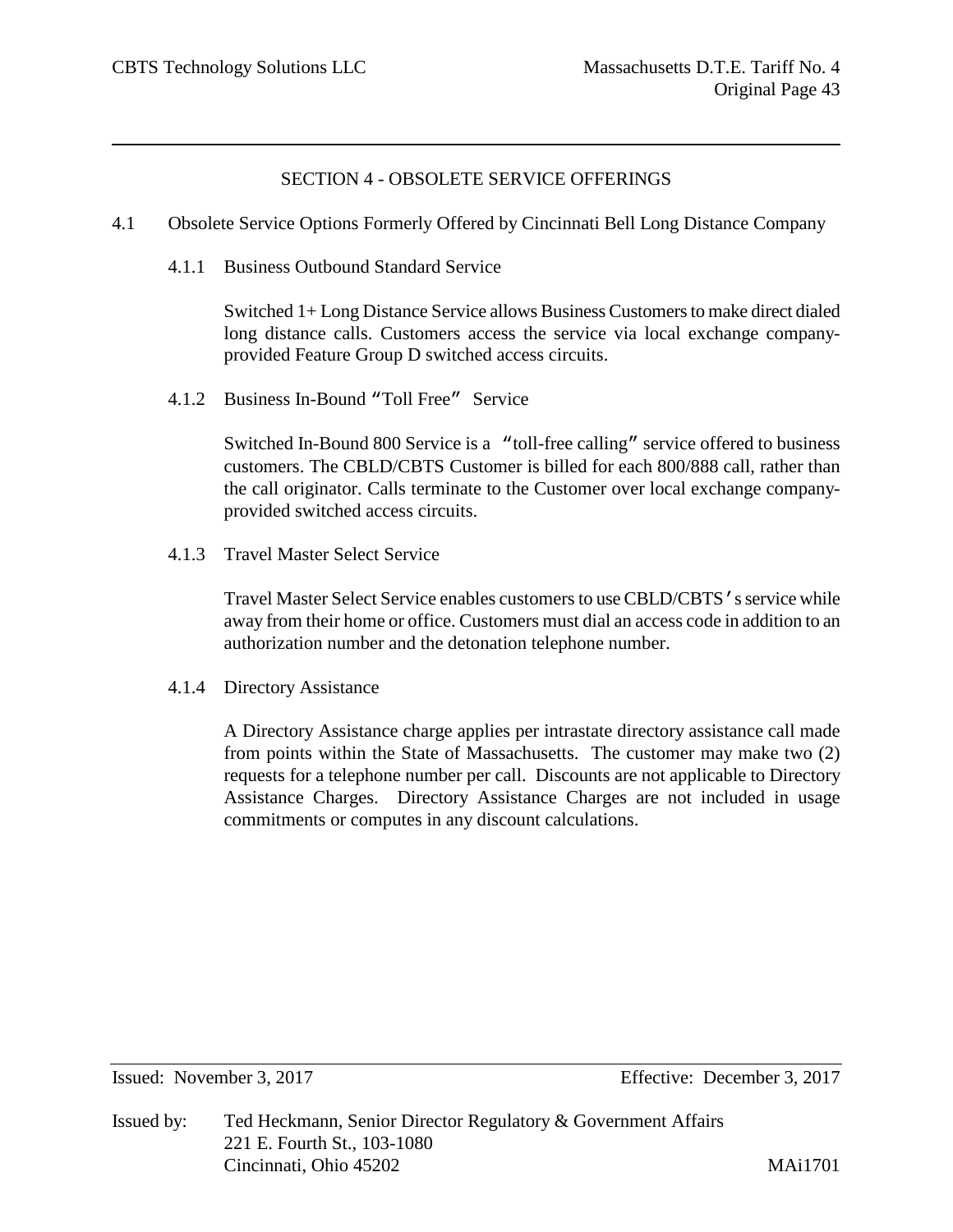# SECTION 4 - OBSOLETE SERVICE OFFERINGS

- 4.1 Obsolete Service Options Formerly Offered by Cincinnati Bell Long Distance Company
	- 4.1.1 Business Outbound Standard Service

Switched 1+ Long Distance Service allows Business Customers to make direct dialed long distance calls. Customers access the service via local exchange companyprovided Feature Group D switched access circuits.

4.1.2 Business In-Bound "Toll Free" Service

Switched In-Bound 800 Service is a "toll-free calling" service offered to business customers. The CBLD/CBTS Customer is billed for each 800/888 call, rather than the call originator. Calls terminate to the Customer over local exchange companyprovided switched access circuits.

4.1.3 Travel Master Select Service

Travel Master Select Service enables customers to use CBLD/CBTS's service while away from their home or office. Customers must dial an access code in addition to an authorization number and the detonation telephone number.

4.1.4 Directory Assistance

A Directory Assistance charge applies per intrastate directory assistance call made from points within the State of Massachusetts. The customer may make two (2) requests for a telephone number per call. Discounts are not applicable to Directory Assistance Charges. Directory Assistance Charges are not included in usage commitments or computes in any discount calculations.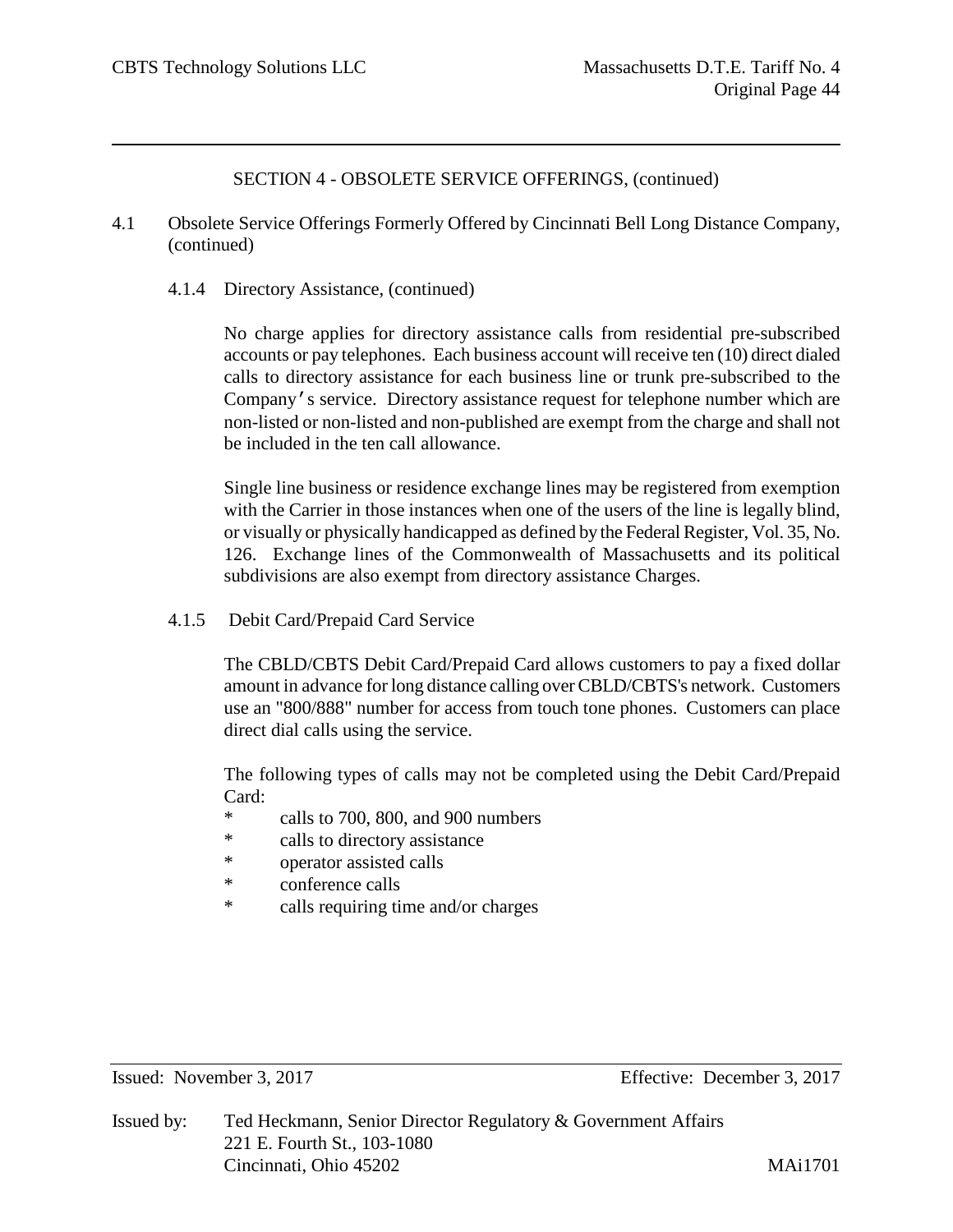- 4.1 Obsolete Service Offerings Formerly Offered by Cincinnati Bell Long Distance Company, (continued)
	- 4.1.4 Directory Assistance, (continued)

No charge applies for directory assistance calls from residential pre-subscribed accounts or pay telephones. Each business account will receive ten (10) direct dialed calls to directory assistance for each business line or trunk pre-subscribed to the Company's service. Directory assistance request for telephone number which are non-listed or non-listed and non-published are exempt from the charge and shall not be included in the ten call allowance.

Single line business or residence exchange lines may be registered from exemption with the Carrier in those instances when one of the users of the line is legally blind, or visually or physically handicapped as defined by the Federal Register, Vol. 35, No. 126. Exchange lines of the Commonwealth of Massachusetts and its political subdivisions are also exempt from directory assistance Charges.

4.1.5 Debit Card/Prepaid Card Service

The CBLD/CBTS Debit Card/Prepaid Card allows customers to pay a fixed dollar amount in advance for long distance calling over CBLD/CBTS's network. Customers use an "800/888" number for access from touch tone phones. Customers can place direct dial calls using the service.

The following types of calls may not be completed using the Debit Card/Prepaid Card:

- \* calls to 700, 800, and 900 numbers
- \* calls to directory assistance
- \* operator assisted calls
- \* conference calls
- \* calls requiring time and/or charges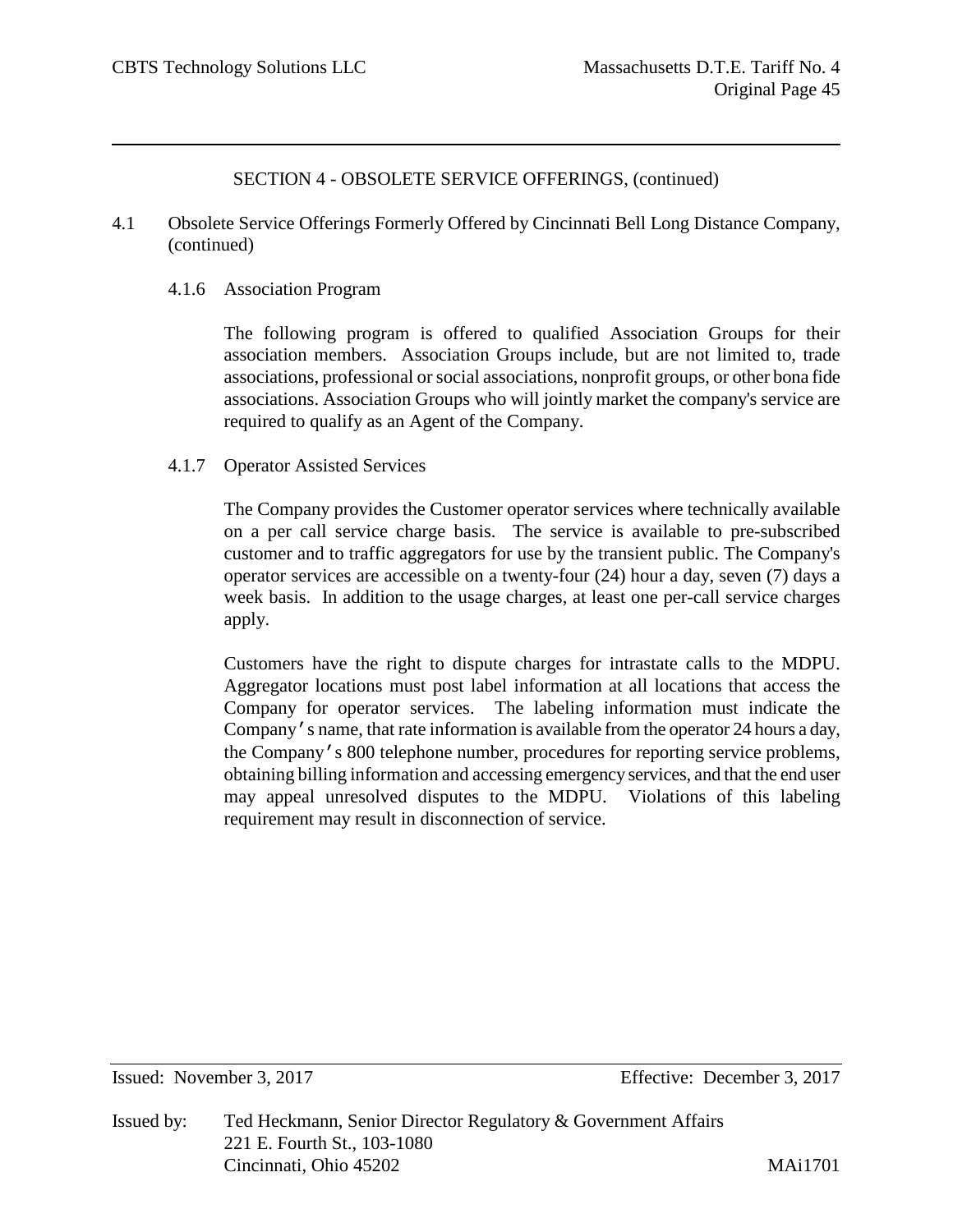4.1 Obsolete Service Offerings Formerly Offered by Cincinnati Bell Long Distance Company, (continued)

## 4.1.6 Association Program

The following program is offered to qualified Association Groups for their association members. Association Groups include, but are not limited to, trade associations, professional or social associations, nonprofit groups, or other bona fide associations. Association Groups who will jointly market the company's service are required to qualify as an Agent of the Company.

## 4.1.7 Operator Assisted Services

The Company provides the Customer operator services where technically available on a per call service charge basis. The service is available to pre-subscribed customer and to traffic aggregators for use by the transient public. The Company's operator services are accessible on a twenty-four (24) hour a day, seven (7) days a week basis. In addition to the usage charges, at least one per-call service charges apply.

Customers have the right to dispute charges for intrastate calls to the MDPU. Aggregator locations must post label information at all locations that access the Company for operator services. The labeling information must indicate the Company's name, that rate information is available from the operator 24 hours a day, the Company's 800 telephone number, procedures for reporting service problems, obtaining billing information and accessing emergency services, and that the end user may appeal unresolved disputes to the MDPU. Violations of this labeling requirement may result in disconnection of service.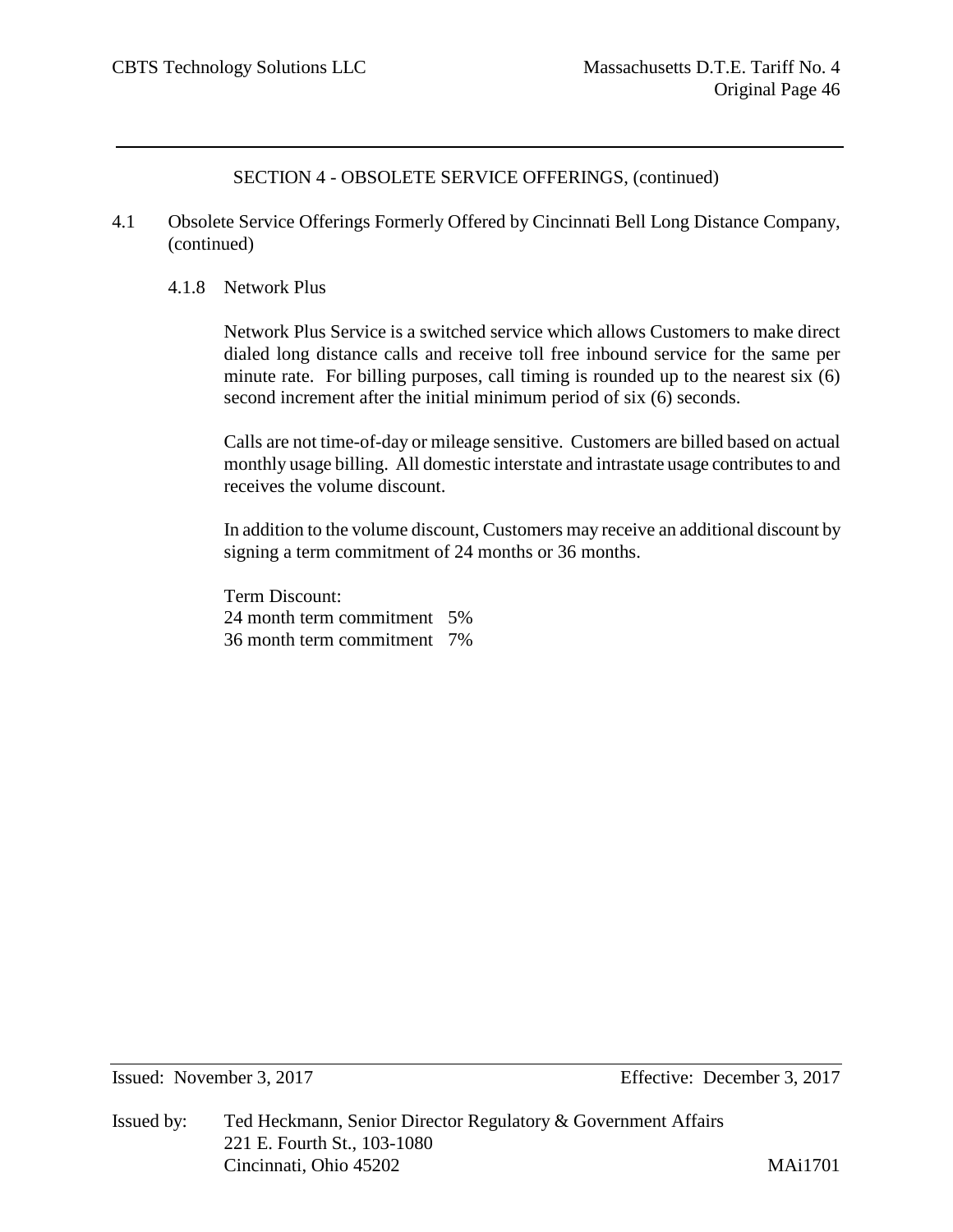- 4.1 Obsolete Service Offerings Formerly Offered by Cincinnati Bell Long Distance Company, (continued)
	- 4.1.8 Network Plus

Network Plus Service is a switched service which allows Customers to make direct dialed long distance calls and receive toll free inbound service for the same per minute rate. For billing purposes, call timing is rounded up to the nearest six (6) second increment after the initial minimum period of six (6) seconds.

Calls are not time-of-day or mileage sensitive. Customers are billed based on actual monthly usage billing. All domestic interstate and intrastate usage contributes to and receives the volume discount.

In addition to the volume discount, Customers may receive an additional discount by signing a term commitment of 24 months or 36 months.

Term Discount: 24 month term commitment 5% 36 month term commitment 7%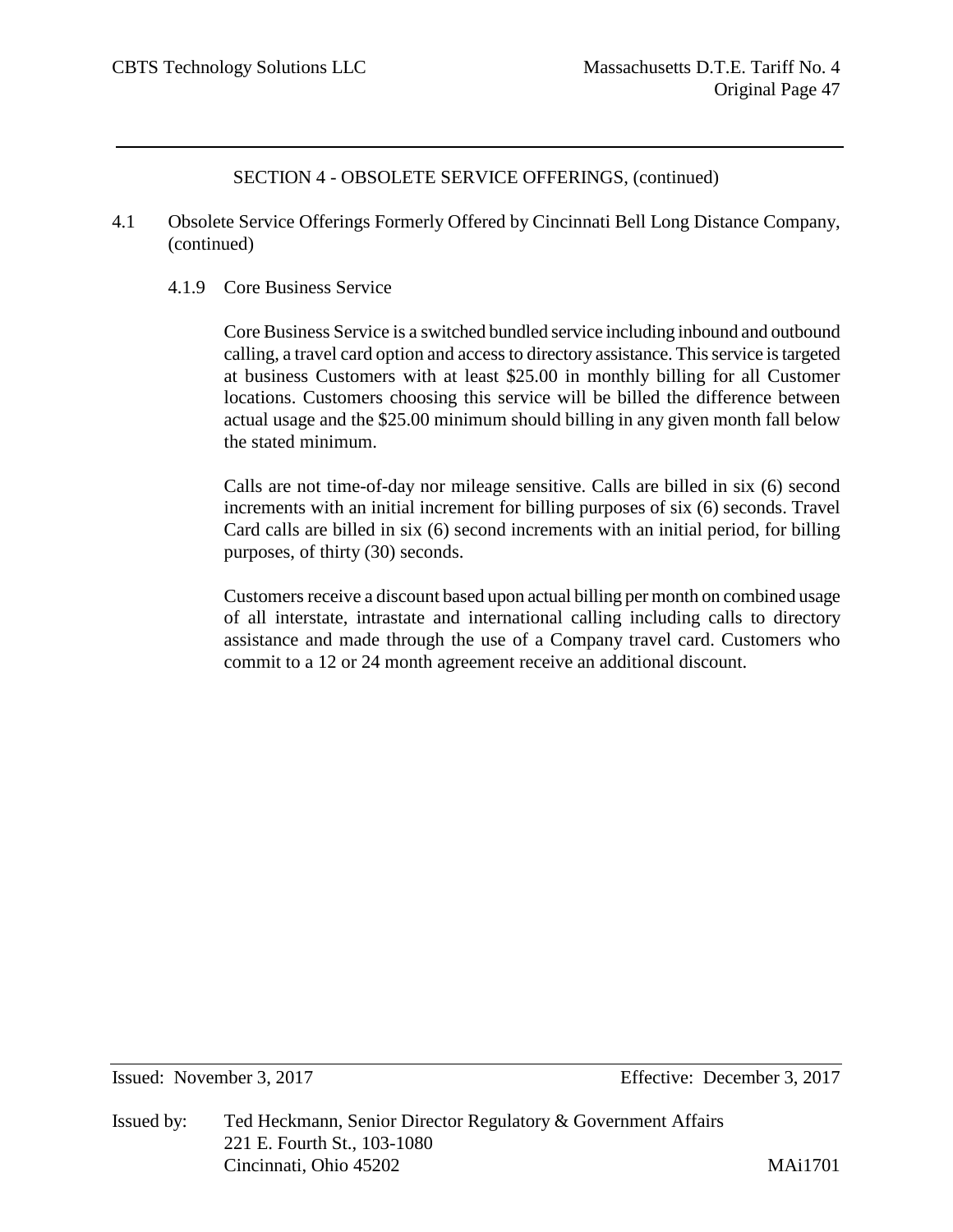- 4.1 Obsolete Service Offerings Formerly Offered by Cincinnati Bell Long Distance Company, (continued)
	- 4.1.9 Core Business Service

Core Business Service is a switched bundled service including inbound and outbound calling, a travel card option and access to directory assistance. This service is targeted at business Customers with at least \$25.00 in monthly billing for all Customer locations. Customers choosing this service will be billed the difference between actual usage and the \$25.00 minimum should billing in any given month fall below the stated minimum.

Calls are not time-of-day nor mileage sensitive. Calls are billed in six (6) second increments with an initial increment for billing purposes of six (6) seconds. Travel Card calls are billed in six (6) second increments with an initial period, for billing purposes, of thirty (30) seconds.

Customers receive a discount based upon actual billing per month on combined usage of all interstate, intrastate and international calling including calls to directory assistance and made through the use of a Company travel card. Customers who commit to a 12 or 24 month agreement receive an additional discount.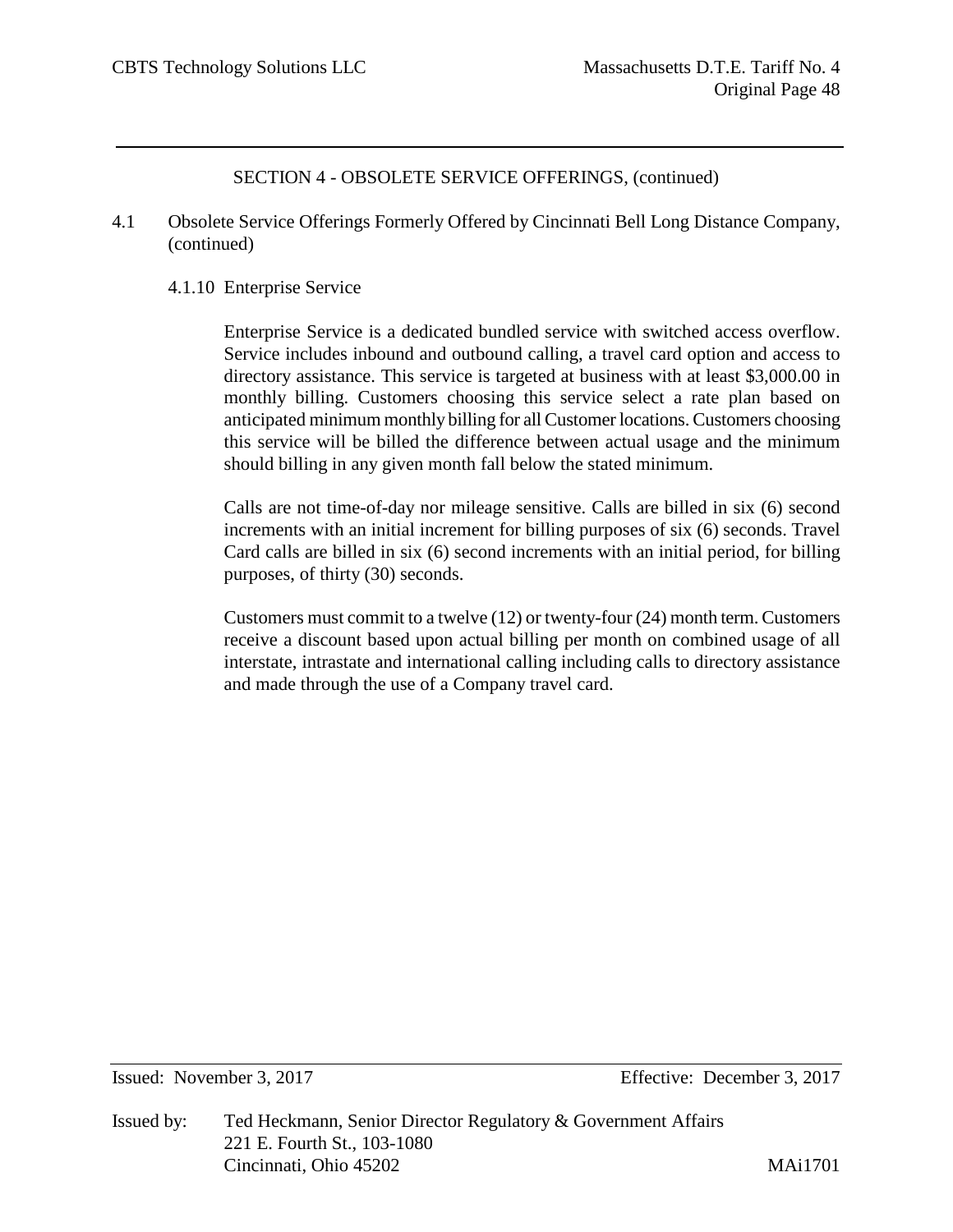- 4.1 Obsolete Service Offerings Formerly Offered by Cincinnati Bell Long Distance Company, (continued)
	- 4.1.10 Enterprise Service

Enterprise Service is a dedicated bundled service with switched access overflow. Service includes inbound and outbound calling, a travel card option and access to directory assistance. This service is targeted at business with at least \$3,000.00 in monthly billing. Customers choosing this service select a rate plan based on anticipated minimum monthly billing for all Customer locations. Customers choosing this service will be billed the difference between actual usage and the minimum should billing in any given month fall below the stated minimum.

Calls are not time-of-day nor mileage sensitive. Calls are billed in six (6) second increments with an initial increment for billing purposes of six (6) seconds. Travel Card calls are billed in six (6) second increments with an initial period, for billing purposes, of thirty (30) seconds.

Customers must commit to a twelve (12) or twenty-four (24) month term. Customers receive a discount based upon actual billing per month on combined usage of all interstate, intrastate and international calling including calls to directory assistance and made through the use of a Company travel card.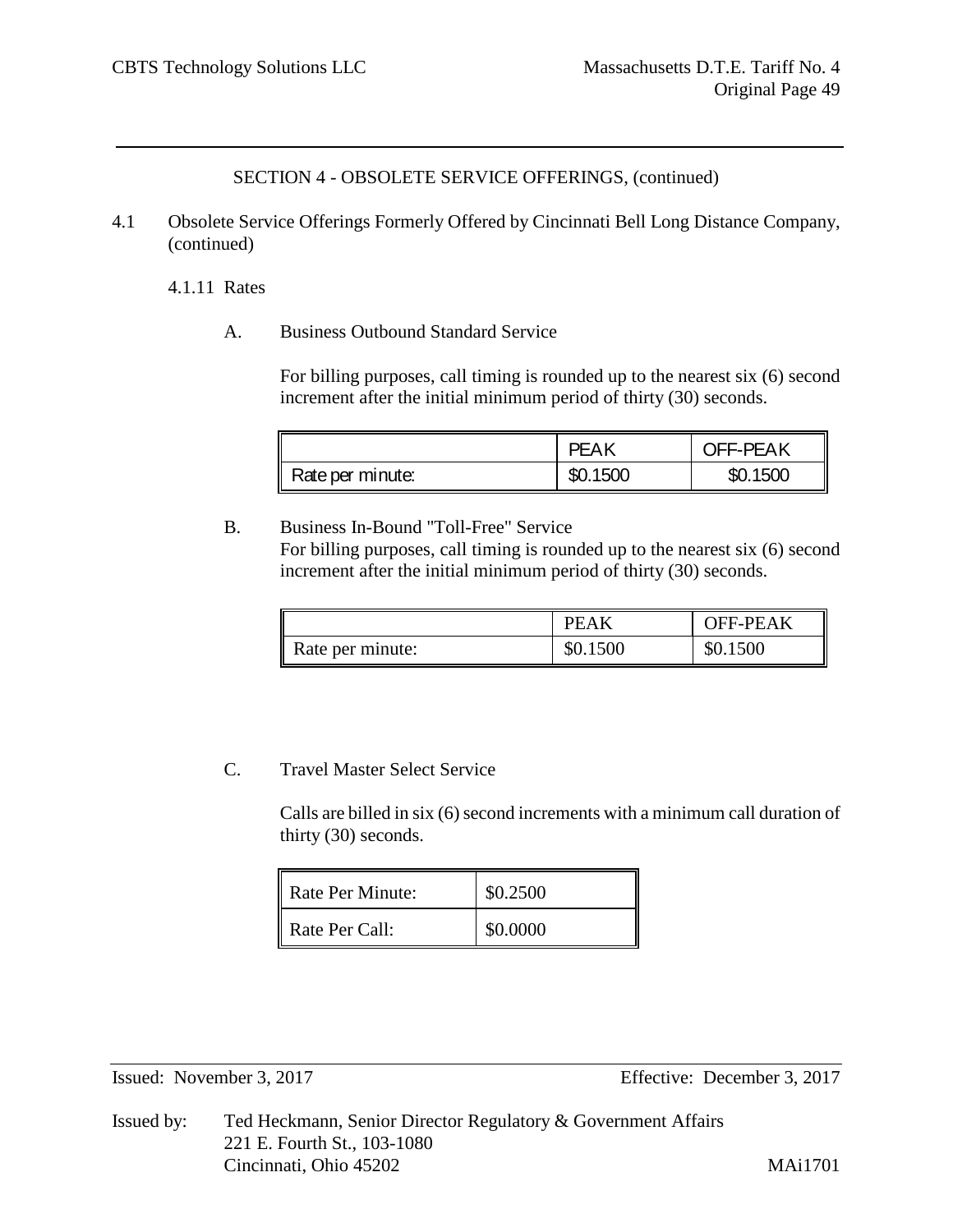4.1 Obsolete Service Offerings Formerly Offered by Cincinnati Bell Long Distance Company, (continued)

4.1.11 Rates

A. Business Outbound Standard Service

For billing purposes, call timing is rounded up to the nearest six (6) second increment after the initial minimum period of thirty (30) seconds.

|                  | PFAK     | <b>OFF-PEAK</b> |
|------------------|----------|-----------------|
| Rate per minute: | \$0.1500 | \$0.1500        |

B. Business In-Bound "Toll-Free" Service For billing purposes, call timing is rounded up to the nearest six (6) second increment after the initial minimum period of thirty (30) seconds.

|                  | PEAK     | <b>OFF-PEAK</b> |
|------------------|----------|-----------------|
| Rate per minute: | \$0.1500 | \$0.1500        |

# C. Travel Master Select Service

Calls are billed in six (6) second increments with a minimum call duration of thirty (30) seconds.

| Rate Per Minute: | \$0.2500 |
|------------------|----------|
| Rate Per Call:   | \$0.0000 |

Issued: November 3, 2017 Effective: December 3, 2017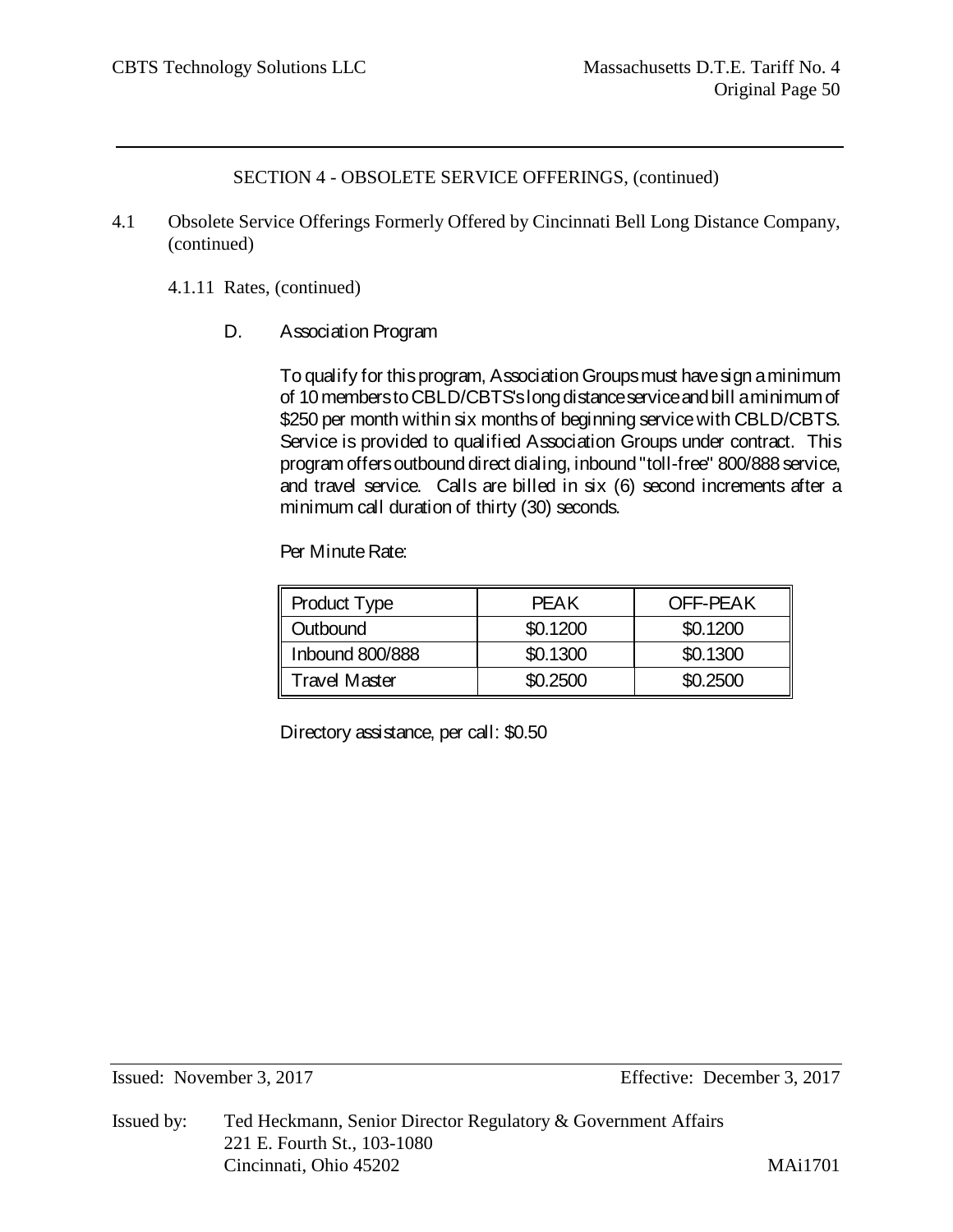- 4.1 Obsolete Service Offerings Formerly Offered by Cincinnati Bell Long Distance Company, (continued)
	- 4.1.11 Rates, (continued)
		- D. Association Program

To qualify for this program, Association Groups must have sign a minimum of 10 members to CBLD/CBTS's long distance service and bill a minimum of \$250 per month within six months of beginning service with CBLD/CBTS. Service is provided to qualified Association Groups under contract. This program offers outbound direct dialing, inbound "toll-free" 800/888 service, and travel service. Calls are billed in six (6) second increments after a minimum call duration of thirty (30) seconds.

Per Minute Rate:

| <b>Product Type</b>    | PFAK     | <b>OFF-PEAK</b> |
|------------------------|----------|-----------------|
| Outbound               | \$0.1200 | \$0.1200        |
| <b>Inbound 800/888</b> | \$0.1300 | \$0.1300        |
| Travel Master          | \$0.2500 | \$0.2500        |

Directory assistance, per call: \$0.50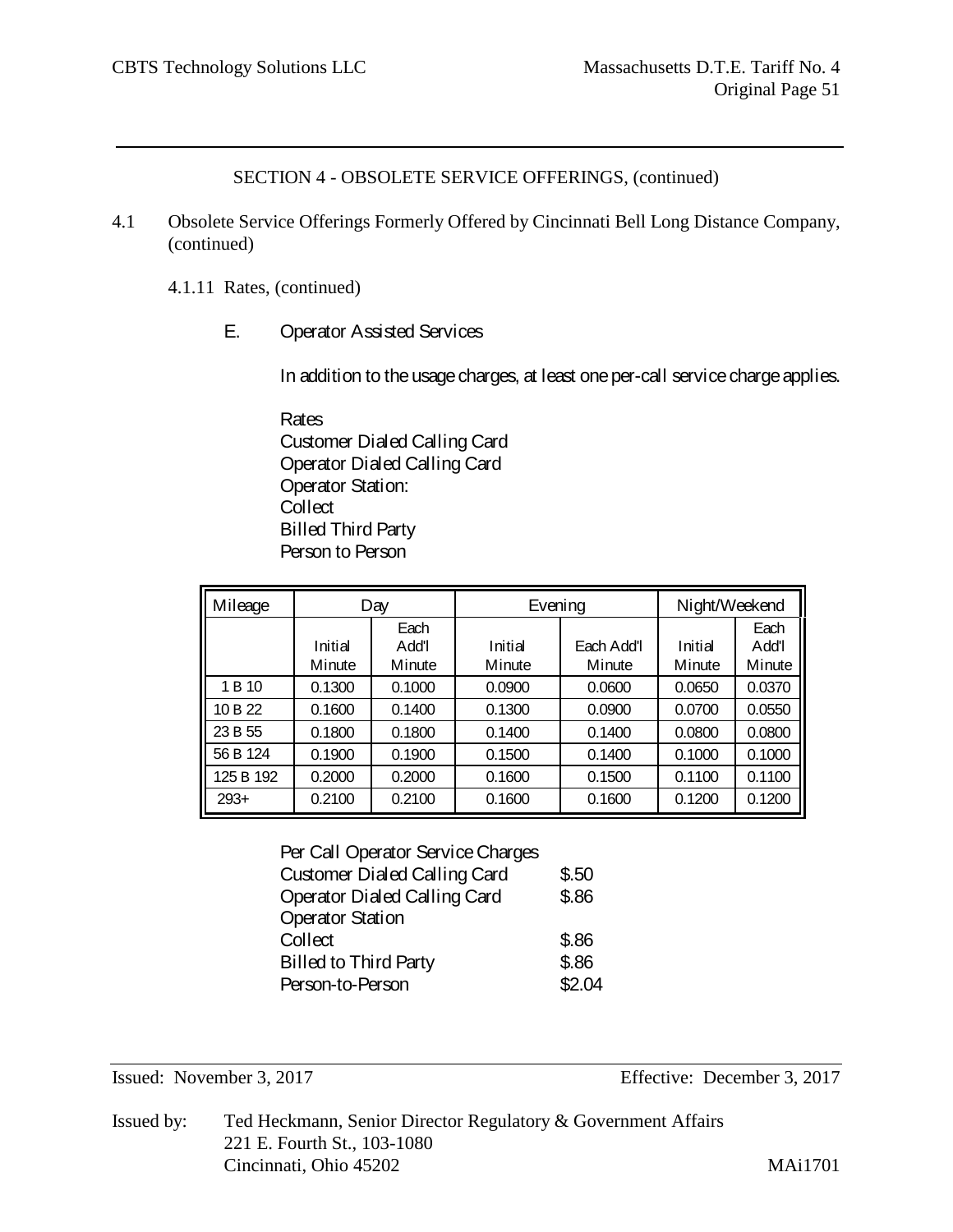- 4.1 Obsolete Service Offerings Formerly Offered by Cincinnati Bell Long Distance Company, (continued)
	- 4.1.11 Rates, (continued)
		- E. Operator Assisted Services

In addition to the usage charges, at least one per-call service charge applies.

Rates Customer Dialed Calling Card Operator Dialed Calling Card Operator Station: **Collect** Billed Third Party Person to Person

| Mileage   |                   | Day                     | Evening           |                      | Night/Weekend     |                         |
|-----------|-------------------|-------------------------|-------------------|----------------------|-------------------|-------------------------|
|           | Initial<br>Minute | Each<br>Add'l<br>Minute | Initial<br>Minute | Each Add'l<br>Minute | Initial<br>Minute | Each<br>Add'I<br>Minute |
| 1 B 10    | 0.1300            | 0.1000                  | 0.0900            | 0.0600               | 0.0650            | 0.0370                  |
| 10 B 22   | 0.1600            | 0.1400                  | 0.1300            | 0.0900               | 0.0700            | 0.0550                  |
| 23 B 55   | 0.1800            | 0.1800                  | 0.1400            | 0.1400               | 0.0800            | 0.0800                  |
| 56 B 124  | 0.1900            | 0.1900                  | 0.1500            | 0.1400               | 0.1000            | 0.1000                  |
| 125 B 192 | 0.2000            | 0.2000                  | 0.1600            | 0.1500               | 0.1100            | 0.1100                  |
| $293+$    | 0.2100            | 0.2100                  | 0.1600            | 0.1600               | 0.1200            | 0.1200                  |

#### Per Call Operator Service Charges

| Customer Dialed Calling Card | \$.50  |
|------------------------------|--------|
| Operator Dialed Calling Card | \$.86  |
| <b>Operator Station</b>      |        |
| Collect                      | \$.86  |
| <b>Billed to Third Party</b> | \$.86  |
| Person-to-Person             | \$2.04 |
|                              |        |

Issued: November 3, 2017 Effective: December 3, 2017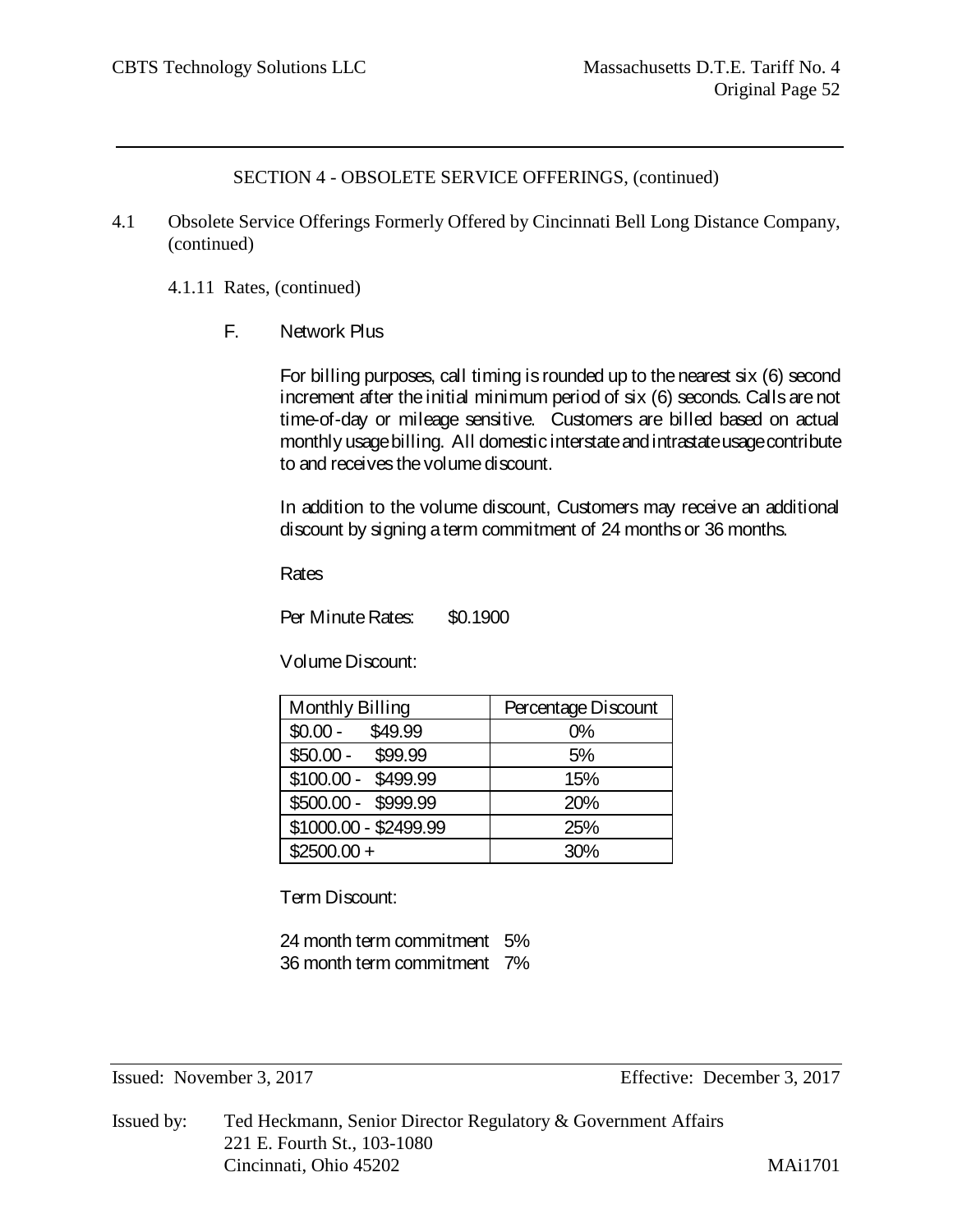- 4.1 Obsolete Service Offerings Formerly Offered by Cincinnati Bell Long Distance Company, (continued)
	- 4.1.11 Rates, (continued)
		- F. Network Plus

For billing purposes, call timing is rounded up to the nearest six (6) second increment after the initial minimum period of six (6) seconds. Calls are not time-of-day or mileage sensitive. Customers are billed based on actual monthly usage billing. All domestic interstate and intrastate usage contribute to and receives the volume discount.

In addition to the volume discount, Customers may receive an additional discount by signing a term commitment of 24 months or 36 months.

Rates

Per Minute Rates: \$0.1900

Volume Discount:

| Monthly Billing       | Percentage Discount |
|-----------------------|---------------------|
| \$49.99<br>$$0.00 -$  | $0\%$               |
| $$50.00 -$<br>\$99.99 | 5%                  |
| \$100.00 - \$499.99   | 15%                 |
| \$500.00 - \$999.99   | 20%                 |
| \$1000.00 - \$2499.99 | 25%                 |
| $$2500.00 +$          | 30%                 |

Term Discount:

24 month term commitment 5% 36 month term commitment 7%

Issued: November 3, 2017 Effective: December 3, 2017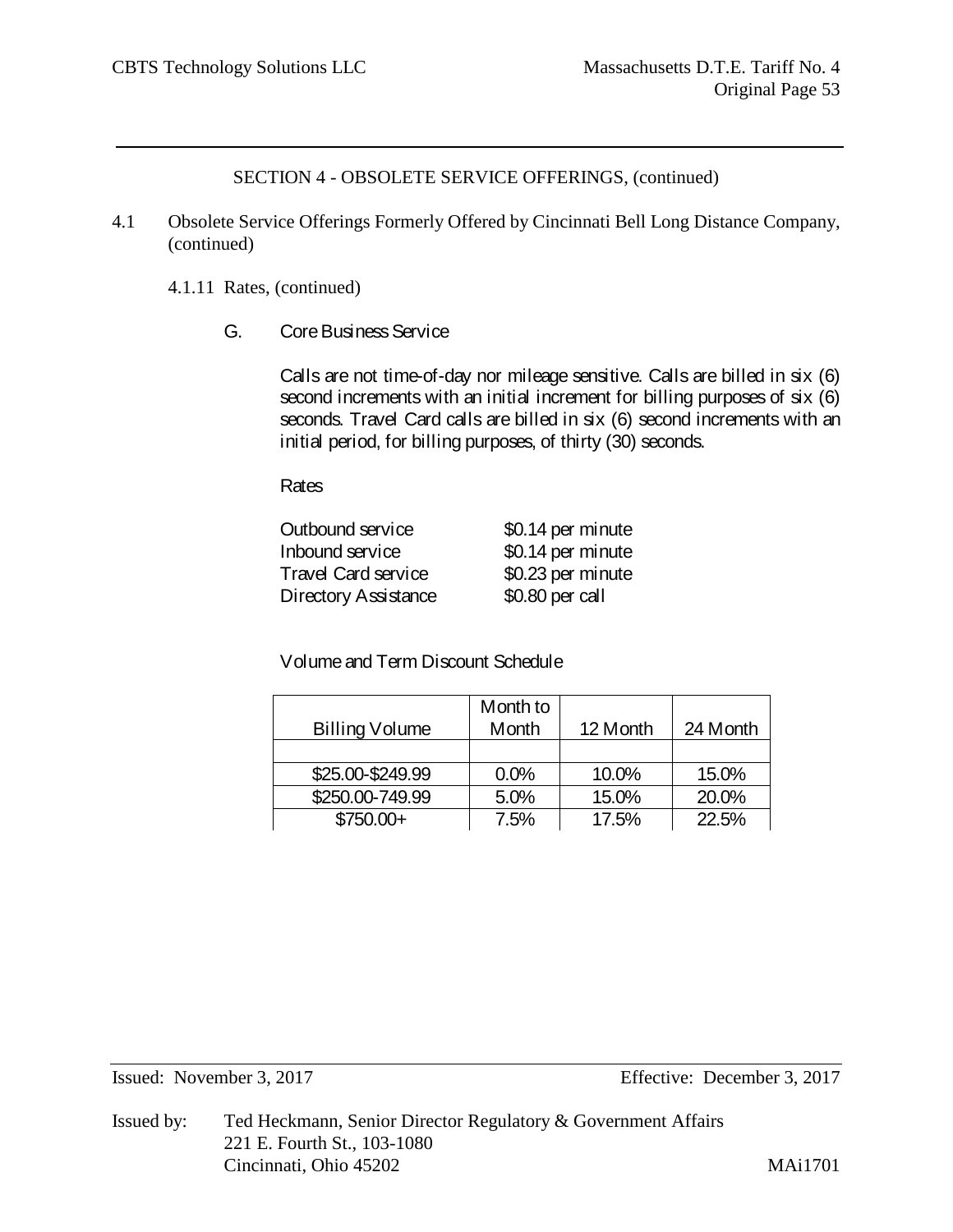- 4.1 Obsolete Service Offerings Formerly Offered by Cincinnati Bell Long Distance Company, (continued)
	- 4.1.11 Rates, (continued)
		- G. CoreBusiness Service

Calls are not time-of-day nor mileage sensitive. Calls are billed in six (6) second increments with an initial increment for billing purposes of six (6) seconds. Travel Card calls are billed in six (6) second increments with an initial period, for billing purposes, of thirty (30) seconds.

Rates

| Outbound service     | \$0.14 per minute |
|----------------------|-------------------|
| Inbound service      | \$0.14 per minute |
| Travel Card service  | \$0.23 per minute |
| Directory Assistance | \$0.80 per call   |

Volume and Term Discount Schedule

|                  | Month to |          |          |
|------------------|----------|----------|----------|
| Billing Volume   | Month    | 12 Month | 24 Month |
|                  |          |          |          |
| \$25.00-\$249.99 | 0.0%     | 10.0%    | 15.0%    |
| \$250.00-749.99  | 5.0%     | 15.0%    | 20.0%    |
| \$750.00+        | 7.5%     | 17.5%    | 22.5%    |